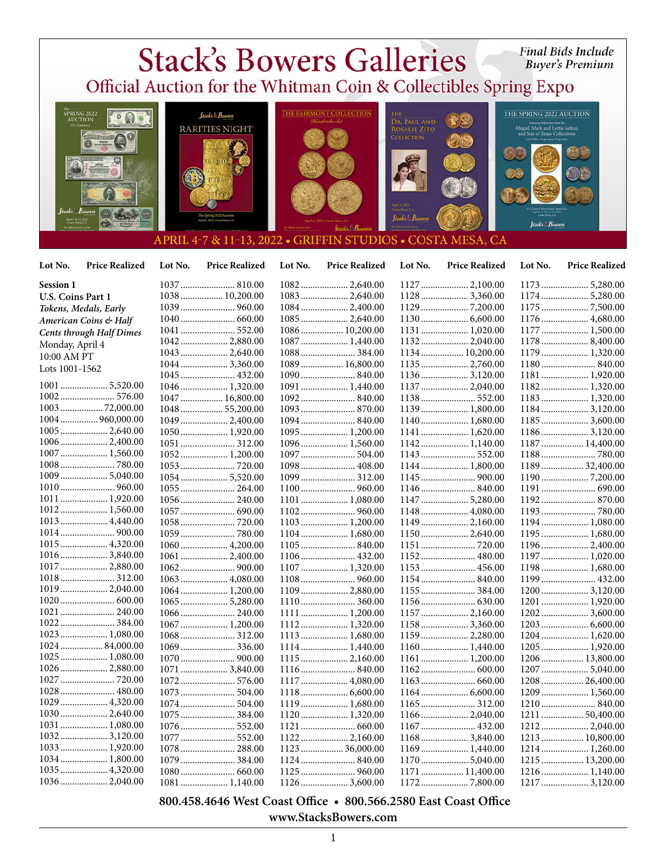

 **800.458.4646 West Coast Office • 800.566.2580 East Coast Office www.StacksBowers.com**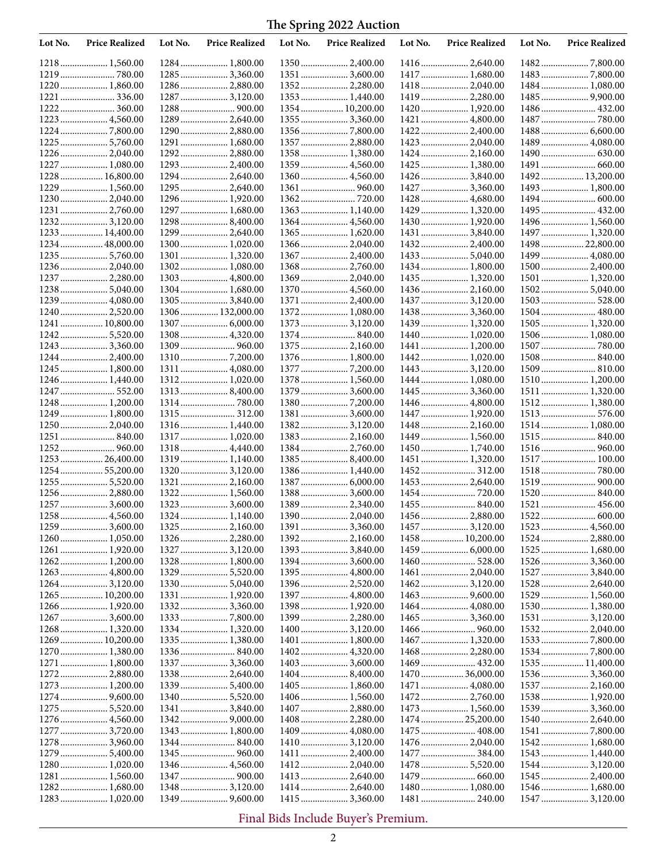| Lot No. | <b>Price Realized</b>            | Lot No. | <b>Price Realized</b>            | Lot No. | <b>Price Realized</b>            | Lot No. | <b>Price Realized</b>            | Lot No. | <b>Price Realized</b>           |
|---------|----------------------------------|---------|----------------------------------|---------|----------------------------------|---------|----------------------------------|---------|---------------------------------|
|         | 1218 1,560.00                    |         | 1284  1,800.00                   |         |                                  |         | 1416 2,640.00                    |         |                                 |
|         |                                  |         |                                  |         | 1351  3,600.00                   |         | 1417  1,680.00                   |         |                                 |
|         | 1220 1,860.00                    |         | 1286  2,880.00                   |         | 13522,280.00                     |         | 1418 2,040.00                    |         | 1484 1,080.00                   |
| 1221    |                                  |         | 1287  3,120.00                   |         | 1353 1,440.00                    |         | 1419  2,280.00                   |         |                                 |
|         |                                  |         |                                  |         | 1354  10,200.00                  |         | 1420 1,920.00                    |         |                                 |
|         | 1223  4,560.00                   |         | 1289  2,640.00                   |         | 1355  3,360.00                   |         |                                  |         | 1487  780.00                    |
|         |                                  |         | 1290  2,880.00<br>1291  1,680.00 |         | 1357  2,880.00                   |         | 1423  2,040.00                   |         | 1489 4,080.00                   |
|         | 1225  5,760.00<br>1226 2,040.00  |         | 1292 2,880.00                    |         | 1358  1,380.00                   |         | 1424 2,160.00                    |         |                                 |
|         | 1227  1,080.00                   |         | 1293  2,400.00                   |         | 1359  4,560.00                   |         | 1425  1,380.00                   |         |                                 |
|         | 1228  16,800.00                  |         | 1294  2,640.00                   |         |                                  |         |                                  |         | 1492 13,200.00                  |
|         | 1229  1,560.00                   |         | 1295  2,640.00                   |         |                                  |         |                                  |         | 1493 1,800.00                   |
|         |                                  |         | 1296 1,920.00                    |         |                                  |         | 1428  4,680.00                   |         |                                 |
|         | 1231  2,760.00                   |         | 1297  1,680.00                   |         | 1363  1,140.00                   |         | 1429  1,320.00                   |         | 1495 432.00                     |
|         | 1232 3,120.00                    |         | 12988,400.00                     |         | 1364  4,560.00                   |         | 1430 1,920.00                    |         | 1496 1,560.00                   |
|         | 1233 14,400.00                   |         | 1299  2,640.00                   |         |                                  |         | 1431  3,840.00                   |         | 1497  1,320.00                  |
|         | 1234 48,000.00                   |         | 1300 1,020.00                    |         | 1366  2,040.00                   |         | 1432 2,400.00                    |         | 1498 22,800.00                  |
|         | 1235  5,760.00                   |         | 1301  1,320.00                   |         | 1367  2,400.00                   |         |                                  |         | 1499  4,080.00                  |
|         | 1236 2,040.00<br>1237  2,280.00  |         | 1302 1,080.00<br>1303  4,800.00  |         | 1369  2,040.00                   |         | 1434  1,800.00<br>1435  1,320.00 |         | 1500 2,400.00<br>1501  1,320.00 |
|         | 12385,040.00                     |         | 1304 1,680.00                    |         | 1370  4,560.00                   |         |                                  |         |                                 |
|         | 1239  4,080.00                   |         | 1305  3,840.00                   |         | 1371  2,400.00                   |         | 1437  3,120.00                   |         |                                 |
|         | 1240 2,520.00                    |         | 1306  132,000.00                 |         | 1372  1,080.00                   |         | 1438 3,360.00                    |         |                                 |
|         | 1241  10,800.00                  |         |                                  |         |                                  |         | 1439 1,320.00                    |         | 1505 1,320.00                   |
|         | 12425,520.00                     |         |                                  |         |                                  |         | 1440 1,020.00                    |         | 1506 1,080.00                   |
|         | 1243  3,360.00                   |         |                                  |         | 1375  2,160.00                   |         | 1441  1,200.00                   |         |                                 |
|         | 12442,400.00                     |         |                                  |         | 1376  1,800.00                   |         |                                  |         |                                 |
|         | 1245  1,800.00                   |         | 1311  4,080.00                   |         |                                  |         | 1443  3,120.00                   |         |                                 |
|         | 1246  1,440.00                   |         | 1312 1,020.00                    |         | 1378 1,560.00                    |         | 1444  1,080.00                   |         | 1510 1,200.00                   |
|         | 1247  552.00                     |         |                                  |         | 1379  3,600.00                   |         |                                  |         | 1511  1,320.00                  |
|         | 1248 1,200.00<br>1249  1,800.00  |         |                                  |         | 1381  3,600.00                   |         | 1446  4,800.00<br>1447  1,920.00 |         | 1512 1,380.00                   |
|         |                                  |         | 1316 1,440.00                    |         | 13823,120.00                     |         | 1448  2,160.00                   |         | 1514 1,080.00                   |
|         |                                  |         | 1317  1,020.00                   |         | 1383 2,160.00                    |         | 1449  1,560.00                   |         |                                 |
|         |                                  |         | 1318 4,440.00                    |         |                                  |         | 1450 1,740.00                    |         |                                 |
|         | 125326,400.00                    |         | 1319 1,140.00                    |         | 1385 8,400.00                    |         | 1451  1,320.00                   |         | 1517 100.00                     |
|         | 1254  55,200.00                  |         |                                  |         | 1386 1,440.00                    |         | 1452 312.00                      |         |                                 |
|         | 1255  5,520.00                   |         | 1321  2,160.00                   |         | 1387  6,000.00                   |         | 1453  2,640.00                   |         |                                 |
|         | 1256 2,880.00                    |         | 1322 1,560.00                    |         | 1388  3,600.00                   |         |                                  |         |                                 |
|         | 1257  3,600.00                   |         | 1323  3,600.00                   |         | 1389  2,340.00                   |         | 1455  840.00                     |         | 1521  456.00                    |
|         | 12593,600.00                     |         | 1324  1,140.00<br>1325  2,160.00 |         | 1390 2,040.00                    |         | 1456  2,880.00<br>1457  3,120.00 |         |                                 |
|         | 1260 1,050.00                    |         | 1326  2,280.00                   |         |                                  |         | 1458  10,200.00                  | 1524    | .2,880.00                       |
|         | 1261  1,920.00                   |         | 1327  3,120.00                   |         | 1393  3,840.00                   |         |                                  |         | 1525  1,680.00                  |
|         |                                  |         | 1328  1,800.00                   |         | 13943,600.00                     |         |                                  |         |                                 |
|         | 1263  4,800.00                   |         | 1329  5,520.00                   |         |                                  |         | 1461  2,040.00                   |         | 1527  3,840.00                  |
|         |                                  |         | 1330  5,040.00                   |         |                                  |         |                                  |         | 1528  2,640.00                  |
|         | 1265  10,200.00                  |         | 1331  1,920.00                   |         | 1397  4,800.00                   |         |                                  |         | 1529  1,560.00                  |
|         |                                  |         | 13323,360.00                     |         | 1398 1,920.00                    |         |                                  |         | 1530 1,380.00                   |
|         |                                  |         |                                  |         | 1399  2,280.00                   |         |                                  |         |                                 |
|         |                                  |         | 1334  1,320.00                   |         | 1400  3,120.00                   |         |                                  |         |                                 |
|         | 1269  10,200.00                  |         | 1335  1,380.00                   |         | 1401  1,800.00                   |         | 1467  1,320.00                   |         |                                 |
|         | 1270  1,380.00<br>1271  1,800.00 |         | 1337  3,360.00                   |         |                                  |         | 1468 2,280.00                    |         | 1535  11,400.00                 |
|         |                                  |         | 1338  2,640.00                   |         |                                  |         | 1470  36,000.00                  |         |                                 |
|         | 1273  1,200.00                   |         | 1339  5,400.00                   |         | 1405  1,860.00                   |         | 1471  4,080.00                   |         | 1537  2,160.00                  |
|         |                                  |         |                                  |         |                                  |         | 1472 2,760.00                    |         | 1538 1,920.00                   |
|         |                                  |         | 1341  3,840.00                   |         | 1407  2,880.00                   |         | 1473  1,560.00                   |         | 1539 3,360.00                   |
|         |                                  |         |                                  |         | 1408  2,280.00                   |         | 1474  25,200.00                  |         | 1540 2,640.00                   |
|         | 1277  3,720.00                   |         | 1343  1,800.00                   |         |                                  |         | 1475  408.00                     |         |                                 |
|         | 12783,960.00                     |         |                                  |         |                                  |         | 1476 2,040.00                    |         | 1542 1,680.00                   |
|         |                                  |         |                                  |         |                                  |         |                                  |         | 1543  1,440.00                  |
|         | 1280 1,020.00                    |         | 1346  4,560.00                   |         |                                  |         | 1478  5,520.00                   |         | 1544  3,120.00                  |
|         | 1281 1,560.00<br>1282 1,680.00   |         | 1348  3,120.00                   |         | 1413  2,640.00<br>1414  2,640.00 |         | 1480 1,080.00                    |         | 1545  2,400.00                  |
|         | 1283 1,020.00                    |         | 1349  9,600.00                   |         | 1415  3,360.00                   |         |                                  |         | 1547  3,120.00                  |
|         |                                  |         |                                  |         |                                  |         |                                  |         |                                 |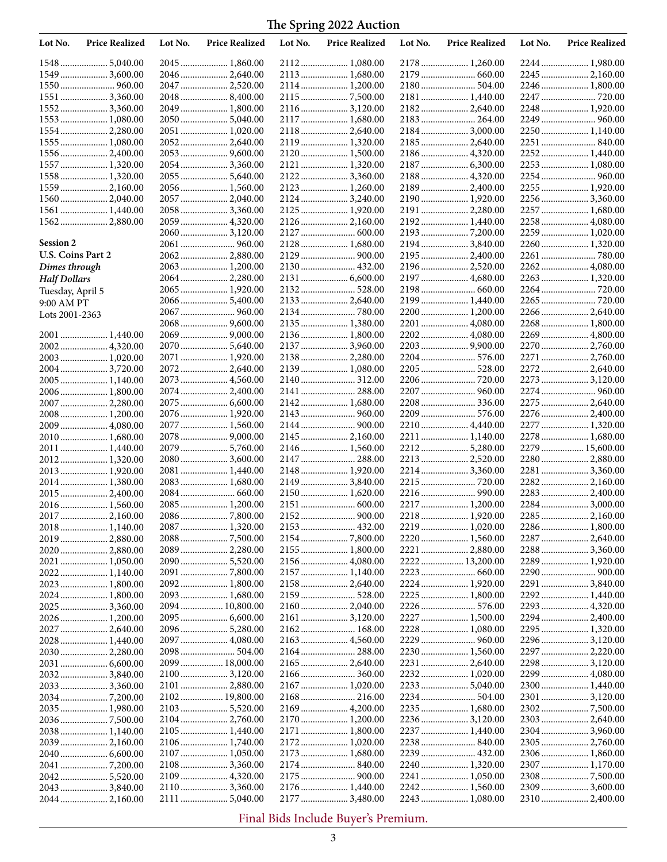| Lot No.             | <b>Price Realized</b>           | Lot No. | <b>Price Realized</b>             | Lot No. | <b>Price Realized</b>          | Lot No. | <b>Price Realized</b>           | Lot No. | <b>Price Realized</b>            |
|---------------------|---------------------------------|---------|-----------------------------------|---------|--------------------------------|---------|---------------------------------|---------|----------------------------------|
|                     | 15485,040.00                    |         | 2045  1,860.00                    |         | 2112  1,080.00                 |         | 2178  1,260.00                  |         | 2244 1,980.00                    |
|                     | 1549  3,600.00                  |         | 2046  2,640.00                    |         | 2113  1,680.00                 |         | 2179  660.00                    |         |                                  |
|                     |                                 |         | 2047  2,520.00                    |         | 2114  1,200.00                 |         |                                 |         | 2246  1,800.00                   |
|                     | 1551  3,360.00                  |         | 2048 8,400.00                     |         |                                |         | 2181  1,440.00                  |         | 2247  720.00                     |
|                     | 1552 3,360.00                   |         | 2049  1,800.00                    |         | 2116  3,120.00                 |         | 2182 2,640.00                   |         | 2248 1,920.00                    |
|                     | 1553 1,080.00                   |         | 2050  5,040.00                    |         | 2117  1,680.00                 |         | 2183 264.00                     |         |                                  |
|                     | 1554 2,280.00                   |         | 2051  1,020.00                    |         | 2118  2,640.00                 |         | 2184 3,000.00                   |         | 2250  1,140.00                   |
|                     | 1555 1,080.00                   |         | 2052 2,640.00                     |         | 2119  1,320.00                 |         | 2185  2,640.00                  |         | 2251  840.00                     |
|                     | 1556 2,400.00                   |         |                                   |         | 2120  1,500.00                 |         | 2186 4,320.00                   |         | 2252 1,440.00                    |
|                     | 1557  1,320.00<br>1558 1,320.00 |         | 2054  3,360.00                    |         | 2122  3,360.00                 |         | 2188  4,320.00                  |         | 2253  1,080.00<br>2254  960.00   |
|                     | 1559 2,160.00                   |         | 2056 1,560.00                     |         |                                |         | 2189  2,400.00                  |         | 2255  1,920.00                   |
|                     | 1560 2,040.00                   |         | 2057  2,040.00                    |         | 2124  3,240.00                 |         | 2190 1,920.00                   |         | 2256 3,360.00                    |
|                     | 1561 1,440.00                   |         | 2058  3,360.00                    |         |                                |         | 2191  2,280.00                  |         | 2257  1,680.00                   |
|                     | 1562 2,880.00                   |         | 2059  4,320.00                    |         | 2126  2,160.00                 |         | 2192 1,440.00                   |         | 2258  4,080.00                   |
|                     |                                 |         |                                   |         |                                |         |                                 |         | 2259  1,020.00                   |
| <b>Session 2</b>    |                                 |         |                                   |         | 2128  1,680.00                 |         | 2194 3,840.00                   |         | 2260 1,320.00                    |
| U.S. Coins Part 2   |                                 |         | 2062 2,880.00                     |         |                                |         | 2195  2,400.00                  |         | 2261  780.00                     |
| Dimes through       |                                 |         | 2063  1,200.00                    |         |                                |         | 2196  2,520.00                  |         | 2262 4,080.00                    |
| <b>Half Dollars</b> |                                 |         | 2064  2,280.00                    |         |                                |         | 2197  4,680.00                  |         | 2263 1,320.00                    |
| Tuesday, April 5    |                                 |         | 2065  1,920.00                    |         | 2132 528.00                    |         |                                 |         |                                  |
| 9:00 AM PT          |                                 |         |                                   |         | 2133  2,640.00                 |         | 2199  1,440.00                  |         |                                  |
| Lots 2001-2363      |                                 |         |                                   |         |                                |         | 2200 1,200.00                   |         | 2266  2,640.00                   |
|                     |                                 |         | 2068  9,600.00                    |         | 2135  1,380.00                 |         | 2201  4,080.00                  |         | 2268 1,800.00                    |
|                     | 2001  1,440.00                  |         |                                   |         | 2136  1,800.00                 |         |                                 |         | 2269  4,800.00                   |
|                     | 2002 4,320.00                   |         | 2070  5,640.00                    |         | 2137  3,960.00                 |         |                                 |         |                                  |
|                     | 2003 1,020.00                   |         | 2071  1,920.00                    |         | 2138  2,280.00                 |         |                                 |         | 2271  2,760.00                   |
|                     | 2004 3,720.00                   |         | 2072 2,640.00                     |         | 2139  1,080.00                 |         | 2205  528.00                    |         | 2272 2,640.00                    |
|                     | 2005 1,140.00                   |         | 2073  4,560.00                    |         | 2140  312.00                   |         |                                 |         | 2273  3,120.00                   |
|                     | 2006 1,800.00                   |         | 2074  2,400.00                    |         | 2141  288.00                   |         | 2207  960.00                    |         |                                  |
|                     | 2007  2,280.00                  |         | 2075  6,600.00                    |         | 2142  1,680.00                 |         |                                 |         | 2275  2,640.00                   |
|                     | 2008 1,200.00                   |         | 2076  1,920.00                    |         |                                |         |                                 |         | 2276  2,400.00                   |
|                     | 2009 4,080.00                   |         | 2077  1,560.00                    |         |                                |         | 2210  4,440.00                  |         | 2277  1,320.00                   |
|                     | 2010 1,680.00                   |         | 2078  9,000.00                    |         |                                |         | 2211  1,140.00                  |         | 2278  1,680.00                   |
| 2011                | 1,440.00                        |         | 2079  5,760.00<br>$2080$ 3,600.00 |         | 2147  288.00                   |         | 2212 5,280.00<br>2213  2,520.00 |         | 2279  15,600.00<br>2280 2,880.00 |
|                     | 2012 1,320.00<br>2013 1,920.00  |         | 2081  1,440.00                    |         | 2148  1,920.00                 |         | 22143,360.00                    |         | 2281  3,360.00                   |
|                     | 2014 1,380.00                   |         | 2083  1,680.00                    |         | 2149  3,840.00                 |         |                                 |         | 2282 2,160.00                    |
|                     | 2015 2,400.00                   |         |                                   |         | 2150  1,620.00                 |         |                                 |         | 2283  2,400.00                   |
|                     | 2016 1,560.00                   |         | 2085 1,200.00                     |         |                                |         | 2217  1,200.00                  |         | 2284 3,000.00                    |
|                     |                                 |         |                                   |         |                                |         |                                 |         |                                  |
|                     | 2018 1,140.00                   |         | 2087  1,320.00                    |         | 2153  432.00                   |         | 2219  1,020.00                  |         | 2286  1,800.00                   |
|                     | 2019 2,880.00                   |         | 2088 7,500.00                     |         |                                |         |                                 |         | 2287  2,640.00                   |
|                     |                                 |         | 2089 2,280.00                     |         | 2155  1,800.00                 |         | 2221  2,880.00                  |         | 2288 3,360.00                    |
|                     |                                 |         |                                   |         | 2156  4,080.00                 |         | 2222  13,200.00                 |         | 2289  1,920.00                   |
|                     | 2022 1,140.00                   |         |                                   |         | 2157  1,140.00                 |         |                                 |         |                                  |
|                     | 2023  1,800.00                  |         | 2092 1,800.00                     |         | 2158  2,640.00                 |         |                                 |         | 2291  3,840.00                   |
|                     | 2024  1,800.00                  |         | 2093  1,680.00                    |         |                                |         | 2225  1,800.00                  |         | 2292 1,440.00                    |
|                     | 2025  3,360.00                  |         | 2094  10,800.00                   |         | 2160  2,040.00                 |         | 2226  576.00                    |         | 2293  4,320.00                   |
|                     |                                 |         |                                   |         |                                |         | 2227  1,500.00                  |         | 2294 2,400.00                    |
|                     | 2027  2,640.00                  |         | 2096 5,280.00                     |         | 2162 168.00                    |         | 2228  1,080.00                  |         | 2295  1,320.00                   |
|                     | 2028 1,440.00                   |         | 2097  4,080.00                    |         | 2163  4,560.00                 |         |                                 |         | 2296 3,120.00                    |
|                     |                                 |         |                                   |         |                                |         | 2230  1,560.00                  |         | 2297  2,220.00                   |
|                     |                                 |         | 2099  18,000.00                   |         |                                |         |                                 |         | 22983,120.00                     |
|                     | 20323,840.00                    |         | 2100  3,120.00                    |         | 2166  360.00                   |         | 2232 1,020.00                   |         | 2299  4,080.00                   |
|                     | 20333,360.00                    |         | 2101  2,880.00                    |         | 2167  1,020.00<br>2168  216.00 |         |                                 |         | 2300 1,440.00                    |
|                     | 2035  1,980.00                  |         | 2102 19,800.00                    |         |                                |         | 2235  1,680.00                  |         |                                  |
|                     |                                 |         | 2104 2,760.00                     |         | 2170  1,200.00                 |         |                                 |         |                                  |
|                     | 2038 1,140.00                   |         | 2105  1,440.00                    |         | 2171  1,800.00                 |         | 2237  1,440.00                  |         |                                  |
|                     |                                 |         |                                   |         | 2172  1,020.00                 |         |                                 |         |                                  |
|                     |                                 |         | 2107  1,050.00                    |         | 2173  1,680.00                 |         | 2239  432.00                    |         |                                  |
|                     |                                 |         | 2108  3,360.00                    |         |                                |         | 2240  1,320.00                  |         | 2307 1,170.00                    |
|                     |                                 |         |                                   |         |                                |         | 2241  1,050.00                  |         |                                  |
|                     | 2043  3,840.00                  |         | 2110  3,360.00                    |         |                                |         | 2242 1,560.00                   |         | 2309  3,600.00                   |
|                     | 2044 2,160.00                   |         | 2111  5,040.00                    |         |                                |         |                                 |         | 2310  2,400.00                   |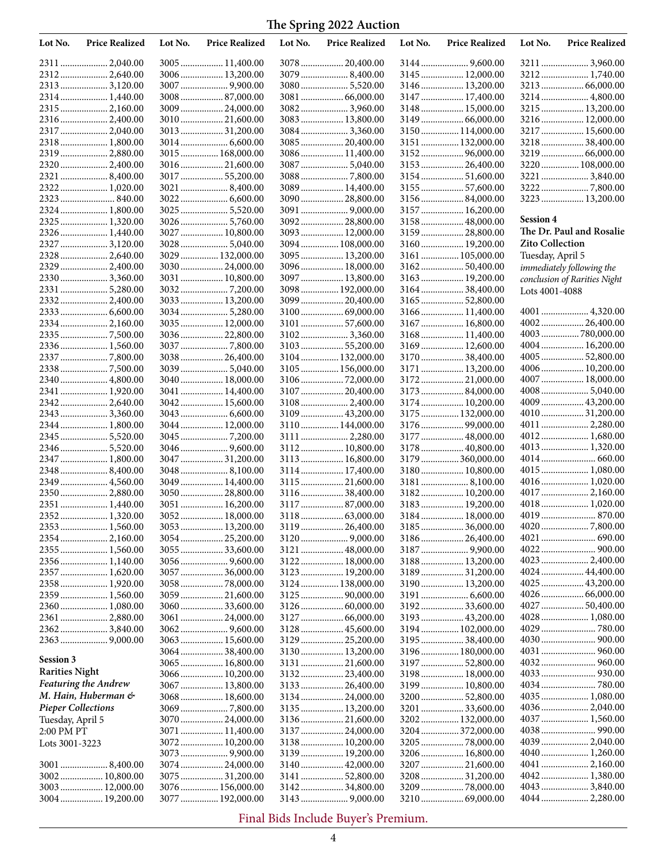| Lot No.                   | <b>Price Realized</b>           | Lot No. | <b>Price Realized</b>              | Lot No. | <b>Price Realized</b>               | Lot No. | <b>Price Realized</b>             | Lot No.                | <b>Price Realized</b>        |
|---------------------------|---------------------------------|---------|------------------------------------|---------|-------------------------------------|---------|-----------------------------------|------------------------|------------------------------|
|                           | 2311  2,040.00                  |         | 3005  11,400.00                    |         | 3078  20,400.00                     |         | 3144  9,600.00                    |                        | 3211  3,960.00               |
|                           | 2312 2,640.00                   |         | 3006  13,200.00                    |         | 3079 8,400.00                       |         | 3145  12,000.00                   |                        |                              |
|                           | 2313  3,120.00                  |         |                                    |         | 3080 5,520.00                       |         | 3146  13,200.00                   |                        |                              |
|                           |                                 |         | $3008$ 87,000.00                   |         | 3081  66,000.00                     |         | 3147  17,400.00                   |                        | 3214 4,800.00                |
|                           | 2315  2,160.00                  |         | 3009  24,000.00                    |         | 3082 3,960.00                       |         | 3148  15,000.00                   |                        | 3215  13,200.00              |
|                           | 2316  2,400.00                  |         | 3010  21,600.00                    |         | 3083  13,800.00                     |         |                                   |                        | 3216 12,000.00               |
|                           | 2317  2,040.00                  |         | 3013  31,200.00                    |         | 30843,360.00                        |         | 3150 114,000.00                   |                        | 3217  15,600.00              |
|                           | 2318 1,800.00                   |         |                                    |         | 3085  20,400.00                     |         | 3151  132,000.00                  |                        | 3218  38,400.00              |
|                           | 2319  2,880.00                  |         | 3015  168,000.00                   |         | 3086  11,400.00                     |         | 315296,000.00                     |                        | 3219  66,000.00              |
|                           | 2320  2,400.00                  |         | 3016  21,600.00                    |         | 3087  5,040.00                      |         | 3153  26,400.00                   |                        | 3220  108,000.00             |
|                           |                                 |         | 3017  55,200.00                    |         |                                     |         |                                   |                        |                              |
|                           |                                 |         |                                    |         | 3089  14,400.00                     |         | 3155 57,600.00                    |                        |                              |
|                           |                                 |         |                                    |         | 3090  28,800.00                     |         | 3156 84,000.00                    |                        | 3223  13,200.00              |
|                           | 2324 1,800.00                   |         |                                    |         |                                     |         | 3157  16,200.00                   |                        |                              |
|                           | 2325  1,320.00                  |         | 3026  5,760.00                     |         | 3092  28,800.00                     |         | 3158  48,000.00                   | <b>Session 4</b>       |                              |
|                           | 2326  1,440.00                  |         | 3027  10,800.00                    |         | 3093  12,000.00                     |         | 3159  28,800.00                   |                        | The Dr. Paul and Rosalie     |
|                           | 2327  3,120.00                  |         | 3028  5,040.00                     |         | 3094  108,000.00                    |         | 3160  19,200.00                   | <b>Zito Collection</b> |                              |
|                           | 2328  2,640.00                  |         | 3029  132,000.00                   |         | 3095  13,200.00                     |         | 3161  105,000.00                  | Tuesday, April 5       |                              |
|                           | 2329  2,400.00                  |         | 3030  24,000.00<br>3031  10,800.00 |         | 3096  18,000.00<br>3097  13,800.00  |         | 316250,400.00                     |                        | immediately following the    |
|                           | 2331  5,280.00                  |         | 30327,200.00                       |         | 3098  192,000.00                    |         | 3163  19,200.00                   |                        | conclusion of Rarities Night |
|                           | 2332 2,400.00                   |         | 3033  13,200.00                    |         | 3099  20,400.00                     |         | 316438,400.00                     | Lots 4001-4088         |                              |
|                           |                                 |         | 3034  5,280.00                     |         | 310069,000.00                       |         | 3166 11,400.00                    |                        |                              |
|                           | 2334 2,160.00                   |         | 3035  12,000.00                    |         | 3101  57,600.00                     |         | 3167  16,800.00                   |                        | 400226,400.00                |
|                           |                                 |         | 3036  22,800.00                    |         | 31023,360.00                        |         | 3168 11,400.00                    |                        | 4003 780,000.00              |
|                           | 2336 1,560.00                   |         |                                    |         | 3103  55,200.00                     |         | 3169 12,600.00                    |                        | 4004 16,200.00               |
|                           |                                 |         | 3038  26,400.00                    |         | 3104  132,000.00                    |         | 3170  38,400.00                   |                        | 4005  52,800.00              |
|                           | 23387,500.00                    |         | 3039  5,040.00                     |         | 3105  156,000.00                    |         | 3171  13,200.00                   |                        | 4006 10,200.00               |
|                           | 2340  4,800.00                  |         | 3040  18,000.00                    |         |                                     |         | 3172  21,000.00                   |                        | 4007 18,000.00               |
| 2341                      | 1,920.00                        |         | 3041  14,400.00                    |         | 3107  20,400.00                     |         | 3173 84,000.00                    |                        | 40085,040.00                 |
|                           | 23422,640.00                    |         | 3042  15,600.00                    |         | 31082,400.00                        |         | 3174 10,200.00                    |                        | 4009  43,200.00              |
|                           | 2343  3,360.00                  |         |                                    |         | 3109  43,200.00                     |         | 3175  132,000.00                  |                        | 401031,200.00                |
|                           | 2344 1,800.00                   |         | 3044  12,000.00                    |         | 3110  144,000.00                    |         | 3176 99,000.00                    |                        |                              |
|                           | 2345  5,520.00                  |         |                                    |         | 3111  2,280.00                      |         | 3177  48,000.00                   |                        | 4012 1,680.00                |
|                           |                                 |         | 3046  9,600.00                     |         | 3112  10,800.00                     |         | 3178  40,800.00                   |                        |                              |
|                           | 2347  1,800.00                  |         | 3047  31,200.00                    |         | 3113  16,800.00                     |         | 3179 360,000.00                   |                        |                              |
|                           | 2348 8,400.00                   |         |                                    |         | 3114  17,400.00                     |         | 3180 10,800.00                    |                        | 4015  1,080.00               |
|                           | 2349  4,560.00                  |         | 3049  14,400.00                    |         | 3115  21,600.00                     |         |                                   |                        | 4016  1,020.00               |
|                           | 2350 2,880.00                   |         | 3050  28,800.00                    |         | 3116  38,400.00                     |         | 3182 10,200.00                    |                        |                              |
|                           | 2351  1,440.00                  |         | 3051  16,200.00                    |         | 3117  87,000.00                     |         | 3183  19,200.00                   |                        | 4018 1,020.00                |
|                           |                                 |         | 3052 18,000.00                     |         |                                     |         | 3184 18,000.00                    |                        | 4019  870.00                 |
|                           | 2353  1,560.00                  |         | 3053  13,200.00                    |         | 3119  26,400.00                     |         | 3185  36,000.00                   |                        |                              |
|                           |                                 |         | 3054  25,200.00                    |         |                                     |         | 318626,400.00                     |                        |                              |
|                           | 2355  1,560.00                  |         | 3055  33,600.00                    |         | 3121  48,000.00                     |         | 3187  9,900.00                    |                        | 4023  2,400.00               |
|                           | 2356 1,140.00<br>2357  1,620.00 |         |                                    |         | 3122  18,000.00                     |         | 3188 13,200.00<br>3189  31,200.00 |                        | 4024  44,400.00              |
|                           | 2358  1,920.00                  |         | 3057  36,000.00<br>3058 78,000.00  |         | 3123  19,200.00<br>3124  138,000.00 |         | 3190 13,200.00                    |                        | 4025  43,200.00              |
|                           |                                 |         | 3059  21,600.00                    |         |                                     |         |                                   |                        |                              |
|                           | 2360 1,080.00                   |         | 3060  33,600.00                    |         |                                     |         | 319233,600.00                     |                        | 4027 50,400.00               |
|                           | 2361  2,880.00                  |         | 3061  24,000.00                    |         | 3127  66,000.00                     |         | 3193  43,200.00                   |                        |                              |
|                           | 23623,840.00                    |         |                                    |         | 3128  45,600.00                     |         | 3194  102,000.00                  |                        |                              |
|                           |                                 |         | 3063  15,600.00                    |         | 3129  25,200.00                     |         | 3195 38,400.00                    |                        |                              |
|                           |                                 |         | 3064 38,400.00                     |         | 3130 13,200.00                      |         | 3196  180,000.00                  |                        |                              |
| Session 3                 |                                 |         | 3065  16,800.00                    |         | 3131  21,600.00                     |         | 3197 52,800.00                    |                        |                              |
| <b>Rarities Night</b>     |                                 |         | 3066  10,200.00                    |         |                                     |         | 3198  18,000.00                   |                        |                              |
|                           | <b>Featuring the Andrew</b>     |         | 3067  13,800.00                    |         | 3133  26,400.00                     |         | 3199  10,800.00                   |                        |                              |
|                           | M. Hain, Huberman &             |         | 3068  18,600.00                    |         | 3134  24,000.00                     |         | 3200 52,800.00                    |                        | 4035  1,080.00               |
| <b>Pieper Collections</b> |                                 |         |                                    |         | 3135  13,200.00                     |         | 3201  33,600.00                   |                        |                              |
| Tuesday, April 5          |                                 |         | 3070  24,000.00                    |         | 3136  21,600.00                     |         | 3202 132,000.00                   |                        | 4037  1,560.00               |
| 2:00 PM PT                |                                 |         | 3071  11,400.00                    |         | 3137  24,000.00                     |         | 3204 372,000.00                   |                        |                              |
| Lots 3001-3223            |                                 |         | 3072  10,200.00                    |         | 3138  10,200.00                     |         |                                   |                        | 4039  2,040.00               |
|                           |                                 |         |                                    |         | 3139  19,200.00                     |         | 3206  16,800.00                   |                        |                              |
|                           |                                 |         | 3074  24,000.00                    |         | 3140  42,000.00                     |         | 3207  21,600.00                   |                        |                              |
|                           | 3002 10,800.00                  |         | 3075  31,200.00                    |         | 3141  52,800.00                     |         | 320831,200.00                     |                        |                              |
|                           | 3003 12,000.00                  |         | 3076  156,000.00                   |         | 3142  34,800.00                     |         | 3209 78,000.00                    |                        | 4043  3,840.00               |
|                           | 3004 19,200.00                  |         | 3077  192,000.00                   |         |                                     |         |                                   |                        |                              |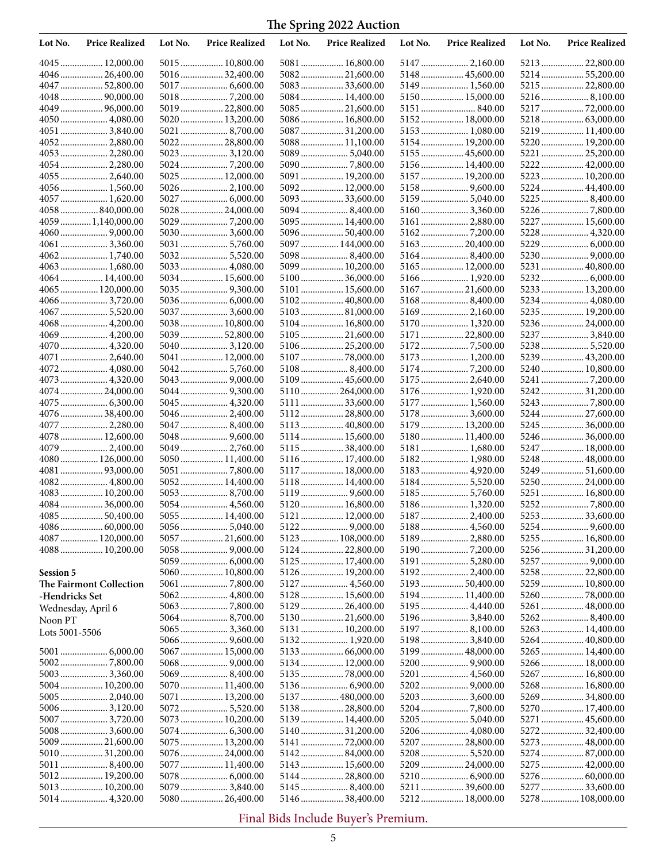| Lot No.            | <b>Price Realized</b>            | Lot No. | <b>Price Realized</b> | Lot No. | <b>Price Realized</b>              | Lot No. | <b>Price Realized</b>             | Lot No. | <b>Price Realized</b> |
|--------------------|----------------------------------|---------|-----------------------|---------|------------------------------------|---------|-----------------------------------|---------|-----------------------|
|                    | 4045  12,000.00                  |         | 5015  10,800.00       |         | 5081  16,800.00                    |         | 5147  2,160.00                    |         | 5213  22,800.00       |
|                    | 4046  26,400.00                  |         | 5016  32,400.00       |         | 5082 21,600.00                     |         | 5148  45,600.00                   |         | 5214  55,200.00       |
|                    | 4047  52,800.00                  |         | 5017  6,600.00        |         | 5083  33,600.00                    |         | 5149  1,560.00                    |         | 5215  22,800.00       |
|                    |                                  |         |                       |         | 5084  14,400.00                    |         | 5150 15,000.00                    |         |                       |
|                    | 4049  96,000.00                  |         | 5019  22,800.00       |         | 5085  21,600.00                    |         | 5151  840.00                      |         |                       |
|                    | 4050  4,080.00                   |         | 5020  13,200.00       |         | 5086  16,800.00                    |         | 5152 18,000.00                    |         |                       |
|                    | 4051  3,840.00                   |         | 5021  8,700.00        |         | 5087  31,200.00                    |         | 5153 1,080.00                     |         | 5219  11,400.00       |
|                    | 40522,880.00                     |         | 5022  28,800.00       |         | 5088  11,100.00                    |         | 5154  19,200.00                   |         | 5220  19,200.00       |
|                    | 4053  2,280.00                   |         | 5023  3,120.00        |         | 5089  5,040.00                     |         | 5155  45,600.00                   |         | 5221  25,200.00       |
|                    | 4054  2,280.00                   |         |                       |         |                                    |         | 5156  14,400.00                   |         | 5222  42,000.00       |
|                    | 4055  2,640.00                   |         | 5025  12,000.00       |         | 5091  19,200.00                    |         | 5157  19,200.00                   |         | 5223  10,200.00       |
|                    | 4056 1,560.00                    |         | 5026  2,100.00        |         | 5092 12,000.00                     |         | 5158  9,600.00                    |         | 5224  44,400.00       |
|                    | 4057  1,620.00                   |         | 5027  6,000.00        |         |                                    |         | 5159  5,040.00                    |         |                       |
|                    | 4058 840,000.00                  |         | 5028  24,000.00       |         |                                    |         | 5160 3,360.00                     |         |                       |
|                    | 4059  1,140,000.00               |         |                       |         | 5095  14,400.00                    |         | 5161  2,880.00                    |         | 5227  15,600.00       |
|                    |                                  |         | 5030  3,600.00        |         | 5096  50,400.00                    |         |                                   |         | 5228  4,320.00        |
|                    |                                  |         | 5031  5,760.00        |         | 5097  144,000.00                   |         | 5163  20,400.00                   |         |                       |
|                    |                                  |         | 5032 5,520.00         |         | 5098 8,400.00                      |         |                                   |         |                       |
|                    | 4063  1,680.00                   |         | 5033  4,080.00        |         | 5099  10,200.00                    |         | 5165  12,000.00                   |         | 5231  40,800.00       |
|                    | 4064 14,400.00                   |         | 5034  15,600.00       |         | 5100  36,000.00                    |         | 5166 1,920.00                     |         |                       |
|                    | 4065  120,000.00                 |         |                       |         | 5101  15,600.00                    |         | 5167  21,600.00                   |         | 5233  13,200.00       |
|                    | 4066  3,720.00                   |         | 5036  6,000.00        |         | 5102 40,800.00                     |         | 51688,400.00                      |         | 5234  4,080.00        |
|                    | 4067  5,520.00                   |         | 5037  3,600.00        |         | 5103 81,000.00                     |         | 5169 2,160.00                     |         | 5235  19,200.00       |
|                    |                                  |         | 5038 10,800.00        |         |                                    |         |                                   |         |                       |
|                    | 4068  4,200.00<br>4069  4,200.00 |         | 5039  52,800.00       |         | 5104  16,800.00<br>5105  21,600.00 |         | 5170  1,320.00<br>5171  22,800.00 |         | 523624,000.00         |
|                    |                                  |         |                       |         |                                    |         |                                   |         | 5237  3,840.00        |
|                    | 4070  4,320.00                   |         | 5040  3,120.00        |         | 5106  25,200.00                    |         | 51727,500.00                      |         |                       |
|                    | 4071  2,640.00                   |         | 5041  12,000.00       |         |                                    |         | 5173  1,200.00                    |         | 5239  43,200.00       |
|                    | 4072 4,080.00                    |         | 5042  5,760.00        |         |                                    |         |                                   |         | 5240  10,800.00       |
|                    | 4073  4,320.00                   |         |                       |         | 5109  45,600.00                    |         | 5175  2,640.00                    |         |                       |
|                    | 4074  24,000.00                  |         |                       |         | 5110  264,000.00                   |         | 5176  1,920.00                    |         | 524231,200.00         |
|                    |                                  |         | 5045  4,320.00        |         | 5111  33,600.00                    |         | 5177  1,560.00                    |         |                       |
|                    | 4076  38,400.00                  |         | 5046  2,400.00        |         | 5112  28,800.00                    |         | 5178  3,600.00                    |         | 5244  27,600.00       |
|                    | 4077  2,280.00                   |         | 5047 8,400.00         |         | 5113  40,800.00                    |         | 5179  13,200.00                   |         | 5245  36,000.00       |
|                    | 4078  12,600.00                  |         | 5048  9,600.00        |         | 5114  15,600.00                    |         | 5180 11,400.00                    |         | 5246  36,000.00       |
|                    | 4079  2,400.00                   |         | 5049  2,760.00        |         | 5115  38,400.00                    |         | 5181  1,680.00                    |         | 5247  18,000.00       |
|                    | 4080 126,000.00                  |         | 5050  11,400.00       |         | 5116  17,400.00                    |         | 5182 1,980.00                     |         | 5248  48,000.00       |
|                    | 4081  93,000.00                  |         |                       |         | 5117  18,000.00                    |         | 5183  4,920.00                    |         | 5249  51,600.00       |
|                    | 4082 4,800.00                    |         | 5052  14,400.00       |         | 5118  14,400.00                    |         | 5184 5,520.00                     |         | 5250  24,000.00       |
|                    | 4083 10,200.00                   |         | 5053  8,700.00        |         | 5119  9,600.00                     |         | 5185  5,760.00                    |         | 5251  16,800.00       |
|                    | 4084  36,000.00                  |         | 5054  4,560.00        |         | 5120  16,800.00                    |         | 5186 1,320.00                     |         |                       |
|                    | 4085  50,400.00                  |         | 5055  14,400.00       |         | 5121  12,000.00                    |         | 5187  2,400.00                    |         | 525333,600.00         |
|                    | 4086  60,000.00                  |         | $5056$ 5,040.00       |         |                                    |         |                                   |         | 5254  9,600.00        |
|                    | 4087  120,000.00                 |         | 5057  21,600.00       |         | 5123  108,000.00                   |         | 5189 2,880.00                     |         | 5255  16,800.00       |
|                    | 4088  10,200.00                  |         |                       |         | 5124  22,800.00                    |         |                                   |         | 5256  31,200.00       |
|                    |                                  |         | 5059  6,000.00        |         | 5125  17,400.00                    |         |                                   |         |                       |
| <b>Session 5</b>   |                                  |         | 5060  10,800.00       |         | 5126  19,200.00                    |         |                                   |         | 5258  22,800.00       |
|                    | The Fairmont Collection          |         |                       |         |                                    |         | 5193  50,400.00                   |         | 5259  10,800.00       |
| -Hendricks Set     |                                  |         | 5062  4,800.00        |         | 5128  15,600.00                    |         | 5194  11,400.00                   |         |                       |
| Wednesday, April 6 |                                  |         |                       |         | 5129  26,400.00                    |         | 5195  4,440.00                    |         | 5261  48,000.00       |
| Noon PT            |                                  |         | 5064  8,700.00        |         | 5130  21,600.00                    |         | 5196 3,840.00                     |         | 52628,400.00          |
| Lots 5001-5506     |                                  |         | 5065  3,360.00        |         | 5131  10,200.00                    |         | 5197  8,100.00                    |         | 5263  14,400.00       |
|                    |                                  |         | 5066  9,600.00        |         | 5132  1,920.00                     |         | 5198 3,840.00                     |         |                       |
|                    |                                  |         | 5067  15,000.00       |         | 5133  66,000.00                    |         | 5199  48,000.00                   |         | 5265  14,400.00       |
|                    |                                  |         |                       |         | 5134  12,000.00                    |         |                                   |         | 5266  18,000.00       |
|                    |                                  |         | 5069 8,400.00         |         |                                    |         | 5201  4,560.00                    |         | 5267  16,800.00       |
|                    | 5004 10,200.00                   |         | 5070  11,400.00       |         |                                    |         |                                   |         | 5268 16,800.00        |
|                    | 5005  2,040.00                   |         | 5071  13,200.00       |         | 5137  480,000.00                   |         | 5203  3,600.00                    |         | 5269  34,800.00       |
|                    | 50063,120.00                     |         | 50725,520.00          |         |                                    |         |                                   |         | 5270  17,400.00       |
|                    |                                  |         | 5073  10,200.00       |         | 5139  14,400.00                    |         |                                   |         | 5271  45,600.00       |
|                    | 5008  3,600.00                   |         |                       |         |                                    |         | 5206  4,080.00                    |         | 527232,400.00         |
|                    | 5009  21,600.00                  |         | 5075  13,200.00       |         | 5141  72,000.00                    |         | 5207  28,800.00                   |         | 5273  48,000.00       |
|                    | 501031,200.00                    |         | 5076  24,000.00       |         | 5142 84,000.00                     |         |                                   |         | 5274 87,000.00        |
|                    | 5011  8,400.00                   |         | 5077  11,400.00       |         | 5143  15,600.00                    |         | 5209  24,000.00                   |         | 5275  42,000.00       |
|                    | 5012 19,200.00                   |         |                       |         | 5144  28,800.00                    |         |                                   |         | 5276  60,000.00       |
|                    | 5013  10,200.00                  |         | 5079  3,840.00        |         | 5145 8,400.00                      |         | 5211  39,600.00                   |         | 5277  33,600.00       |
|                    |                                  |         | 5080  26,400.00       |         | 5146  38,400.00                    |         | 5212 18,000.00                    |         | 5278  108,000.00      |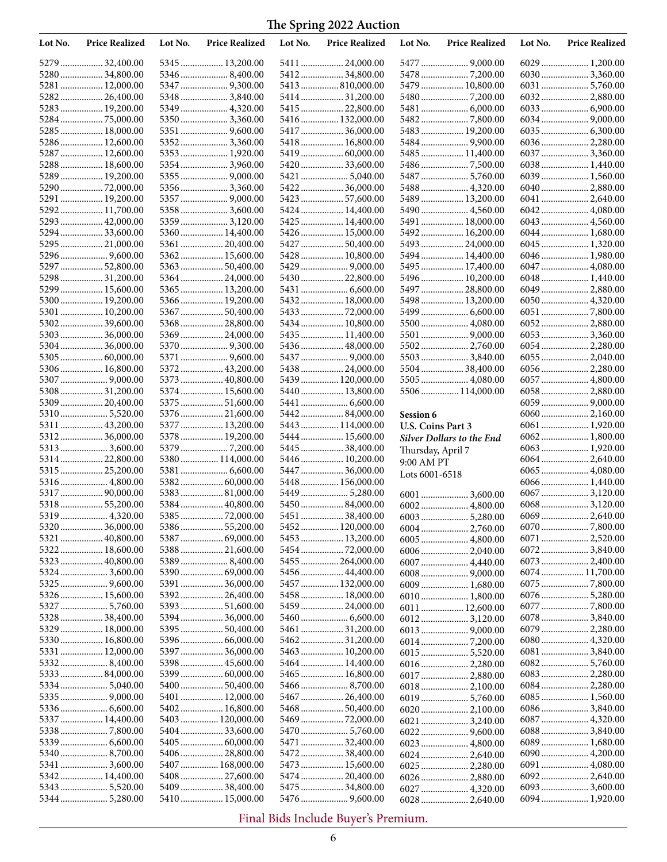| Lot No. | <b>Price Realized</b>              | Lot No. | <b>Price Realized</b>               | Lot No. | <b>Price Realized</b>               | Lot No.           | <b>Price Realized</b>             | Lot No. | <b>Price Realized</b>           |
|---------|------------------------------------|---------|-------------------------------------|---------|-------------------------------------|-------------------|-----------------------------------|---------|---------------------------------|
|         | 5279  32,400.00                    |         | 5345  13,200.00                     |         | 5411  24,000.00                     |                   |                                   |         | 6029  1,200.00                  |
|         | 528034,800.00                      |         | 5346 8,400.00                       |         | 5412  34,800.00                     |                   |                                   |         |                                 |
|         | 5281  12,000.00                    |         |                                     |         | 5413 810,000.00                     |                   | 5479  10,800.00                   |         |                                 |
|         | 5282 26,400.00                     |         | 5348  3,840.00                      |         | 5414  31,200.00                     |                   |                                   |         |                                 |
|         | 5283  19,200.00                    |         | 5349  4,320.00                      |         | 5415  22,800.00                     |                   |                                   |         |                                 |
|         | 5284 75,000.00                     |         | 53503,360.00                        |         | 5416  132,000.00                    |                   |                                   |         |                                 |
|         | 5285  18,000.00<br>5286  12,600.00 |         | 5352 3,360.00                       |         | 5417  36,000.00<br>5418  16,800.00  |                   | 5483  19,200.00                   |         |                                 |
|         | 5287  12,600.00                    |         | 5353  1,920.00                      |         |                                     |                   | 5485  11,400.00                   |         | 6037  3,360.00                  |
|         | 5288 18,600.00                     |         | 5354  3,960.00                      |         | 5420  33,600.00                     |                   |                                   |         |                                 |
|         | 5289  19,200.00                    |         | 5355  9,000.00                      |         |                                     |                   | 5487  5,760.00                    |         | 6039 1,560.00                   |
|         | 5290  72,000.00                    |         | 5356  3,360.00                      |         | 5422  36,000.00                     |                   | 5488  4,320.00                    |         | 6040  2,880.00                  |
|         | 5291  19,200.00                    |         |                                     |         | 5423  57,600.00                     |                   | 5489  13,200.00                   |         |                                 |
|         | 5292 11,700.00                     |         | 5358  3,600.00                      |         | 5424  14,400.00                     |                   | 5490  4,560.00                    |         | 6042 4,080.00                   |
|         | 5293  42,000.00                    |         | 5359  3,120.00                      |         | 5425  14,400.00                     |                   | 5491  18,000.00                   |         | 6043  4,560.00                  |
|         | 5294  33,600.00                    |         | 5360  14,400.00                     |         | 5426  15,000.00                     |                   | 5492 16,200.00                    |         | 6044  1,680.00                  |
|         | 5295  21,000.00                    |         | 5361  20,400.00                     |         | 5427  50,400.00                     |                   | 5493  24,000.00                   |         | 6045  1,320.00                  |
|         |                                    |         | 5362 15,600.00                      |         | 5428  10,800.00                     |                   | 5494  14,400.00                   |         | 6046  1,980.00                  |
|         | 5297 52,800.00<br>5298  31,200.00  |         | 5363  50,400.00<br>5364  24,000.00  |         | 5430  22,800.00                     |                   | 5495  17,400.00<br>5496 10,200.00 |         | 6047  4,080.00                  |
|         | 5299  15,600.00                    |         | 5365  13,200.00                     |         |                                     |                   | 5497  28,800.00                   |         | 6049  2,880.00                  |
|         | 5300 19,200.00                     |         | 5366  19,200.00                     |         | 5432  18,000.00                     |                   | 5498  13,200.00                   |         |                                 |
| 5301    | 10,200.00                          |         | 5367  50,400.00                     |         | 5433  72,000.00                     |                   |                                   |         |                                 |
|         | 530239,600.00                      |         | 5368  28,800.00                     |         | 5434  10,800.00                     |                   | 5500  4,080.00                    |         | 6052 2,880.00                   |
|         | 5303  36,000.00                    |         | 5369  24,000.00                     |         | 5435  11,400.00                     |                   |                                   |         | 6053  3,360.00                  |
|         | 530436,000.00                      |         |                                     |         | 5436  48,000.00                     |                   | 5502 2,760.00                     |         | 6054  2,280.00                  |
|         | 5305  60,000.00                    |         |                                     |         |                                     |                   | 5503  3,840.00                    |         | 6055  2,040.00                  |
|         | 5306 16,800.00                     |         | 5372  43,200.00                     |         |                                     |                   | 5504 38,400.00                    |         | 6056  2,280.00                  |
|         |                                    |         | 5373  40,800.00                     |         | 5439  120,000.00                    |                   | 5505  4,080.00                    |         | 6057  4,800.00                  |
|         | 5308  31,200.00<br>5309  20,400.00 |         | 5374  15,600.00<br>5375  51,600.00  |         | 5440  13,800.00                     |                   | 5506  114,000.00                  |         | 6058  2,880.00                  |
|         | 5310 5,520.00                      |         | 5376  21,600.00                     |         | 5442 84,000.00                      | Session 6         |                                   |         |                                 |
|         | 5311  43,200.00                    |         | 5377  13,200.00                     |         | 5443  114,000.00                    | U.S. Coins Part 3 |                                   |         | 6061  1,920.00                  |
|         | 531236,000.00                      |         | 5378  19,200.00                     |         | 5444  15,600.00                     |                   | Silver Dollars to the End         |         | 6062 1,800.00                   |
|         | 53133,600.00                       |         |                                     |         | 5445  38,400.00                     | Thursday, April 7 |                                   |         | 6063 1,920.00                   |
|         | 531422,800.00                      |         | 5380  114,000.00                    |         | 5446  10,200.00                     | 9:00 AM PT        |                                   |         | 6064  2,640.00                  |
|         | 5315  25,200.00                    |         |                                     |         | 5447  36,000.00                     | Lots 6001-6518    |                                   |         | 6065  4,080.00                  |
|         | 5316  4,800.00                     |         |                                     |         | 5448  156,000.00                    |                   |                                   |         | 6066  1,440.00                  |
|         | 5317  90,000.00                    |         | 5383  81,000.00                     |         | 5449  5,280.00                      |                   |                                   |         | 6067  3,120.00                  |
|         | 531855,200.00                      |         | 5384  40,800.00                     |         | 5450  84,000.00                     |                   | 6002 4,800.00                     |         | 60683,120.00                    |
|         | 5319 4,320.00<br>5320  36,000.00   |         | 5386  55,200.00                     |         | 5451  38,400.00<br>5452  120,000.00 |                   |                                   |         | 6069  2,640.00                  |
|         | 5321  40,800.00                    |         | 5387  69,000.00                     |         | 5453  13,200.00                     |                   | 6004 2,760.00<br>6005  4,800.00   |         | 6071  2,520.00                  |
|         | 5322 18,600.00                     |         | 5388  21,600.00                     |         | 5454  72,000.00                     |                   |                                   |         | 60723,840.00                    |
|         | 5323  40,800.00                    |         | 5389 8,400.00                       |         | 5455 264,000.00                     |                   | 6007  4,440.00                    |         | 6073  2,400.00                  |
|         |                                    |         | 5390  69,000.00                     |         | 5456  44,400.00                     |                   |                                   |         | 6074 11,700.00                  |
|         | 5325  9,600.00                     |         | 5391  36,000.00                     |         | 5457  132,000.00                    |                   | 6009  1,680.00                    |         |                                 |
|         | 5326  15,600.00                    |         | 5392 26,400.00                      |         | 5458  18,000.00                     |                   | 6010  1,800.00                    |         |                                 |
|         | 5327  5,760.00                     |         | 5393  51,600.00                     |         | 5459  24,000.00                     |                   | 6011  12,600.00                   |         |                                 |
|         | 5328  38,400.00                    |         | 5394  36,000.00                     |         |                                     |                   | 6012 3,120.00                     |         | 6078 3,840.00                   |
|         | 5329  18,000.00                    |         | 5395  50,400.00                     |         | 5461  31,200.00                     |                   |                                   |         | 6079  2,280.00                  |
|         | 5330  16,800.00<br>5331  12,000.00 |         | 5396  66,000.00<br>5397  36,000.00  |         | 5462  31,200.00<br>5463  10,200.00  |                   |                                   |         | 6080 4,320.00<br>6081  3,840.00 |
|         | 53328,400.00                       |         | 5398  45,600.00                     |         | 5464  14,400.00                     |                   | 6016 2,280.00                     |         |                                 |
|         | 5333 84,000.00                     |         | 5399  60,000.00                     |         | 5465  16,800.00                     |                   | 6017  2,880.00                    |         | 6083 2,280.00                   |
|         | 5334 5,040.00                      |         | 5400 50,400.00                      |         |                                     |                   | 6018 2,100.00                     |         | 6084 2,280.00                   |
|         |                                    |         | 5401  12,000.00                     |         | 5467  26,400.00                     |                   |                                   |         | 6085 1,560.00                   |
|         |                                    |         | 5402 16,800.00                      |         | 5468  50,400.00                     |                   |                                   |         | 6086  3,840.00                  |
|         | 5337  14,400.00                    |         | 5403  120,000.00                    |         | 5469 72,000.00                      |                   | 6021  3,240.00                    |         |                                 |
|         | 53387,800.00                       |         | 5404  33,600.00                     |         |                                     |                   |                                   |         | 60883,840.00                    |
|         |                                    |         | 5405  60,000.00                     |         | 5471  32,400.00                     |                   | 6023  4,800.00                    |         | 6089 1,680.00                   |
|         |                                    |         | 5406  28,800.00                     |         | 5472  38,400.00                     |                   | 6024  2,640.00                    |         | 6090 4,200.00                   |
|         | 5341  3,600.00<br>5342 14,400.00   |         | 5407  168,000.00<br>5408  27,600.00 |         | 5473  15,600.00<br>5474  20,400.00  |                   | 6025  2,280.00<br>6026  2,880.00  |         | 6091  4,080.00<br>6092 2,640.00 |
|         | 5343  5,520.00                     |         | 5409  38,400.00                     |         | 5475  34,800.00                     |                   | 6027  4,320.00                    |         | 6093  3,600.00                  |
|         | 5344  5,280.00                     |         | 5410  15,000.00                     |         |                                     |                   | 6028  2,640.00                    |         | 6094 1,920.00                   |
|         |                                    |         |                                     |         |                                     |                   |                                   |         |                                 |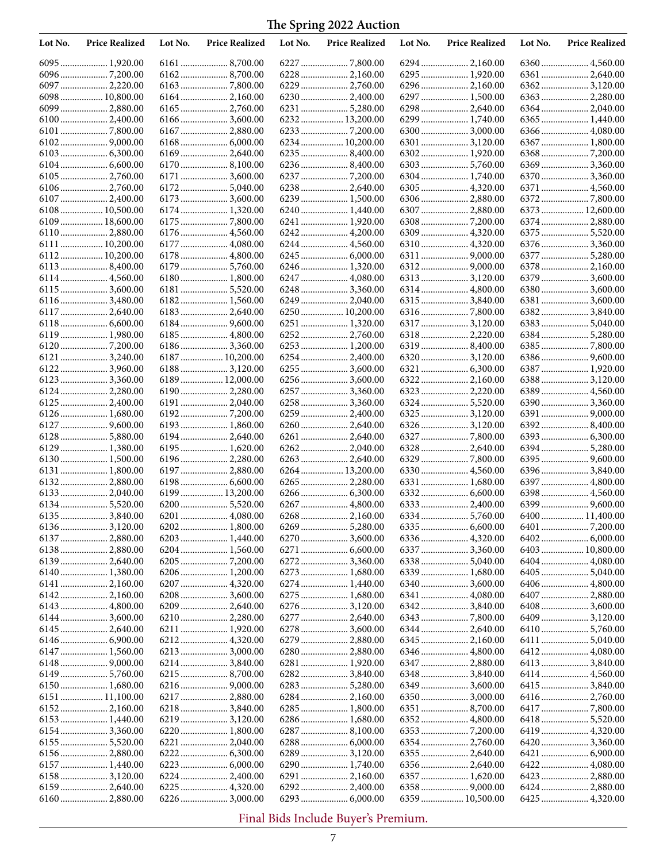| 6295  1,920.00<br>6097  2,220.00<br>6229  2,760.00<br>6098  10,800.00<br>6164  2,160.00<br>6230  2,400.00<br>6297  1,500.00<br>6363  2,280.00<br>6231  5,280.00<br>6298  2,640.00<br>6232 13,200.00<br>6299  1,740.00<br>6365 1,440.00<br>6167  2,880.00<br>6300 3,000.00<br>6101<br>6234  10,200.00<br>6301  3,120.00<br>6367  1,800.00<br>6102<br>6169  2,640.00<br>6171  3,600.00<br>6304  1,740.00<br>6106 2,760.00<br>61725,040.00<br>6173  3,600.00<br>6239  1,500.00<br>6306 2,880.00<br>6107  2,400.00<br>6108 10,500.00<br>6174  1,320.00<br>6240  1,440.00<br>6307  2,880.00<br>6373  12,600.00<br>18,600.00<br>6241  1,920.00<br>6374  2,880.00<br>6109<br>6110  2,880.00<br>6176  4,560.00<br>6309  4,320.00<br>6111  10,200.00<br>6177  4,080.00<br>6178  4,800.00<br>6112 10,200.00<br>6179  5,760.00<br>6246  1,320.00<br>6180  1,800.00<br>6247  4,080.00<br>6379  3,600.00<br>6114 4,560.00<br>6115  3,600.00<br>6181  5,520.00<br>6182 1,560.00<br>61163,480.00<br>6249  2,040.00<br>6381  3,600.00<br>6117  2,640.00<br>6183  2,640.00<br>6250  10,200.00<br>63823,840.00<br>6184  9,600.00<br>6118<br>6119  1,980.00<br>6185  4,800.00<br>6252  2,760.00<br>6253  1,200.00<br>6187  10,200.00<br>6121  3,240.00<br>61223,960.00<br>61883,120.00<br>6189  12,000.00<br>6123  3,360.00<br>2,280.00<br>6190  2,280.00<br>6257  3,360.00<br>6323  2,220.00<br>6389  4,560.00<br>6124.<br>6191  2,040.00<br>6126  1,680.00<br>6259  2,400.00<br>6193  1,860.00<br>6260  2,640.00<br>63928,400.00<br>6128  5,880.00<br>6194  2,640.00<br>6261  2,640.00<br>6195  1,620.00<br>6129  1,380.00<br>6130 1,500.00<br>6196  2,280.00<br>6197  2,880.00<br>1,800.00<br>6264  13,200.00<br>6396  3,840.00<br>6131<br>6198  6,600.00<br>6132<br>6265  2,280.00<br>6331  1,680.00<br>6397  4,800.00<br>6133  2,040.00<br>6199  13,200.00<br>6398  4,560.00<br>6200  5,520.00<br>6267  4,800.00<br>6135  3,840.00<br>6201  4,080.00<br>6268  2,160.00<br>6400 11,400.00<br>61363,120.00<br>6202 1,800.00<br>6137  2,880.00<br>6270  3,600.00<br>6203  1,440.00<br>6204 1,560.00<br>6403  10,800.00<br>6138  2,880.00<br>6272  3,360.00<br>6139  2,640.00<br>6404  4,080.00<br>6140  1,380.00<br>6206 1,200.00<br>6273  1,680.00<br>6339  1,680.00<br>6207  4,320.00<br>6274  1,440.00<br>6406 4,800.00<br>6208  3,600.00<br>6275  1,680.00<br>6341  4,080.00<br>6143  4,800.00<br>6209  2,640.00<br>6408  3,600.00<br>6210  2,280.00<br>6277  2,640.00<br>6144  3,600.00<br>6145  2,640.00<br>6211  1,920.00<br>6278  3,600.00<br>6212 4,320.00<br>6279  2,880.00<br>6147  1,560.00<br>6280  2,880.00<br>62143,840.00<br>6347  2,880.00<br>6413  3,840.00<br>6215  8,700.00<br>6282  3,840.00<br>6150 1,680.00<br>6349  3,600.00<br>6415  3,840.00<br>6217  2,880.00<br>6350 3,000.00<br>6151  11,100.00<br>6416  2,760.00<br>6218  3,840.00<br>6285  1,800.00<br>6153  1,440.00<br>6286  1,680.00<br>6352  4,800.00<br>6418 5,520.00<br>61543,360.00<br>6220  1,800.00<br>6419  4,320.00<br>6221  2,040.00<br>6156 2,880.00<br>6223  6,000.00<br>6157  1,440.00<br>6290  1,740.00<br>6356  2,640.00<br>6422  4,080.00<br>6158  3,120.00<br>6224  2,400.00<br>6291  2,160.00<br>6423  2,880.00<br>6357  1,620.00<br>6159  2,640.00<br>6225  4,320.00<br>6292  2,400.00<br>6424  2,880.00<br>6226  3,000.00<br>6160  2,880.00<br>6293  6,000.00<br>6425  4,320.00<br>6359 10,500.00 | Lot No. | <b>Price Realized</b> | Lot No. | <b>Price Realized</b> | Lot No. | <b>Price Realized</b> | Lot No. | <b>Price Realized</b> | Lot No. | <b>Price Realized</b> |
|---------------------------------------------------------------------------------------------------------------------------------------------------------------------------------------------------------------------------------------------------------------------------------------------------------------------------------------------------------------------------------------------------------------------------------------------------------------------------------------------------------------------------------------------------------------------------------------------------------------------------------------------------------------------------------------------------------------------------------------------------------------------------------------------------------------------------------------------------------------------------------------------------------------------------------------------------------------------------------------------------------------------------------------------------------------------------------------------------------------------------------------------------------------------------------------------------------------------------------------------------------------------------------------------------------------------------------------------------------------------------------------------------------------------------------------------------------------------------------------------------------------------------------------------------------------------------------------------------------------------------------------------------------------------------------------------------------------------------------------------------------------------------------------------------------------------------------------------------------------------------------------------------------------------------------------------------------------------------------------------------------------------------------------------------------------------------------------------------------------------------------------------------------------------------------------------------------------------------------------------------------------------------------------------------------------------------------------------------------------------------------------------------------------------------------------------------------------------------------------------------------------------------------------------------------------------------------------------------------------------------------------------------------------------------------------------------------------------------------------------------------------------------------------------------------------------------------------------------------------------------------------------------------------------------------------------------------------------------------------------------------------------------------------------------------------------------------------------------------------------------------------------------------------------------------------------------------------------------------------------------------------------------------------------------------------------------------------------------------------------------------------|---------|-----------------------|---------|-----------------------|---------|-----------------------|---------|-----------------------|---------|-----------------------|
|                                                                                                                                                                                                                                                                                                                                                                                                                                                                                                                                                                                                                                                                                                                                                                                                                                                                                                                                                                                                                                                                                                                                                                                                                                                                                                                                                                                                                                                                                                                                                                                                                                                                                                                                                                                                                                                                                                                                                                                                                                                                                                                                                                                                                                                                                                                                                                                                                                                                                                                                                                                                                                                                                                                                                                                                                                                                                                                                                                                                                                                                                                                                                                                                                                                                                                                                                                                       |         |                       |         |                       |         |                       |         |                       |         |                       |
|                                                                                                                                                                                                                                                                                                                                                                                                                                                                                                                                                                                                                                                                                                                                                                                                                                                                                                                                                                                                                                                                                                                                                                                                                                                                                                                                                                                                                                                                                                                                                                                                                                                                                                                                                                                                                                                                                                                                                                                                                                                                                                                                                                                                                                                                                                                                                                                                                                                                                                                                                                                                                                                                                                                                                                                                                                                                                                                                                                                                                                                                                                                                                                                                                                                                                                                                                                                       |         |                       |         |                       |         |                       |         |                       |         |                       |
|                                                                                                                                                                                                                                                                                                                                                                                                                                                                                                                                                                                                                                                                                                                                                                                                                                                                                                                                                                                                                                                                                                                                                                                                                                                                                                                                                                                                                                                                                                                                                                                                                                                                                                                                                                                                                                                                                                                                                                                                                                                                                                                                                                                                                                                                                                                                                                                                                                                                                                                                                                                                                                                                                                                                                                                                                                                                                                                                                                                                                                                                                                                                                                                                                                                                                                                                                                                       |         |                       |         |                       |         |                       |         |                       |         |                       |
|                                                                                                                                                                                                                                                                                                                                                                                                                                                                                                                                                                                                                                                                                                                                                                                                                                                                                                                                                                                                                                                                                                                                                                                                                                                                                                                                                                                                                                                                                                                                                                                                                                                                                                                                                                                                                                                                                                                                                                                                                                                                                                                                                                                                                                                                                                                                                                                                                                                                                                                                                                                                                                                                                                                                                                                                                                                                                                                                                                                                                                                                                                                                                                                                                                                                                                                                                                                       |         |                       |         |                       |         |                       |         |                       |         |                       |
|                                                                                                                                                                                                                                                                                                                                                                                                                                                                                                                                                                                                                                                                                                                                                                                                                                                                                                                                                                                                                                                                                                                                                                                                                                                                                                                                                                                                                                                                                                                                                                                                                                                                                                                                                                                                                                                                                                                                                                                                                                                                                                                                                                                                                                                                                                                                                                                                                                                                                                                                                                                                                                                                                                                                                                                                                                                                                                                                                                                                                                                                                                                                                                                                                                                                                                                                                                                       |         |                       |         |                       |         |                       |         |                       |         |                       |
|                                                                                                                                                                                                                                                                                                                                                                                                                                                                                                                                                                                                                                                                                                                                                                                                                                                                                                                                                                                                                                                                                                                                                                                                                                                                                                                                                                                                                                                                                                                                                                                                                                                                                                                                                                                                                                                                                                                                                                                                                                                                                                                                                                                                                                                                                                                                                                                                                                                                                                                                                                                                                                                                                                                                                                                                                                                                                                                                                                                                                                                                                                                                                                                                                                                                                                                                                                                       |         |                       |         |                       |         |                       |         |                       |         |                       |
|                                                                                                                                                                                                                                                                                                                                                                                                                                                                                                                                                                                                                                                                                                                                                                                                                                                                                                                                                                                                                                                                                                                                                                                                                                                                                                                                                                                                                                                                                                                                                                                                                                                                                                                                                                                                                                                                                                                                                                                                                                                                                                                                                                                                                                                                                                                                                                                                                                                                                                                                                                                                                                                                                                                                                                                                                                                                                                                                                                                                                                                                                                                                                                                                                                                                                                                                                                                       |         |                       |         |                       |         |                       |         |                       |         |                       |
|                                                                                                                                                                                                                                                                                                                                                                                                                                                                                                                                                                                                                                                                                                                                                                                                                                                                                                                                                                                                                                                                                                                                                                                                                                                                                                                                                                                                                                                                                                                                                                                                                                                                                                                                                                                                                                                                                                                                                                                                                                                                                                                                                                                                                                                                                                                                                                                                                                                                                                                                                                                                                                                                                                                                                                                                                                                                                                                                                                                                                                                                                                                                                                                                                                                                                                                                                                                       |         |                       |         |                       |         |                       |         |                       |         |                       |
|                                                                                                                                                                                                                                                                                                                                                                                                                                                                                                                                                                                                                                                                                                                                                                                                                                                                                                                                                                                                                                                                                                                                                                                                                                                                                                                                                                                                                                                                                                                                                                                                                                                                                                                                                                                                                                                                                                                                                                                                                                                                                                                                                                                                                                                                                                                                                                                                                                                                                                                                                                                                                                                                                                                                                                                                                                                                                                                                                                                                                                                                                                                                                                                                                                                                                                                                                                                       |         |                       |         |                       |         |                       |         |                       |         |                       |
|                                                                                                                                                                                                                                                                                                                                                                                                                                                                                                                                                                                                                                                                                                                                                                                                                                                                                                                                                                                                                                                                                                                                                                                                                                                                                                                                                                                                                                                                                                                                                                                                                                                                                                                                                                                                                                                                                                                                                                                                                                                                                                                                                                                                                                                                                                                                                                                                                                                                                                                                                                                                                                                                                                                                                                                                                                                                                                                                                                                                                                                                                                                                                                                                                                                                                                                                                                                       |         |                       |         |                       |         |                       |         |                       |         |                       |
|                                                                                                                                                                                                                                                                                                                                                                                                                                                                                                                                                                                                                                                                                                                                                                                                                                                                                                                                                                                                                                                                                                                                                                                                                                                                                                                                                                                                                                                                                                                                                                                                                                                                                                                                                                                                                                                                                                                                                                                                                                                                                                                                                                                                                                                                                                                                                                                                                                                                                                                                                                                                                                                                                                                                                                                                                                                                                                                                                                                                                                                                                                                                                                                                                                                                                                                                                                                       |         |                       |         |                       |         |                       |         |                       |         |                       |
|                                                                                                                                                                                                                                                                                                                                                                                                                                                                                                                                                                                                                                                                                                                                                                                                                                                                                                                                                                                                                                                                                                                                                                                                                                                                                                                                                                                                                                                                                                                                                                                                                                                                                                                                                                                                                                                                                                                                                                                                                                                                                                                                                                                                                                                                                                                                                                                                                                                                                                                                                                                                                                                                                                                                                                                                                                                                                                                                                                                                                                                                                                                                                                                                                                                                                                                                                                                       |         |                       |         |                       |         |                       |         |                       |         |                       |
|                                                                                                                                                                                                                                                                                                                                                                                                                                                                                                                                                                                                                                                                                                                                                                                                                                                                                                                                                                                                                                                                                                                                                                                                                                                                                                                                                                                                                                                                                                                                                                                                                                                                                                                                                                                                                                                                                                                                                                                                                                                                                                                                                                                                                                                                                                                                                                                                                                                                                                                                                                                                                                                                                                                                                                                                                                                                                                                                                                                                                                                                                                                                                                                                                                                                                                                                                                                       |         |                       |         |                       |         |                       |         |                       |         |                       |
|                                                                                                                                                                                                                                                                                                                                                                                                                                                                                                                                                                                                                                                                                                                                                                                                                                                                                                                                                                                                                                                                                                                                                                                                                                                                                                                                                                                                                                                                                                                                                                                                                                                                                                                                                                                                                                                                                                                                                                                                                                                                                                                                                                                                                                                                                                                                                                                                                                                                                                                                                                                                                                                                                                                                                                                                                                                                                                                                                                                                                                                                                                                                                                                                                                                                                                                                                                                       |         |                       |         |                       |         |                       |         |                       |         |                       |
|                                                                                                                                                                                                                                                                                                                                                                                                                                                                                                                                                                                                                                                                                                                                                                                                                                                                                                                                                                                                                                                                                                                                                                                                                                                                                                                                                                                                                                                                                                                                                                                                                                                                                                                                                                                                                                                                                                                                                                                                                                                                                                                                                                                                                                                                                                                                                                                                                                                                                                                                                                                                                                                                                                                                                                                                                                                                                                                                                                                                                                                                                                                                                                                                                                                                                                                                                                                       |         |                       |         |                       |         |                       |         |                       |         |                       |
|                                                                                                                                                                                                                                                                                                                                                                                                                                                                                                                                                                                                                                                                                                                                                                                                                                                                                                                                                                                                                                                                                                                                                                                                                                                                                                                                                                                                                                                                                                                                                                                                                                                                                                                                                                                                                                                                                                                                                                                                                                                                                                                                                                                                                                                                                                                                                                                                                                                                                                                                                                                                                                                                                                                                                                                                                                                                                                                                                                                                                                                                                                                                                                                                                                                                                                                                                                                       |         |                       |         |                       |         |                       |         |                       |         |                       |
|                                                                                                                                                                                                                                                                                                                                                                                                                                                                                                                                                                                                                                                                                                                                                                                                                                                                                                                                                                                                                                                                                                                                                                                                                                                                                                                                                                                                                                                                                                                                                                                                                                                                                                                                                                                                                                                                                                                                                                                                                                                                                                                                                                                                                                                                                                                                                                                                                                                                                                                                                                                                                                                                                                                                                                                                                                                                                                                                                                                                                                                                                                                                                                                                                                                                                                                                                                                       |         |                       |         |                       |         |                       |         |                       |         |                       |
|                                                                                                                                                                                                                                                                                                                                                                                                                                                                                                                                                                                                                                                                                                                                                                                                                                                                                                                                                                                                                                                                                                                                                                                                                                                                                                                                                                                                                                                                                                                                                                                                                                                                                                                                                                                                                                                                                                                                                                                                                                                                                                                                                                                                                                                                                                                                                                                                                                                                                                                                                                                                                                                                                                                                                                                                                                                                                                                                                                                                                                                                                                                                                                                                                                                                                                                                                                                       |         |                       |         |                       |         |                       |         |                       |         |                       |
|                                                                                                                                                                                                                                                                                                                                                                                                                                                                                                                                                                                                                                                                                                                                                                                                                                                                                                                                                                                                                                                                                                                                                                                                                                                                                                                                                                                                                                                                                                                                                                                                                                                                                                                                                                                                                                                                                                                                                                                                                                                                                                                                                                                                                                                                                                                                                                                                                                                                                                                                                                                                                                                                                                                                                                                                                                                                                                                                                                                                                                                                                                                                                                                                                                                                                                                                                                                       |         |                       |         |                       |         |                       |         |                       |         |                       |
|                                                                                                                                                                                                                                                                                                                                                                                                                                                                                                                                                                                                                                                                                                                                                                                                                                                                                                                                                                                                                                                                                                                                                                                                                                                                                                                                                                                                                                                                                                                                                                                                                                                                                                                                                                                                                                                                                                                                                                                                                                                                                                                                                                                                                                                                                                                                                                                                                                                                                                                                                                                                                                                                                                                                                                                                                                                                                                                                                                                                                                                                                                                                                                                                                                                                                                                                                                                       |         |                       |         |                       |         |                       |         |                       |         |                       |
|                                                                                                                                                                                                                                                                                                                                                                                                                                                                                                                                                                                                                                                                                                                                                                                                                                                                                                                                                                                                                                                                                                                                                                                                                                                                                                                                                                                                                                                                                                                                                                                                                                                                                                                                                                                                                                                                                                                                                                                                                                                                                                                                                                                                                                                                                                                                                                                                                                                                                                                                                                                                                                                                                                                                                                                                                                                                                                                                                                                                                                                                                                                                                                                                                                                                                                                                                                                       |         |                       |         |                       |         |                       |         |                       |         |                       |
|                                                                                                                                                                                                                                                                                                                                                                                                                                                                                                                                                                                                                                                                                                                                                                                                                                                                                                                                                                                                                                                                                                                                                                                                                                                                                                                                                                                                                                                                                                                                                                                                                                                                                                                                                                                                                                                                                                                                                                                                                                                                                                                                                                                                                                                                                                                                                                                                                                                                                                                                                                                                                                                                                                                                                                                                                                                                                                                                                                                                                                                                                                                                                                                                                                                                                                                                                                                       |         |                       |         |                       |         |                       |         |                       |         |                       |
|                                                                                                                                                                                                                                                                                                                                                                                                                                                                                                                                                                                                                                                                                                                                                                                                                                                                                                                                                                                                                                                                                                                                                                                                                                                                                                                                                                                                                                                                                                                                                                                                                                                                                                                                                                                                                                                                                                                                                                                                                                                                                                                                                                                                                                                                                                                                                                                                                                                                                                                                                                                                                                                                                                                                                                                                                                                                                                                                                                                                                                                                                                                                                                                                                                                                                                                                                                                       |         |                       |         |                       |         |                       |         |                       |         |                       |
|                                                                                                                                                                                                                                                                                                                                                                                                                                                                                                                                                                                                                                                                                                                                                                                                                                                                                                                                                                                                                                                                                                                                                                                                                                                                                                                                                                                                                                                                                                                                                                                                                                                                                                                                                                                                                                                                                                                                                                                                                                                                                                                                                                                                                                                                                                                                                                                                                                                                                                                                                                                                                                                                                                                                                                                                                                                                                                                                                                                                                                                                                                                                                                                                                                                                                                                                                                                       |         |                       |         |                       |         |                       |         |                       |         |                       |
|                                                                                                                                                                                                                                                                                                                                                                                                                                                                                                                                                                                                                                                                                                                                                                                                                                                                                                                                                                                                                                                                                                                                                                                                                                                                                                                                                                                                                                                                                                                                                                                                                                                                                                                                                                                                                                                                                                                                                                                                                                                                                                                                                                                                                                                                                                                                                                                                                                                                                                                                                                                                                                                                                                                                                                                                                                                                                                                                                                                                                                                                                                                                                                                                                                                                                                                                                                                       |         |                       |         |                       |         |                       |         |                       |         |                       |
|                                                                                                                                                                                                                                                                                                                                                                                                                                                                                                                                                                                                                                                                                                                                                                                                                                                                                                                                                                                                                                                                                                                                                                                                                                                                                                                                                                                                                                                                                                                                                                                                                                                                                                                                                                                                                                                                                                                                                                                                                                                                                                                                                                                                                                                                                                                                                                                                                                                                                                                                                                                                                                                                                                                                                                                                                                                                                                                                                                                                                                                                                                                                                                                                                                                                                                                                                                                       |         |                       |         |                       |         |                       |         |                       |         |                       |
|                                                                                                                                                                                                                                                                                                                                                                                                                                                                                                                                                                                                                                                                                                                                                                                                                                                                                                                                                                                                                                                                                                                                                                                                                                                                                                                                                                                                                                                                                                                                                                                                                                                                                                                                                                                                                                                                                                                                                                                                                                                                                                                                                                                                                                                                                                                                                                                                                                                                                                                                                                                                                                                                                                                                                                                                                                                                                                                                                                                                                                                                                                                                                                                                                                                                                                                                                                                       |         |                       |         |                       |         |                       |         |                       |         |                       |
|                                                                                                                                                                                                                                                                                                                                                                                                                                                                                                                                                                                                                                                                                                                                                                                                                                                                                                                                                                                                                                                                                                                                                                                                                                                                                                                                                                                                                                                                                                                                                                                                                                                                                                                                                                                                                                                                                                                                                                                                                                                                                                                                                                                                                                                                                                                                                                                                                                                                                                                                                                                                                                                                                                                                                                                                                                                                                                                                                                                                                                                                                                                                                                                                                                                                                                                                                                                       |         |                       |         |                       |         |                       |         |                       |         |                       |
|                                                                                                                                                                                                                                                                                                                                                                                                                                                                                                                                                                                                                                                                                                                                                                                                                                                                                                                                                                                                                                                                                                                                                                                                                                                                                                                                                                                                                                                                                                                                                                                                                                                                                                                                                                                                                                                                                                                                                                                                                                                                                                                                                                                                                                                                                                                                                                                                                                                                                                                                                                                                                                                                                                                                                                                                                                                                                                                                                                                                                                                                                                                                                                                                                                                                                                                                                                                       |         |                       |         |                       |         |                       |         |                       |         |                       |
|                                                                                                                                                                                                                                                                                                                                                                                                                                                                                                                                                                                                                                                                                                                                                                                                                                                                                                                                                                                                                                                                                                                                                                                                                                                                                                                                                                                                                                                                                                                                                                                                                                                                                                                                                                                                                                                                                                                                                                                                                                                                                                                                                                                                                                                                                                                                                                                                                                                                                                                                                                                                                                                                                                                                                                                                                                                                                                                                                                                                                                                                                                                                                                                                                                                                                                                                                                                       |         |                       |         |                       |         |                       |         |                       |         |                       |
|                                                                                                                                                                                                                                                                                                                                                                                                                                                                                                                                                                                                                                                                                                                                                                                                                                                                                                                                                                                                                                                                                                                                                                                                                                                                                                                                                                                                                                                                                                                                                                                                                                                                                                                                                                                                                                                                                                                                                                                                                                                                                                                                                                                                                                                                                                                                                                                                                                                                                                                                                                                                                                                                                                                                                                                                                                                                                                                                                                                                                                                                                                                                                                                                                                                                                                                                                                                       |         |                       |         |                       |         |                       |         |                       |         |                       |
|                                                                                                                                                                                                                                                                                                                                                                                                                                                                                                                                                                                                                                                                                                                                                                                                                                                                                                                                                                                                                                                                                                                                                                                                                                                                                                                                                                                                                                                                                                                                                                                                                                                                                                                                                                                                                                                                                                                                                                                                                                                                                                                                                                                                                                                                                                                                                                                                                                                                                                                                                                                                                                                                                                                                                                                                                                                                                                                                                                                                                                                                                                                                                                                                                                                                                                                                                                                       |         |                       |         |                       |         |                       |         |                       |         |                       |
|                                                                                                                                                                                                                                                                                                                                                                                                                                                                                                                                                                                                                                                                                                                                                                                                                                                                                                                                                                                                                                                                                                                                                                                                                                                                                                                                                                                                                                                                                                                                                                                                                                                                                                                                                                                                                                                                                                                                                                                                                                                                                                                                                                                                                                                                                                                                                                                                                                                                                                                                                                                                                                                                                                                                                                                                                                                                                                                                                                                                                                                                                                                                                                                                                                                                                                                                                                                       |         |                       |         |                       |         |                       |         |                       |         |                       |
|                                                                                                                                                                                                                                                                                                                                                                                                                                                                                                                                                                                                                                                                                                                                                                                                                                                                                                                                                                                                                                                                                                                                                                                                                                                                                                                                                                                                                                                                                                                                                                                                                                                                                                                                                                                                                                                                                                                                                                                                                                                                                                                                                                                                                                                                                                                                                                                                                                                                                                                                                                                                                                                                                                                                                                                                                                                                                                                                                                                                                                                                                                                                                                                                                                                                                                                                                                                       |         |                       |         |                       |         |                       |         |                       |         |                       |
|                                                                                                                                                                                                                                                                                                                                                                                                                                                                                                                                                                                                                                                                                                                                                                                                                                                                                                                                                                                                                                                                                                                                                                                                                                                                                                                                                                                                                                                                                                                                                                                                                                                                                                                                                                                                                                                                                                                                                                                                                                                                                                                                                                                                                                                                                                                                                                                                                                                                                                                                                                                                                                                                                                                                                                                                                                                                                                                                                                                                                                                                                                                                                                                                                                                                                                                                                                                       |         |                       |         |                       |         |                       |         |                       |         |                       |
|                                                                                                                                                                                                                                                                                                                                                                                                                                                                                                                                                                                                                                                                                                                                                                                                                                                                                                                                                                                                                                                                                                                                                                                                                                                                                                                                                                                                                                                                                                                                                                                                                                                                                                                                                                                                                                                                                                                                                                                                                                                                                                                                                                                                                                                                                                                                                                                                                                                                                                                                                                                                                                                                                                                                                                                                                                                                                                                                                                                                                                                                                                                                                                                                                                                                                                                                                                                       |         |                       |         |                       |         |                       |         |                       |         |                       |
|                                                                                                                                                                                                                                                                                                                                                                                                                                                                                                                                                                                                                                                                                                                                                                                                                                                                                                                                                                                                                                                                                                                                                                                                                                                                                                                                                                                                                                                                                                                                                                                                                                                                                                                                                                                                                                                                                                                                                                                                                                                                                                                                                                                                                                                                                                                                                                                                                                                                                                                                                                                                                                                                                                                                                                                                                                                                                                                                                                                                                                                                                                                                                                                                                                                                                                                                                                                       |         |                       |         |                       |         |                       |         |                       |         |                       |
|                                                                                                                                                                                                                                                                                                                                                                                                                                                                                                                                                                                                                                                                                                                                                                                                                                                                                                                                                                                                                                                                                                                                                                                                                                                                                                                                                                                                                                                                                                                                                                                                                                                                                                                                                                                                                                                                                                                                                                                                                                                                                                                                                                                                                                                                                                                                                                                                                                                                                                                                                                                                                                                                                                                                                                                                                                                                                                                                                                                                                                                                                                                                                                                                                                                                                                                                                                                       |         |                       |         |                       |         |                       |         |                       |         |                       |
|                                                                                                                                                                                                                                                                                                                                                                                                                                                                                                                                                                                                                                                                                                                                                                                                                                                                                                                                                                                                                                                                                                                                                                                                                                                                                                                                                                                                                                                                                                                                                                                                                                                                                                                                                                                                                                                                                                                                                                                                                                                                                                                                                                                                                                                                                                                                                                                                                                                                                                                                                                                                                                                                                                                                                                                                                                                                                                                                                                                                                                                                                                                                                                                                                                                                                                                                                                                       |         |                       |         |                       |         |                       |         |                       |         |                       |
|                                                                                                                                                                                                                                                                                                                                                                                                                                                                                                                                                                                                                                                                                                                                                                                                                                                                                                                                                                                                                                                                                                                                                                                                                                                                                                                                                                                                                                                                                                                                                                                                                                                                                                                                                                                                                                                                                                                                                                                                                                                                                                                                                                                                                                                                                                                                                                                                                                                                                                                                                                                                                                                                                                                                                                                                                                                                                                                                                                                                                                                                                                                                                                                                                                                                                                                                                                                       |         |                       |         |                       |         |                       |         |                       |         |                       |
|                                                                                                                                                                                                                                                                                                                                                                                                                                                                                                                                                                                                                                                                                                                                                                                                                                                                                                                                                                                                                                                                                                                                                                                                                                                                                                                                                                                                                                                                                                                                                                                                                                                                                                                                                                                                                                                                                                                                                                                                                                                                                                                                                                                                                                                                                                                                                                                                                                                                                                                                                                                                                                                                                                                                                                                                                                                                                                                                                                                                                                                                                                                                                                                                                                                                                                                                                                                       |         |                       |         |                       |         |                       |         |                       |         |                       |
|                                                                                                                                                                                                                                                                                                                                                                                                                                                                                                                                                                                                                                                                                                                                                                                                                                                                                                                                                                                                                                                                                                                                                                                                                                                                                                                                                                                                                                                                                                                                                                                                                                                                                                                                                                                                                                                                                                                                                                                                                                                                                                                                                                                                                                                                                                                                                                                                                                                                                                                                                                                                                                                                                                                                                                                                                                                                                                                                                                                                                                                                                                                                                                                                                                                                                                                                                                                       |         |                       |         |                       |         |                       |         |                       |         |                       |
|                                                                                                                                                                                                                                                                                                                                                                                                                                                                                                                                                                                                                                                                                                                                                                                                                                                                                                                                                                                                                                                                                                                                                                                                                                                                                                                                                                                                                                                                                                                                                                                                                                                                                                                                                                                                                                                                                                                                                                                                                                                                                                                                                                                                                                                                                                                                                                                                                                                                                                                                                                                                                                                                                                                                                                                                                                                                                                                                                                                                                                                                                                                                                                                                                                                                                                                                                                                       |         |                       |         |                       |         |                       |         |                       |         |                       |
|                                                                                                                                                                                                                                                                                                                                                                                                                                                                                                                                                                                                                                                                                                                                                                                                                                                                                                                                                                                                                                                                                                                                                                                                                                                                                                                                                                                                                                                                                                                                                                                                                                                                                                                                                                                                                                                                                                                                                                                                                                                                                                                                                                                                                                                                                                                                                                                                                                                                                                                                                                                                                                                                                                                                                                                                                                                                                                                                                                                                                                                                                                                                                                                                                                                                                                                                                                                       |         |                       |         |                       |         |                       |         |                       |         |                       |
|                                                                                                                                                                                                                                                                                                                                                                                                                                                                                                                                                                                                                                                                                                                                                                                                                                                                                                                                                                                                                                                                                                                                                                                                                                                                                                                                                                                                                                                                                                                                                                                                                                                                                                                                                                                                                                                                                                                                                                                                                                                                                                                                                                                                                                                                                                                                                                                                                                                                                                                                                                                                                                                                                                                                                                                                                                                                                                                                                                                                                                                                                                                                                                                                                                                                                                                                                                                       |         |                       |         |                       |         |                       |         |                       |         |                       |
|                                                                                                                                                                                                                                                                                                                                                                                                                                                                                                                                                                                                                                                                                                                                                                                                                                                                                                                                                                                                                                                                                                                                                                                                                                                                                                                                                                                                                                                                                                                                                                                                                                                                                                                                                                                                                                                                                                                                                                                                                                                                                                                                                                                                                                                                                                                                                                                                                                                                                                                                                                                                                                                                                                                                                                                                                                                                                                                                                                                                                                                                                                                                                                                                                                                                                                                                                                                       |         |                       |         |                       |         |                       |         |                       |         |                       |
|                                                                                                                                                                                                                                                                                                                                                                                                                                                                                                                                                                                                                                                                                                                                                                                                                                                                                                                                                                                                                                                                                                                                                                                                                                                                                                                                                                                                                                                                                                                                                                                                                                                                                                                                                                                                                                                                                                                                                                                                                                                                                                                                                                                                                                                                                                                                                                                                                                                                                                                                                                                                                                                                                                                                                                                                                                                                                                                                                                                                                                                                                                                                                                                                                                                                                                                                                                                       |         |                       |         |                       |         |                       |         |                       |         |                       |
|                                                                                                                                                                                                                                                                                                                                                                                                                                                                                                                                                                                                                                                                                                                                                                                                                                                                                                                                                                                                                                                                                                                                                                                                                                                                                                                                                                                                                                                                                                                                                                                                                                                                                                                                                                                                                                                                                                                                                                                                                                                                                                                                                                                                                                                                                                                                                                                                                                                                                                                                                                                                                                                                                                                                                                                                                                                                                                                                                                                                                                                                                                                                                                                                                                                                                                                                                                                       |         |                       |         |                       |         |                       |         |                       |         |                       |
|                                                                                                                                                                                                                                                                                                                                                                                                                                                                                                                                                                                                                                                                                                                                                                                                                                                                                                                                                                                                                                                                                                                                                                                                                                                                                                                                                                                                                                                                                                                                                                                                                                                                                                                                                                                                                                                                                                                                                                                                                                                                                                                                                                                                                                                                                                                                                                                                                                                                                                                                                                                                                                                                                                                                                                                                                                                                                                                                                                                                                                                                                                                                                                                                                                                                                                                                                                                       |         |                       |         |                       |         |                       |         |                       |         |                       |
|                                                                                                                                                                                                                                                                                                                                                                                                                                                                                                                                                                                                                                                                                                                                                                                                                                                                                                                                                                                                                                                                                                                                                                                                                                                                                                                                                                                                                                                                                                                                                                                                                                                                                                                                                                                                                                                                                                                                                                                                                                                                                                                                                                                                                                                                                                                                                                                                                                                                                                                                                                                                                                                                                                                                                                                                                                                                                                                                                                                                                                                                                                                                                                                                                                                                                                                                                                                       |         |                       |         |                       |         |                       |         |                       |         |                       |
|                                                                                                                                                                                                                                                                                                                                                                                                                                                                                                                                                                                                                                                                                                                                                                                                                                                                                                                                                                                                                                                                                                                                                                                                                                                                                                                                                                                                                                                                                                                                                                                                                                                                                                                                                                                                                                                                                                                                                                                                                                                                                                                                                                                                                                                                                                                                                                                                                                                                                                                                                                                                                                                                                                                                                                                                                                                                                                                                                                                                                                                                                                                                                                                                                                                                                                                                                                                       |         |                       |         |                       |         |                       |         |                       |         |                       |
|                                                                                                                                                                                                                                                                                                                                                                                                                                                                                                                                                                                                                                                                                                                                                                                                                                                                                                                                                                                                                                                                                                                                                                                                                                                                                                                                                                                                                                                                                                                                                                                                                                                                                                                                                                                                                                                                                                                                                                                                                                                                                                                                                                                                                                                                                                                                                                                                                                                                                                                                                                                                                                                                                                                                                                                                                                                                                                                                                                                                                                                                                                                                                                                                                                                                                                                                                                                       |         |                       |         |                       |         |                       |         |                       |         |                       |
|                                                                                                                                                                                                                                                                                                                                                                                                                                                                                                                                                                                                                                                                                                                                                                                                                                                                                                                                                                                                                                                                                                                                                                                                                                                                                                                                                                                                                                                                                                                                                                                                                                                                                                                                                                                                                                                                                                                                                                                                                                                                                                                                                                                                                                                                                                                                                                                                                                                                                                                                                                                                                                                                                                                                                                                                                                                                                                                                                                                                                                                                                                                                                                                                                                                                                                                                                                                       |         |                       |         |                       |         |                       |         |                       |         |                       |
|                                                                                                                                                                                                                                                                                                                                                                                                                                                                                                                                                                                                                                                                                                                                                                                                                                                                                                                                                                                                                                                                                                                                                                                                                                                                                                                                                                                                                                                                                                                                                                                                                                                                                                                                                                                                                                                                                                                                                                                                                                                                                                                                                                                                                                                                                                                                                                                                                                                                                                                                                                                                                                                                                                                                                                                                                                                                                                                                                                                                                                                                                                                                                                                                                                                                                                                                                                                       |         |                       |         |                       |         |                       |         |                       |         |                       |
|                                                                                                                                                                                                                                                                                                                                                                                                                                                                                                                                                                                                                                                                                                                                                                                                                                                                                                                                                                                                                                                                                                                                                                                                                                                                                                                                                                                                                                                                                                                                                                                                                                                                                                                                                                                                                                                                                                                                                                                                                                                                                                                                                                                                                                                                                                                                                                                                                                                                                                                                                                                                                                                                                                                                                                                                                                                                                                                                                                                                                                                                                                                                                                                                                                                                                                                                                                                       |         |                       |         |                       |         |                       |         |                       |         |                       |
|                                                                                                                                                                                                                                                                                                                                                                                                                                                                                                                                                                                                                                                                                                                                                                                                                                                                                                                                                                                                                                                                                                                                                                                                                                                                                                                                                                                                                                                                                                                                                                                                                                                                                                                                                                                                                                                                                                                                                                                                                                                                                                                                                                                                                                                                                                                                                                                                                                                                                                                                                                                                                                                                                                                                                                                                                                                                                                                                                                                                                                                                                                                                                                                                                                                                                                                                                                                       |         |                       |         |                       |         |                       |         |                       |         |                       |
|                                                                                                                                                                                                                                                                                                                                                                                                                                                                                                                                                                                                                                                                                                                                                                                                                                                                                                                                                                                                                                                                                                                                                                                                                                                                                                                                                                                                                                                                                                                                                                                                                                                                                                                                                                                                                                                                                                                                                                                                                                                                                                                                                                                                                                                                                                                                                                                                                                                                                                                                                                                                                                                                                                                                                                                                                                                                                                                                                                                                                                                                                                                                                                                                                                                                                                                                                                                       |         |                       |         |                       |         |                       |         |                       |         |                       |
|                                                                                                                                                                                                                                                                                                                                                                                                                                                                                                                                                                                                                                                                                                                                                                                                                                                                                                                                                                                                                                                                                                                                                                                                                                                                                                                                                                                                                                                                                                                                                                                                                                                                                                                                                                                                                                                                                                                                                                                                                                                                                                                                                                                                                                                                                                                                                                                                                                                                                                                                                                                                                                                                                                                                                                                                                                                                                                                                                                                                                                                                                                                                                                                                                                                                                                                                                                                       |         |                       |         |                       |         |                       |         |                       |         |                       |
|                                                                                                                                                                                                                                                                                                                                                                                                                                                                                                                                                                                                                                                                                                                                                                                                                                                                                                                                                                                                                                                                                                                                                                                                                                                                                                                                                                                                                                                                                                                                                                                                                                                                                                                                                                                                                                                                                                                                                                                                                                                                                                                                                                                                                                                                                                                                                                                                                                                                                                                                                                                                                                                                                                                                                                                                                                                                                                                                                                                                                                                                                                                                                                                                                                                                                                                                                                                       |         |                       |         |                       |         |                       |         |                       |         |                       |
|                                                                                                                                                                                                                                                                                                                                                                                                                                                                                                                                                                                                                                                                                                                                                                                                                                                                                                                                                                                                                                                                                                                                                                                                                                                                                                                                                                                                                                                                                                                                                                                                                                                                                                                                                                                                                                                                                                                                                                                                                                                                                                                                                                                                                                                                                                                                                                                                                                                                                                                                                                                                                                                                                                                                                                                                                                                                                                                                                                                                                                                                                                                                                                                                                                                                                                                                                                                       |         |                       |         |                       |         |                       |         |                       |         |                       |
|                                                                                                                                                                                                                                                                                                                                                                                                                                                                                                                                                                                                                                                                                                                                                                                                                                                                                                                                                                                                                                                                                                                                                                                                                                                                                                                                                                                                                                                                                                                                                                                                                                                                                                                                                                                                                                                                                                                                                                                                                                                                                                                                                                                                                                                                                                                                                                                                                                                                                                                                                                                                                                                                                                                                                                                                                                                                                                                                                                                                                                                                                                                                                                                                                                                                                                                                                                                       |         |                       |         |                       |         |                       |         |                       |         |                       |
|                                                                                                                                                                                                                                                                                                                                                                                                                                                                                                                                                                                                                                                                                                                                                                                                                                                                                                                                                                                                                                                                                                                                                                                                                                                                                                                                                                                                                                                                                                                                                                                                                                                                                                                                                                                                                                                                                                                                                                                                                                                                                                                                                                                                                                                                                                                                                                                                                                                                                                                                                                                                                                                                                                                                                                                                                                                                                                                                                                                                                                                                                                                                                                                                                                                                                                                                                                                       |         |                       |         |                       |         |                       |         |                       |         |                       |
|                                                                                                                                                                                                                                                                                                                                                                                                                                                                                                                                                                                                                                                                                                                                                                                                                                                                                                                                                                                                                                                                                                                                                                                                                                                                                                                                                                                                                                                                                                                                                                                                                                                                                                                                                                                                                                                                                                                                                                                                                                                                                                                                                                                                                                                                                                                                                                                                                                                                                                                                                                                                                                                                                                                                                                                                                                                                                                                                                                                                                                                                                                                                                                                                                                                                                                                                                                                       |         |                       |         |                       |         |                       |         |                       |         |                       |
|                                                                                                                                                                                                                                                                                                                                                                                                                                                                                                                                                                                                                                                                                                                                                                                                                                                                                                                                                                                                                                                                                                                                                                                                                                                                                                                                                                                                                                                                                                                                                                                                                                                                                                                                                                                                                                                                                                                                                                                                                                                                                                                                                                                                                                                                                                                                                                                                                                                                                                                                                                                                                                                                                                                                                                                                                                                                                                                                                                                                                                                                                                                                                                                                                                                                                                                                                                                       |         |                       |         |                       |         |                       |         |                       |         |                       |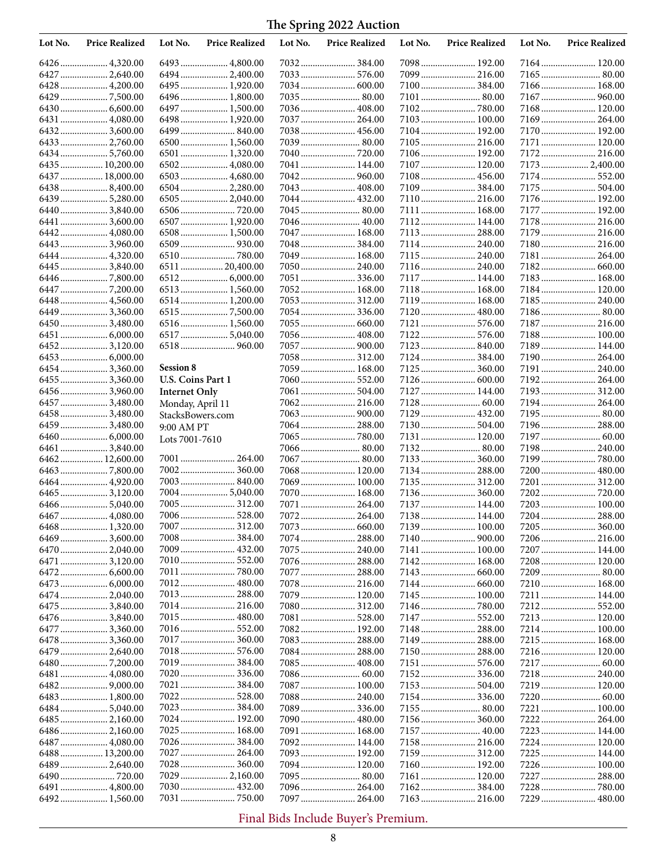| Lot No. | <b>Price Realized</b> | Lot No.              | <b>Price Realized</b> | Lot No. | <b>Price Realized</b> | Lot No. | <b>Price Realized</b> | Lot No. | <b>Price Realized</b> |
|---------|-----------------------|----------------------|-----------------------|---------|-----------------------|---------|-----------------------|---------|-----------------------|
|         | 6426  4,320.00        |                      | 6493  4,800.00        |         |                       |         | 7098 192.00           |         | 7164 120.00           |
|         | 6427  2,640.00        |                      | 6494  2,400.00        |         | 7033 576.00           |         | 7099  216.00          |         |                       |
|         | 6428  4,200.00        |                      | 6495  1,920.00        |         |                       |         |                       |         | 7166 168.00           |
|         |                       |                      | 6496  1,800.00        |         | 7035  80.00           |         | 7101  80.00           |         | 7167  960.00          |
|         |                       |                      | 6497  1,500.00        |         | 7036  408.00          |         |                       |         | 7168 120.00           |
|         | 6431  4,080.00        |                      | 6498  1,920.00        |         | 7037  264.00          |         | 7103  100.00          |         | 7169 264.00           |
|         | 64323,600.00          |                      |                       |         | 7038  456.00          |         | 7104  192.00          |         | 7170 192.00           |
|         | 6433  2,760.00        |                      | $6500$ 1,560.00       |         | 7039  80.00           |         | 7105  216.00          |         | 7171  120.00          |
|         | 64345,760.00          |                      | 6501  1,320.00        |         |                       |         | 7106 192.00           |         | 7172 216.00           |
|         | 6435  10,200.00       |                      | $6502$ 4,080.00       |         | 7041  144.00          |         | 7107  120.00          |         | 7173  2,400.00        |
|         | 6437  18,000.00       |                      | 6503  4,680.00        |         |                       |         | 7108 456.00           |         | 7174  552.00          |
|         | 64388,400.00          |                      | 6504  2,280.00        |         |                       |         | 7109  384.00          |         | 7175  504.00          |
|         | 6439 5,280.00         |                      | 6505  2,040.00        |         | 7044  432.00          |         | 7110 216.00           |         | 7176 192.00           |
|         | 64403,840.00          |                      |                       |         | 7045  80.00           |         | 7111  168.00          |         | 7177  192.00          |
|         | 6441  3,600.00        |                      | 6507  1,920.00        |         | 7046  40.00           |         | 7112 144.00           |         | 7178 216.00           |
|         | 6442 4,080.00         |                      | 6508  1,500.00        |         | 7047  168.00          |         | 7113  288.00          |         | 7179  216.00          |
|         | 6443  3,960.00        |                      |                       |         | 7048  384.00          |         | 7114  240.00          |         | 7180 216.00           |
|         | 6444  4,320.00        |                      |                       |         | 7049  168.00          |         | 7115  240.00          |         | 7181 264.00           |
|         | 6445  3,840.00        |                      | 6511  20,400.00       |         | 7050  240.00          |         | 7116 240.00           |         |                       |
|         |                       |                      |                       |         | 7051  336.00          |         | 7117  144.00          |         | 7183 168.00           |
|         |                       |                      | 6513  1,560.00        |         | 7052 168.00           |         | 7118 168.00           |         | 7184 120.00           |
|         | 6448  4,560.00        |                      | 6514  1,200.00        |         | 7053  312.00          |         | 7119  168.00          |         | 7185 240.00           |
|         | 6449  3,360.00        |                      |                       |         | 7054  336.00          |         | 7120  480.00          |         |                       |
|         | 64503,480.00          |                      | 6516  1,560.00        |         | 7055  660.00          |         |                       |         |                       |
|         |                       |                      | 6517  5,040.00        |         |                       |         |                       |         | 7188 100.00           |
|         | 64523,120.00          |                      | 6518  960.00          |         | 7057  900.00          |         |                       |         | 7189  144.00          |
|         |                       |                      |                       |         | 7058 312.00           |         |                       |         | 7190 264.00           |
|         | 64543,360.00          | <b>Session 8</b>     |                       |         | 7059  168.00          |         | 7125  360.00          |         | 7191  240.00          |
|         | 6455  3,360.00        | U.S. Coins Part 1    |                       |         |                       |         |                       |         | 7192 264.00           |
|         | 64563,960.00          | <b>Internet Only</b> |                       |         | 7061  504.00          |         | 7127  144.00          |         | 7193 312.00           |
|         | 6457  3,480.00        | Monday, April 11     |                       |         |                       |         |                       |         | 7194 264.00           |
|         | 6458  3,480.00        | StacksBowers.com     |                       |         |                       |         | 7129  432.00          |         |                       |
|         | 6459  3,480.00        | 9:00 AM PT           |                       |         | 7064  288.00          |         |                       |         | 7196 288.00           |
|         |                       | Lots 7001-7610       |                       |         |                       |         | 7131  120.00          |         |                       |
|         | 6461  3,840.00        |                      |                       |         | 7066  80.00           |         |                       |         | 7198 240.00           |
|         | 6462 12,600.00        |                      | 7001  264.00          |         | 7067  80.00           |         |                       |         | 7199780.00            |
|         |                       |                      |                       |         | 7068  120.00          |         | 7134  288.00          |         | 7200  480.00          |
|         | 6464 4,920.00         |                      | 7003  840.00          |         | 7069  100.00          |         | 7135  312.00          |         | 7201  312.00          |
|         |                       |                      | 7004  5,040.00        |         | 7070  168.00          |         | 7136 360.00           |         |                       |
|         | 6466  5,040.00        |                      | 7005  312.00          |         | 7071  264.00          |         | 7137  144.00          |         |                       |
|         | 6467  4,080.00        |                      | 7006 528.00           |         |                       |         | 7138 144.00           |         |                       |
|         |                       |                      | 7007  312.00          |         | 7073  660.00          |         | 7139  100.00          |         | 7205  360.00          |
|         |                       |                      | 7008  384.00          |         | 7074  288.00          |         |                       |         | 7206 216.00           |
|         | 6470 2,040.00         |                      |                       |         | 7075  240.00          |         | 7141  100.00          |         | 7207  144.00          |
|         | 6471  3,120.00        |                      |                       |         |                       |         | 7142 168.00           |         | 7208 120.00           |
|         |                       |                      |                       |         | 7077  288.00          |         |                       |         | 7209 80.00            |
|         |                       |                      |                       |         | 7078  216.00          |         |                       |         | 7210 168.00           |
|         | 6474 2,040.00         |                      |                       |         | 7079  120.00          |         |                       |         | 7211  144.00          |
|         | 6475  3,840.00        |                      |                       |         | 7080 312.00           |         |                       |         |                       |
|         | 6476  3,840.00        |                      |                       |         |                       |         |                       |         | 7213 120.00           |
|         | 6477  3,360.00        |                      |                       |         | 7082 192.00           |         | 7148  288.00          |         | 7214 100.00           |
|         | 6478  3,360.00        |                      | 7017  360.00          |         | 7083  288.00          |         | 7149  288.00          |         | 7215  168.00          |
|         | 64792,640.00          |                      | 7018 576.00           |         | 7084  288.00          |         |                       |         | 7216 120.00           |
|         |                       |                      | 7019  384.00          |         | 7085  408.00          |         |                       |         |                       |
|         | 6481  4,080.00        |                      |                       |         |                       |         | 7152 336.00           |         | 7218 240.00           |
|         |                       |                      |                       |         | 7087  100.00          |         |                       |         | 7219  120.00          |
|         | 6483  1,800.00        |                      |                       |         | 7088 240.00           |         |                       |         |                       |
|         |                       |                      |                       |         | 7089  336.00          |         |                       |         |                       |
|         |                       |                      | 7024  192.00          |         | 7090  480.00          |         | 7156  360.00          |         | 7222 264.00           |
|         |                       |                      | 7025  168.00          |         | 7091  168.00          |         |                       |         | 7223  144.00          |
|         | 6487  4,080.00        |                      | 7026  384.00          |         | 7092 144.00           |         | 7158 216.00           |         | 7224 120.00           |
|         | 6488 13,200.00        |                      | 7027  264.00          |         | 7093  192.00          |         | 7159  312.00          |         | 7225 144.00           |
|         | 6489  2,640.00        |                      | 7028 360.00           |         | 7094  120.00          |         | 7160 192.00           |         | 7226 100.00           |
|         |                       |                      |                       |         | 7095  80.00           |         | 7161  120.00          |         | 7227  288.00          |
|         | 6491  4,800.00        |                      |                       |         | 7096  264.00          |         | 7162384.00            |         |                       |
|         | 6492 1,560.00         |                      |                       |         | 7097  264.00          |         |                       |         |                       |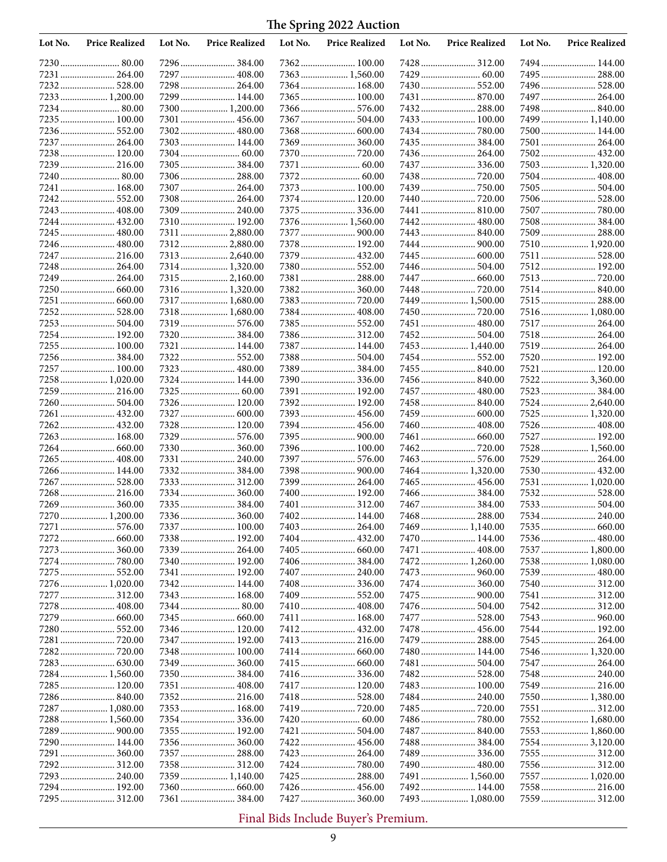| Lot No. | <b>Price Realized</b>        | Lot No. | <b>Price Realized</b>            | Lot No. | <b>Price Realized</b>        | Lot No. | <b>Price Realized</b>          | Lot No. | <b>Price Realized</b>         |
|---------|------------------------------|---------|----------------------------------|---------|------------------------------|---------|--------------------------------|---------|-------------------------------|
|         | 7230 80.00                   |         | 7296  384.00                     |         | 7362 100.00                  |         | 7428 312.00                    |         | 7494 144.00                   |
|         | 7231  264.00                 |         | 7297  408.00                     |         | 7363  1,560.00               |         |                                |         | 7495 288.00                   |
|         | 7232 528.00                  |         | 7298  264.00                     |         | 7364  168.00                 |         |                                |         | 7496 528.00                   |
|         | 7233 1,200.00                |         | 7299  144.00                     |         |                              |         |                                |         | 7497  264.00                  |
|         |                              |         | 7300 1,200.00                    |         | 7366  576.00                 |         | 7432 288.00                    |         |                               |
|         | 7235 100.00                  |         |                                  |         |                              |         |                                |         | 7499  1,140.00                |
|         | 7237  264.00                 |         | 7303  144.00                     |         | 7369  360.00                 |         |                                |         | 7500 144.00                   |
|         | 7238 120.00                  |         |                                  |         | 7370  720.00                 |         | 7435  384.00<br>7436 264.00    |         | 7501  264.00<br>7502 432.00   |
|         | 7239 216.00                  |         | 7305  384.00                     |         |                              |         | 7437  336.00                   |         | 7503  1,320.00                |
|         |                              |         | 7306  288.00                     |         |                              |         |                                |         | 7504 408.00                   |
| 7241    | 168.00                       |         | 7307  264.00                     |         | 7373  100.00                 |         |                                |         | 7505 504.00                   |
| 7242    |                              |         | 7308 264.00                      |         | 7374  120.00                 |         |                                |         |                               |
|         | 7243  408.00                 |         | 7309  240.00                     |         | 7375  336.00                 |         | 7441  810.00                   |         | 7507  780.00                  |
| 7244    | 432.00                       |         | 7310 192.00                      |         | 7376  1,560.00               |         | 7442  480.00                   |         | 7508 384.00                   |
|         | 7245  480.00                 |         | 7311  2,880.00                   |         | 7377  900.00                 |         |                                |         | 7509 288.00                   |
|         | 7246  480.00                 |         | 73122,880.00                     |         | 7378 192.00                  |         | 7444  900.00                   |         | 7510 1,920.00                 |
|         | 7247  216.00                 |         | 7313  2,640.00                   |         | 7379  432.00                 |         | 7445  600.00                   |         | 7511 528.00                   |
|         | 7248  264.00<br>7249  264.00 |         | 7314  1,320.00                   |         | 7380 552.00<br>7381  288.00  |         |                                |         | 7512 192.00                   |
|         |                              |         | 7315  2,160.00<br>7316  1,320.00 |         |                              |         |                                |         | 7514 840.00                   |
|         |                              |         | 7317  1,680.00                   |         |                              |         | 7449  1,500.00                 |         |                               |
| 7252    | 528.00                       |         | 7318 1,680.00                    |         | 7384  408.00                 |         |                                |         | 7516 1,080.00                 |
|         | 7253 504.00                  |         | 7319  576.00                     |         | 7385 552.00                  |         | 7451  480.00                   |         | 7517 264.00                   |
|         | 7254 192.00                  |         |                                  |         | 7386 312.00                  |         |                                |         | 7518 264.00                   |
|         | 7255  100.00                 |         | 7321  144.00                     |         | 7387  144.00                 |         | 7453  1,440.00                 |         | 7519 264.00                   |
|         | 7256 384.00                  |         | 7322  552.00                     |         |                              |         |                                |         | 7520 192.00                   |
|         | 7257  100.00                 |         | 7323  480.00                     |         |                              |         | 7455  840.00                   |         | 7521  120.00                  |
|         | 7258 1,020.00                |         | 7324  144.00                     |         | 7390  336.00                 |         |                                |         | 7522 3,360.00                 |
|         | 7259  216.00                 |         |                                  |         | 7391  192.00                 |         | 7457  480.00                   |         | 7523 384.00                   |
|         | 7260  504.00                 |         | 7326  120.00                     |         | 7392 192.00                  |         |                                |         | 7524 2,640.00                 |
|         | 7261  432.00                 |         |                                  |         | 7393  456.00<br>7394  456.00 |         |                                |         | 7525  1,320.00<br>7526 408.00 |
|         | 7263  168.00                 |         | 7328  120.00<br>7329  576.00     |         |                              |         | 7460  408.00                   |         | 7527  192.00                  |
|         |                              |         | 7330  360.00                     |         | 7396 100.00                  |         |                                |         | 7528 1,560.00                 |
|         | 7265  408.00                 |         | 7331  240.00                     |         | 7397  576.00                 |         |                                |         | 7529  264.00                  |
|         | 7266 144.00                  |         |                                  |         | 7398  900.00                 |         | 7464  1,320.00                 |         |                               |
|         | 7267  528.00                 |         | 7333  312.00                     |         | 7399  264.00                 |         |                                |         | 7531 1,020.00                 |
|         | 7268 216.00                  |         | 7334  360.00                     |         | 7400  192.00                 |         |                                |         | 7532 528.00                   |
|         | 7269  360.00                 |         | 7335  384.00                     |         | 7401  312.00                 |         | 7467  384.00                   |         | 7533 504.00                   |
|         | 7270  1,200.00               |         |                                  |         | 7402 144.00                  |         |                                |         |                               |
|         | 7271  576.00                 |         | 7337  100.00                     |         | 7403  264.00                 |         |                                |         |                               |
|         |                              |         |                                  |         | 7404  432.00                 |         | 7470  144.00                   |         | 7536 480.00                   |
|         |                              |         | 7339  264.00<br>7340  192.00     |         |                              |         |                                |         | 7537  1,800.00                |
|         | 7275  552.00                 |         | 7341  192.00                     |         | 7406  384.00<br>7407  240.00 |         | 7472  1,260.00<br>7473  960.00 |         | 7538 1,080.00                 |
|         | 7276 1,020.00                |         | 7342 144.00                      |         | 7408336.00                   |         | 7474 360.00                    |         | 7540  312.00                  |
|         |                              |         |                                  |         |                              |         |                                |         | 7541  312.00                  |
|         |                              |         |                                  |         |                              |         |                                |         | 7542  312.00                  |
|         | 7279  660.00                 |         |                                  |         | 7411  168.00                 |         |                                |         |                               |
|         |                              |         | 7346  120.00                     |         |                              |         |                                |         | 7544  192.00                  |
|         |                              |         | 7347  192.00                     |         | 7413  216.00                 |         |                                |         | 7545  264.00                  |
|         | 7282  720.00                 |         |                                  |         | 7414  660.00                 |         | 7480 144.00                    |         | 7546  1,320.00                |
|         |                              |         | 7349  360.00                     |         |                              |         |                                |         | 7547  264.00                  |
|         | 7284 1,560.00                |         |                                  |         | 7416  336.00                 |         |                                |         |                               |
|         | 7285 120.00                  |         |                                  |         | 7417  120.00                 |         | 7483 100.00                    |         | 7549  216.00                  |
|         | 7287  1,080.00               |         | 7353  168.00                     |         | 7418  528.00                 |         | 7484  240.00                   |         | 7550 1,380.00<br>7551  312.00 |
|         | 7288  1,560.00               |         |                                  |         |                              |         |                                |         | 7552 1,680.00                 |
|         |                              |         | 7355  192.00                     |         | 7421  504.00                 |         | 7487  840.00                   |         | 7553 1,860.00                 |
|         | 7290 144.00                  |         |                                  |         | 7422  456.00                 |         | 7488 384.00                    |         | 75543,120.00                  |
|         |                              |         | 7357  288.00                     |         |                              |         |                                |         | 7555  312.00                  |
|         |                              |         |                                  |         |                              |         |                                |         |                               |
|         | 7293 240.00                  |         | 7359  1,140.00                   |         | 7425  288.00                 |         | 7491  1,560.00                 |         | 7557  1,020.00                |
|         | 7294 192.00                  |         |                                  |         |                              |         | 7492 144.00                    |         |                               |
|         | 7295  312.00                 |         | 7361  384.00                     |         | 7427  360.00                 |         | 7493  1,080.00                 |         | 7559  312.00                  |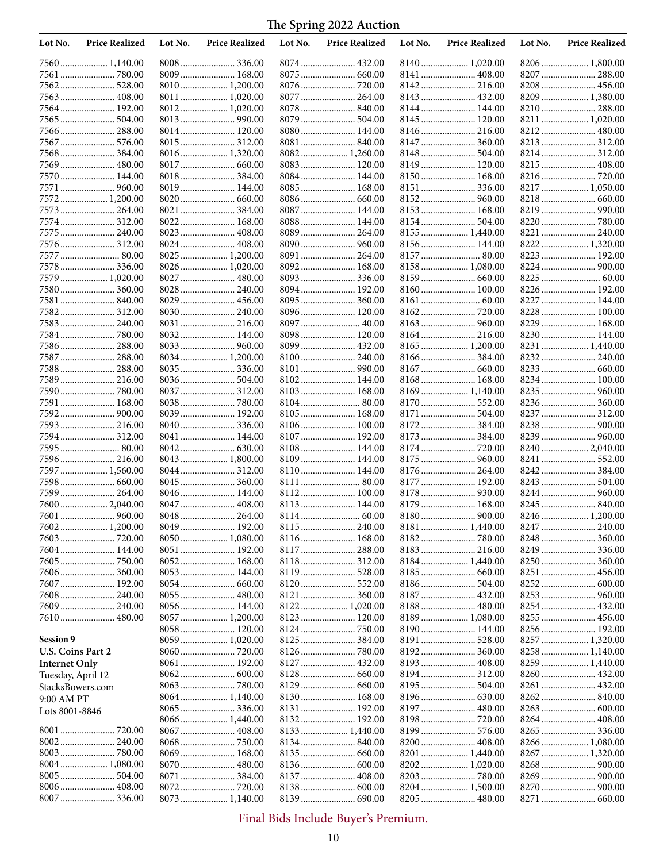| Lot No.              | <b>Price Realized</b>       | Lot No. | <b>Price Realized</b>          | Lot No. | <b>Price Realized</b>         | Lot No. | <b>Price Realized</b>          | Lot No. | <b>Price Realized</b>        |
|----------------------|-----------------------------|---------|--------------------------------|---------|-------------------------------|---------|--------------------------------|---------|------------------------------|
|                      |                             |         | 8008  336.00                   |         | 8074  432.00                  |         | 8140 1,020.00                  |         | 8206 1,800.00                |
|                      |                             |         | 8009  168.00                   |         |                               |         |                                |         | 8207  288.00                 |
|                      |                             |         | 8010  1,200.00                 |         |                               |         | 8142  216.00                   |         |                              |
|                      | 7563  408.00                |         | 8011  1,020.00                 |         |                               |         | 8143  432.00                   |         | 8209  1,380.00               |
|                      | 7564 192.00                 |         | 8012 1,020.00                  |         | 8078  840.00                  |         |                                |         | 8210 288.00                  |
|                      | 7565  504.00                |         |                                |         |                               |         | 8145  120.00                   |         | 8211  1,020.00               |
|                      | 7566  288.00                |         | 8014  120.00                   |         | 8080  144.00                  |         |                                |         |                              |
| 7568                 | 7567  576.00                |         | 8015  312.00<br>8016  1,320.00 |         | 8081  840.00<br>8082 1,260.00 |         | 8147  360.00                   |         | 8214  312.00                 |
|                      | 7569  480.00                |         | 8017  660.00                   |         | 8083  120.00                  |         | 8149  120.00                   |         | 8215 408.00                  |
|                      | 7570 144.00                 |         | 8018  384.00                   |         | 8084  144.00                  |         | 8150 168.00                    |         |                              |
| 7571                 |                             |         | 8019  144.00                   |         | 8085  168.00                  |         |                                |         | 8217 1,050.00                |
| 7572                 | 1,200.00                    |         |                                |         |                               |         |                                |         |                              |
|                      | 7573  264.00                |         |                                |         | 8087  144.00                  |         | 8153  168.00                   |         | 8219  990.00                 |
| 7574                 |                             |         | 8022 168.00                    |         | 8088  144.00                  |         |                                |         |                              |
|                      | 7575  240.00                |         | 8023  408.00                   |         | 8089  264.00                  |         | 8155  1,440.00                 |         | 8221  240.00                 |
|                      | 7576 312.00                 |         | 8024  408.00                   |         | 8090  960.00                  |         | 8156  144.00                   |         | 8222 1,320.00                |
|                      | 7577  80.00                 |         | 8025  1,200.00                 |         | 8091  264.00                  |         | 8157  80.00                    |         | 8223  192.00                 |
|                      | 7578  336.00                |         | 8026  1,020.00                 |         | 8092 168.00                   |         | 8158 1,080.00                  |         |                              |
|                      | 7579  1,020.00              |         | 8027  480.00                   |         |                               |         |                                |         |                              |
|                      | 7580 360.00                 |         | 8028  240.00                   |         | 8094  192.00                  |         |                                |         | 8226 192.00                  |
|                      | 7581  840.00                |         | 8029  456.00                   |         |                               |         |                                |         | 8227  144.00                 |
| 7582                 | 312.00                      |         | 8030  240.00                   |         | 8096 120.00                   |         |                                |         |                              |
|                      |                             |         | 8031  216.00                   |         |                               |         |                                |         | 8229  168.00                 |
|                      |                             |         | 8032 144.00                    |         | 8098  120.00                  |         | 8164  216.00                   |         | 8230 144.00                  |
|                      |                             |         |                                |         |                               |         | 8165  1,200.00                 |         | 8231  1,440.00               |
|                      | 7587  288.00                |         | 8034  1,200.00                 |         |                               |         |                                |         |                              |
|                      | 7588 288.00                 |         |                                |         |                               |         |                                |         |                              |
|                      | 7589 216.00                 |         | 8036  504.00                   |         | 8102 144.00                   |         | 8168 168.00                    |         | 8234 100.00                  |
| 7590<br>7591         | 168.00                      |         | 8037  312.00                   |         | 8103  168.00<br>8104  80.00   |         | 8169  1,140.00<br>8170  552.00 |         | 8236  360.00                 |
| 7592.                |                             |         | 8039  192.00                   |         | 8105  168.00                  |         | 8171  504.00                   |         | 8237  312.00                 |
|                      | 7593  216.00                |         |                                |         | 8106 100.00                   |         | 8172384.00                     |         |                              |
|                      | 7594 312.00                 |         | 8041  144.00                   |         | 8107  192.00                  |         | 8173  384.00                   |         |                              |
|                      | 7595 80.00                  |         |                                |         | 8108  144.00                  |         | 8174  720.00                   |         | 8240 2,040.00                |
|                      | 7596 216.00                 |         | $8043$ 1,800.00                |         | 8109  144.00                  |         | 8175  960.00                   |         | 8241  552.00                 |
|                      | 7597  1,560.00              |         | 8044  312.00                   |         | 8110  144.00                  |         |                                |         |                              |
| 7598                 |                             |         | 8045  360.00                   |         |                               |         | 8177  192.00                   |         |                              |
|                      | 7599 264.00                 |         | 8046  144.00                   |         |                               |         |                                |         | 8244  960.00                 |
|                      | 7600  2,040.00              |         | 8047  408.00                   |         | 8113  144.00                  |         | 8179  168.00                   |         | 8245  840.00                 |
|                      |                             |         | 8048  264.00                   |         |                               |         |                                |         | 8246 1,200.00                |
|                      | 7602 1,200.00               |         | 8049  192.00                   |         | 8115  240.00                  |         |                                |         |                              |
|                      |                             |         | 8050  1,080.00                 |         |                               |         |                                |         |                              |
|                      | 7604 144.00                 |         | 8051  192.00                   |         |                               |         |                                |         |                              |
|                      |                             |         | 8052  168.00                   |         | 8118  312.00                  |         | 8184  1,440.00                 |         |                              |
|                      |                             |         | 8053  144.00                   |         |                               |         |                                |         | 8251  456.00                 |
|                      | 7607  192.00                |         |                                |         |                               |         | 8186 504.00                    |         |                              |
|                      | 7608 240.00<br>7609  240.00 |         |                                |         |                               |         | 8187  432.00                   |         | 8253  960.00<br>8254  432.00 |
|                      | 7610 480.00                 |         | 8056  144.00<br>8057  1,200.00 |         | 8122 1,020.00<br>8123  120.00 |         | 8188 480.00<br>8189 1,080.00   |         | 8255  456.00                 |
|                      |                             |         | 8058 120.00                    |         |                               |         | 8190 144.00                    |         |                              |
| Session 9            |                             |         | 8059  1,020.00                 |         |                               |         |                                |         | 8257  1,320.00               |
| U.S. Coins Part 2    |                             |         |                                |         |                               |         | 8192 360.00                    |         | 8258  1,140.00               |
| <b>Internet Only</b> |                             |         | 8061  192.00                   |         |                               |         | 8193 408.00                    |         | 8259 1,440.00                |
| Tuesday, April 12    |                             |         |                                |         |                               |         | 8194  312.00                   |         |                              |
| StacksBowers.com     |                             |         |                                |         |                               |         |                                |         |                              |
| 9:00 AM PT           |                             |         | 8064  1,140.00                 |         | 8130  168.00                  |         |                                |         |                              |
| Lots 8001-8846       |                             |         |                                |         | 8131  192.00                  |         | 8197  480.00                   |         |                              |
|                      |                             |         | 8066  1,440.00                 |         |                               |         |                                |         |                              |
|                      |                             |         |                                |         | 8133  1,440.00                |         | 8199  576.00                   |         |                              |
|                      |                             |         | 8068  750.00                   |         |                               |         | 8200  408.00                   |         | 8266  1,080.00               |
|                      |                             |         | 8069  168.00                   |         |                               |         | 8201  1,440.00                 |         |                              |
|                      | 8004  1,080.00              |         | 8070  480.00                   |         |                               |         | 8202 1,020.00                  |         |                              |
|                      | 8005  504.00                |         | 8071  384.00                   |         | 8137  408.00                  |         |                                |         |                              |
|                      |                             |         |                                |         |                               |         | 8204  1,500.00                 |         |                              |
|                      |                             |         | 8073  1,140.00                 |         |                               |         |                                |         |                              |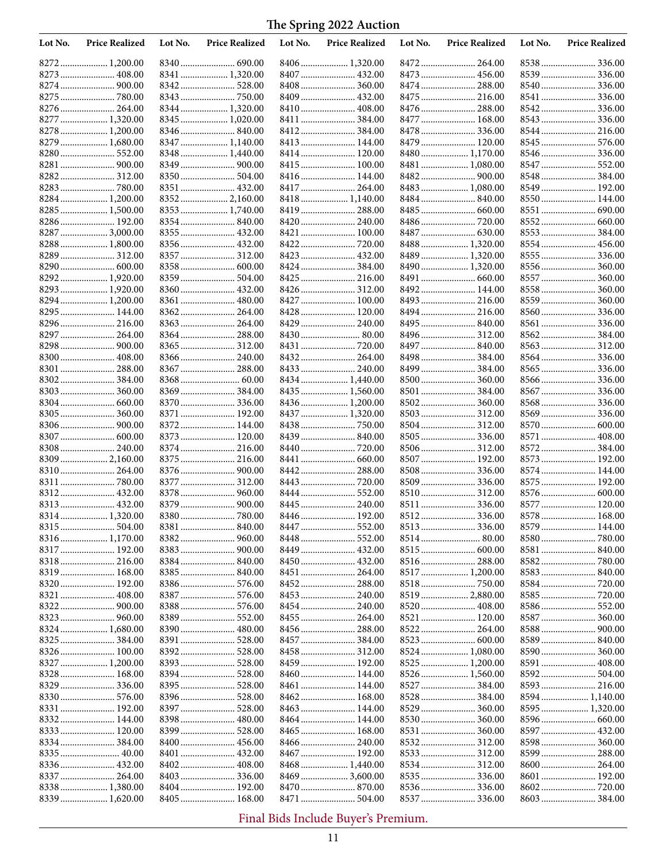| Lot No. | <b>Price Realized</b>       | Lot No. | <b>Price Realized</b>        | Lot No. | <b>Price Realized</b>        | Lot No. | <b>Price Realized</b>            | Lot No. | <b>Price Realized</b> |
|---------|-----------------------------|---------|------------------------------|---------|------------------------------|---------|----------------------------------|---------|-----------------------|
|         | 8272 1,200.00               |         |                              |         |                              |         |                                  |         |                       |
|         | 8273  408.00                |         | 8341  1,320.00               |         | 8407  432.00                 |         |                                  |         |                       |
|         |                             |         | 8342  528.00                 |         | 8408  360.00                 |         | 8474  288.00                     |         |                       |
|         | 8275  780.00                |         |                              |         |                              |         |                                  |         | 8541  336.00          |
|         | 8276  264.00                |         | 8344  1,320.00               |         | 8410  408.00                 |         |                                  |         |                       |
|         | 8277  1,320.00              |         | 8345  1,020.00               |         |                              |         | 8477  168.00                     |         | 8543  336.00          |
| 8278    | 1,200.00                    |         |                              |         | 8412  384.00                 |         | 8478  336.00                     |         | 8544  216.00          |
|         | 8279  1,680.00              |         | 8347  1,140.00               |         | 8413  144.00                 |         | 8479  120.00                     |         | 8545  576.00          |
|         | 8280 552.00                 |         | 8348  1,440.00               |         | 8414  120.00                 |         | 8480  1,170.00                   |         |                       |
|         |                             |         |                              |         | 8415  100.00                 |         | 8481  1,080.00                   |         | 8547  552.00          |
| 8282    |                             |         | 8350  504.00                 |         | 8416  144.00                 |         |                                  |         |                       |
|         |                             |         | 8351  432.00                 |         | 8417  264.00                 |         | 8483 1,080.00                    |         |                       |
|         | 8284 1,200.00               |         | 8352  2,160.00               |         | 8418 1,140.00                |         |                                  |         | 8550 144.00           |
|         | 8285  1,500.00              |         | 8353  1,740.00               |         |                              |         |                                  |         |                       |
|         | 8286 192.00                 |         |                              |         |                              |         |                                  |         |                       |
|         | 8287  3,000.00              |         | 8355  432.00                 |         |                              |         |                                  |         |                       |
|         | 8288  1,800.00              |         | 8356  432.00                 |         | 8422  720.00                 |         | 8488  1,320.00                   |         | 8554 456.00           |
|         |                             |         | 8357  312.00                 |         | 8423  432.00                 |         | 8489  1,320.00                   |         |                       |
|         | 8290 600.00                 |         |                              |         | 8424  384.00                 |         | 8490 1,320.00                    |         |                       |
|         | 8292 1,920.00               |         | 8359  504.00                 |         | 8425  216.00                 |         |                                  |         | 8557  360.00          |
|         | 8293  1,920.00              |         | 8360  432.00                 |         | 8426  312.00                 |         | 8492 144.00                      |         | 8558 360.00           |
|         | 8294  1,200.00              |         | 8361  480.00                 |         | 8427  100.00                 |         | 8493  216.00                     |         |                       |
|         | 8295  144.00<br>8296 216.00 |         | 8362 264.00<br>8363  264.00  |         | 8428  120.00                 |         | 8494  216.00                     |         | 8561  336.00          |
|         | 8297  264.00                |         | 8364  288.00                 |         | 8429  240.00<br>8430  80.00  |         | 8496 312.00                      |         |                       |
|         | 8298  900.00                |         | 8365  312.00                 |         |                              |         | 8497  840.00                     |         |                       |
|         |                             |         | 8366  240.00                 |         | 8432  264.00                 |         |                                  |         |                       |
|         | 8301  288.00                |         |                              |         | 8433  240.00                 |         |                                  |         |                       |
|         |                             |         |                              |         | 8434  1,440.00               |         |                                  |         | 8566  336.00          |
|         |                             |         | 8369  384.00                 |         | 8435  1,560.00               |         | 8501  384.00                     |         |                       |
|         |                             |         | 8370  336.00                 |         | 8436  1,200.00               |         |                                  |         |                       |
|         | 8305  360.00                |         | 8371  192.00                 |         | 8437  1,320.00               |         | 8503  312.00                     |         |                       |
|         |                             |         | 8372 144.00                  |         |                              |         |                                  |         |                       |
|         | 8307  600.00                |         | 8373  120.00                 |         |                              |         |                                  |         | 8571  408.00          |
|         |                             |         | 8374  216.00                 |         | 8440  720.00                 |         |                                  |         |                       |
|         | 8309  2,160.00              |         | 8375  216.00                 |         |                              |         | 8507  192.00                     |         | 8573 192.00           |
|         | 8310  264.00                |         |                              |         | 8442  288.00                 |         |                                  |         | 8574 144.00           |
| 8311    |                             |         | 8377  312.00                 |         |                              |         | 8509  336.00                     |         | 8575 192.00           |
| 8312.   |                             |         | 8378  960.00                 |         | 8444  552.00                 |         |                                  |         |                       |
|         | 8313 432.00                 |         | 8379  900.00                 |         | 8445  240.00                 |         | 8511  336.00                     |         |                       |
|         | 8314 1,320.00               |         |                              |         | 8446  192.00                 |         |                                  |         |                       |
|         | 8315  504.00                |         |                              |         | 8447  552.00                 |         |                                  |         | 8579 144.00           |
|         | 8316 1,170.00               |         |                              |         |                              |         |                                  |         |                       |
|         | 8317 192.00                 |         |                              |         |                              |         |                                  |         |                       |
|         |                             |         |                              |         | 8450  432.00                 |         |                                  |         |                       |
|         | 8319 168.00                 |         |                              |         |                              |         |                                  |         |                       |
|         | 8320 192.00                 |         | 8386  576.00                 |         |                              |         |                                  |         |                       |
|         |                             |         |                              |         |                              |         | 8519  2,880.00                   |         |                       |
|         |                             |         | 8388  576.00                 |         |                              |         | 8520  408.00                     |         | 8586 552.00           |
|         |                             |         |                              |         | 8455  264.00                 |         | 8521  120.00                     |         |                       |
|         | 8324 1,680.00               |         | 8390  480.00                 |         |                              |         | 8522  264.00                     |         |                       |
|         |                             |         |                              |         |                              |         |                                  |         |                       |
|         |                             |         |                              |         | 8458  312.00<br>8459  192.00 |         | 8524  1,080.00                   |         |                       |
|         | 8327  1,200.00              |         | 8393  528.00<br>8394  528.00 |         | 8460  144.00                 |         | 8525  1,200.00<br>8526  1,560.00 |         |                       |
|         | 8329  336.00                |         |                              |         | 8461  144.00                 |         | 8527  384.00                     |         | 8593 216.00           |
|         |                             |         |                              |         |                              |         |                                  |         | 8594  1,140.00        |
|         | 8331  192.00                |         | 8397  528.00                 |         |                              |         | 8529  360.00                     |         | 8595 1,320.00         |
|         |                             |         | 8398  480.00                 |         | 8464  144.00                 |         |                                  |         |                       |
|         |                             |         |                              |         |                              |         | 8531  360.00                     |         | 8597  432.00          |
|         |                             |         | 8400  456.00                 |         |                              |         |                                  |         |                       |
|         |                             |         | 8401  432.00                 |         | 8467  192.00                 |         |                                  |         |                       |
|         | 8336 432.00                 |         | 8402  408.00                 |         | 8468  1,440.00               |         | 8534  312.00                     |         |                       |
|         |                             |         |                              |         |                              |         | 8535  336.00                     |         | 8601  192.00          |
|         | 8338 1,380.00               |         |                              |         | 8470  870.00                 |         |                                  |         |                       |
|         | 8339  1,620.00              |         | 8405  168.00                 |         |                              |         |                                  |         |                       |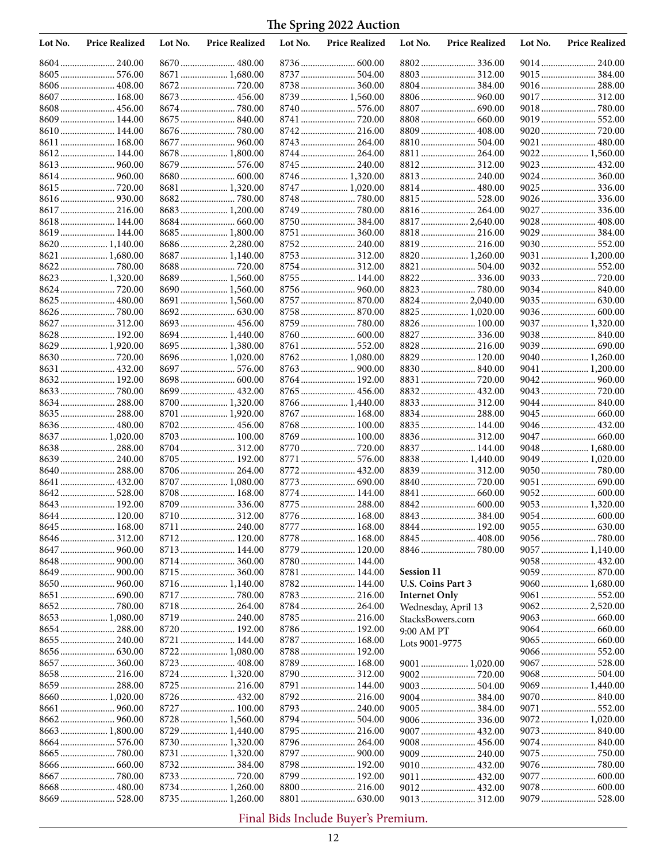| Lot No. | <b>Price Realized</b> | Lot No. | <b>Price Realized</b>          | Lot No. | <b>Price Realized</b> | Lot No.              | <b>Price Realized</b>         | Lot No. | <b>Price Realized</b> |
|---------|-----------------------|---------|--------------------------------|---------|-----------------------|----------------------|-------------------------------|---------|-----------------------|
|         | 8604 240.00           |         | 8670  480.00                   |         |                       |                      |                               |         | 9014 240.00           |
|         | 8605  576.00          |         | 8671  1,680.00                 |         | 8737  504.00          |                      | 8803  312.00                  |         |                       |
|         |                       |         |                                |         | 8738  360.00          |                      | 8804  384.00                  |         | 9016 288.00           |
|         | 8607  168.00          |         | 8673  456.00                   |         | 8739  1,560.00        |                      |                               |         | 9017 312.00           |
|         | 8608  456.00          |         |                                |         |                       |                      |                               |         |                       |
|         | 8609 144.00           |         | 8675  840.00                   |         | 8741  720.00          |                      |                               |         | 9019 552.00           |
|         | 8610 144.00           |         |                                |         | 8742  216.00          |                      | 8809  408.00                  |         | 9020  720.00          |
| 8611    | 168.00                |         |                                |         | 8743  264.00          |                      |                               |         | 9021  480.00          |
| 8612    | 144.00                |         | 8678  1,800.00                 |         | 8744  264.00          |                      |                               |         | 9022 1,560.00         |
|         |                       |         | 8679  576.00                   |         | 8745  240.00          |                      |                               |         |                       |
| 8614    |                       |         |                                |         | 8746  1,320.00        |                      | 8813  240.00                  |         | 9024 360.00           |
|         |                       |         | 8681  1,320.00                 |         | 8747  1,020.00        |                      |                               |         | 9025  336.00          |
|         |                       |         |                                |         |                       |                      |                               |         |                       |
|         |                       |         | 8683  1,200.00                 |         |                       |                      |                               |         | 9027  336.00          |
|         | 8618 144.00           |         |                                |         | 8750  384.00          |                      | 8817  2,640.00                |         |                       |
|         | 8619 144.00           |         | 8685  1,800.00                 |         | 8751  360.00          |                      | 8818 216.00                   |         | 9029  384.00          |
|         | 8620  1,140.00        |         | 8686  2,280.00                 |         | 8752 240.00           |                      | 8819 216.00<br>8820  1,260.00 |         | 9030 552.00           |
|         | 8621  1,680.00        |         | 8687  1,140.00<br>8688  720.00 |         | 8754  312.00          |                      | 8821  504.00                  |         | 9031  1,200.00        |
|         | 8623  1,320.00        |         | 8689  1,560.00                 |         | 8755  144.00          |                      | 8822 336.00                   |         |                       |
|         |                       |         |                                |         | 8756  960.00          |                      |                               |         |                       |
|         | 8625  480.00          |         | 8691  1,560.00                 |         | 8757  870.00          |                      | 8824  2,040.00                |         |                       |
|         |                       |         |                                |         | 8758  870.00          |                      | 8825  1,020.00                |         |                       |
|         | 8627  312.00          |         | 8693  456.00                   |         | 8759  780.00          |                      |                               |         | 9037 1,320.00         |
|         | 8628 192.00           |         | 8694  1,440.00                 |         | 8760  600.00          |                      | 8827  336.00                  |         |                       |
|         | 8629  1,920.00        |         | 8695  1,380.00                 |         | 8761  552.00          |                      | 8828  216.00                  |         | 9039  690.00          |
|         |                       |         | 8696  1,020.00                 |         | 8762  1,080.00        |                      | 8829  120.00                  |         |                       |
|         | 8631  432.00          |         | 8697  576.00                   |         |                       |                      |                               |         | 9041  1,200.00        |
|         |                       |         |                                |         | 8764  192.00          |                      |                               |         |                       |
|         |                       |         | 8699  432.00                   |         |                       |                      |                               |         | 9043  720.00          |
|         | 8634 288.00           |         | 8700  1,320.00                 |         | 8766  1,440.00        |                      |                               |         | 9044 840.00           |
|         | 8635  288.00          |         | 8701  1,920.00                 |         | 8767  168.00          |                      | 8834  288.00                  |         |                       |
|         | 8636 480.00           |         |                                |         |                       |                      | 8835  144.00                  |         |                       |
|         | 8637  1,020.00        |         | 8703  100.00                   |         | 8769  100.00          |                      |                               |         |                       |
|         | 8638 288.00           |         |                                |         | 8770  720.00          |                      | 8837  144.00                  |         | 9048 1,680.00         |
|         |                       |         | 8705  192.00                   |         | 8771  576.00          |                      | 8838 1,440.00                 |         |                       |
|         | 8640  288.00          |         | 8706  264.00                   |         |                       |                      | 8839 312.00                   |         |                       |
| 8641    |                       |         | 8707  1,080.00                 |         | 8773  690.00          |                      |                               |         | 9051  690.00          |
|         |                       |         | 8708  168.00                   |         | 8774  144.00          |                      |                               |         | 9052 600.00           |
|         | 8643  192.00          |         | 8709  336.00                   |         | 8775  288.00          |                      |                               |         | 9053  1,320.00        |
|         | 8644  120.00          |         | 8710  312.00                   |         | 8776  168.00          |                      |                               |         | 9054  600.00          |
|         | 8645  168.00          |         | 8711  240.00                   |         | 8777  168.00          |                      | 8844  192.00                  |         |                       |
|         |                       |         |                                |         | 8778  168.00          |                      |                               |         |                       |
|         |                       |         | 8713  144.00                   |         |                       |                      |                               |         | 9057  1,140.00        |
|         |                       |         | 8714  360.00                   |         | 8780  144.00          |                      |                               |         | 9058 432.00           |
|         | 8649  900.00          |         |                                |         | 8781  144.00          | <b>Session 11</b>    |                               |         |                       |
|         |                       |         |                                |         | 8782 144.00           | U.S. Coins Part 3    |                               |         |                       |
|         |                       |         |                                |         | 8783  216.00          | <b>Internet Only</b> |                               |         | 9061  552.00          |
|         | 8653  1,080.00        |         | 8718  264.00                   |         | 8784  264.00          |                      | Wednesday, April 13           |         | 9062 2,520.00         |
|         |                       |         | 8720  192.00                   |         | 8786  192.00          | StacksBowers.com     |                               |         |                       |
|         |                       |         | 8721  144.00                   |         | 8787  168.00          | 9:00 AM PT           |                               |         |                       |
|         |                       |         | 8722  1,080.00                 |         | 8788  192.00          | Lots 9001-9775       |                               |         | 9066 552.00           |
|         |                       |         |                                |         | 8789  168.00          |                      |                               |         |                       |
|         | 8658 216.00           |         | 8724  1,320.00                 |         |                       |                      |                               |         | 9068 504.00           |
|         | 8659  288.00          |         |                                |         | 8791  144.00          |                      | 9003  504.00                  |         | 9069  1,440.00        |
|         | 8660 1,020.00         |         | 8726  432.00                   |         | 8792 216.00           |                      |                               |         | 9070 840.00           |
|         |                       |         | 8727  100.00                   |         |                       |                      | 9005  384.00                  |         |                       |
|         |                       |         | 8728  1,560.00                 |         |                       |                      | 9006336.00                    |         | 9072 1,020.00         |
|         | 8663  1,800.00        |         | 8729  1,440.00                 |         |                       |                      | 9007  432.00                  |         | 9073 840.00           |
|         |                       |         | 8730  1,320.00                 |         |                       |                      |                               |         |                       |
|         |                       |         |                                |         | 8797  900.00          |                      |                               |         |                       |
|         |                       |         |                                |         | 8798  192.00          |                      |                               |         |                       |
|         |                       |         |                                |         | 8799  192.00          |                      | 9011  432.00                  |         | 9077  600.00          |
|         |                       |         | 8734  1,260.00                 |         |                       |                      | 9012 432.00                   |         |                       |
|         |                       |         | 8735  1,260.00                 |         |                       |                      |                               |         |                       |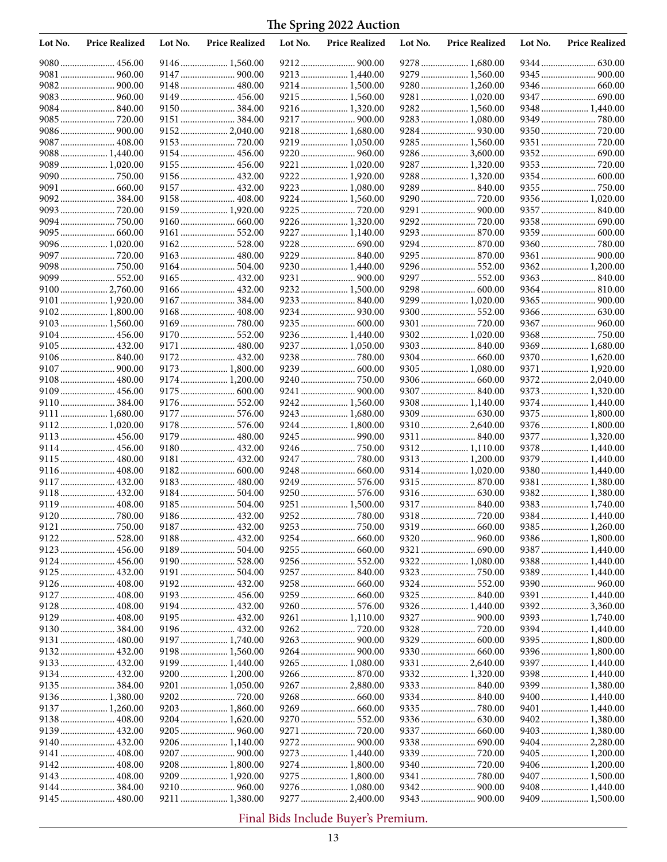| Lot No. | <b>Price Realized</b> | Lot No. | <b>Price Realized</b> | Lot No. | <b>Price Realized</b>            | Lot No. | <b>Price Realized</b> | Lot No. | <b>Price Realized</b>           |
|---------|-----------------------|---------|-----------------------|---------|----------------------------------|---------|-----------------------|---------|---------------------------------|
|         |                       |         | 9146  1,560.00        |         |                                  |         | 9278 1,680.00         |         |                                 |
|         | 9081  960.00          |         | 9147  900.00          |         | 9213  1,440.00                   |         | 9279  1,560.00        |         | 9345  900.00                    |
|         |                       |         | 9148  480.00          |         | 9214  1,500.00                   |         | 9280  1,260.00        |         |                                 |
|         |                       |         | 9149  456.00          |         | 9215  1,560.00                   |         | 9281  1,020.00        |         | 9347  690.00                    |
|         |                       |         | 9150  384.00          |         | 9216  1,320.00                   |         | 9282 1,560.00         |         |                                 |
|         |                       |         | 9151  384.00          |         | 9217  900.00                     |         | 9283 1,080.00         |         |                                 |
|         | 9086  900.00          |         | 9152 2,040.00         |         | 9218  1,680.00                   |         |                       |         |                                 |
|         | 9087  408.00          |         |                       |         | 9219  1,050.00                   |         | 9285  1,560.00        |         |                                 |
|         | 9088 1,440.00         |         | 9154  456.00          |         |                                  |         | 9286  3,600.00        |         |                                 |
|         | 9089 1,020.00         |         | 9155  456.00          |         | 9221  1,020.00                   |         | 9287  1,320.00        |         |                                 |
|         |                       |         | 9156  432.00          |         | 9222  1,920.00                   |         | 9288  1,320.00        |         |                                 |
|         | 9091  660.00          |         | 9157  432.00          |         | 9223  1,080.00                   |         | 9289  840.00          |         | 9355  750.00                    |
|         | 9092 384.00           |         | 9158  408.00          |         | 9224  1,560.00                   |         | 9290  720.00          |         |                                 |
|         |                       |         | 9159  1,920.00        |         |                                  |         | 9291  900.00          |         |                                 |
|         |                       |         |                       |         | 9226  1,320.00                   |         |                       |         |                                 |
|         |                       |         | 9161  552.00          |         | 9227  1,140.00                   |         |                       |         |                                 |
|         | 9096 1,020.00         |         |                       |         |                                  |         | 9294  870.00          |         |                                 |
|         | 9097  720.00          |         | 9163  480.00          |         | 9229  840.00                     |         |                       |         |                                 |
|         |                       |         | 9164  504.00          |         | 9230  1,440.00                   |         | 9296 552.00           |         | 9362 1,200.00                   |
|         | 9099 552.00           |         | 9165  432.00          |         | 9231  900.00                     |         | 9297  552.00          |         | 9363 840.00                     |
|         | 9100 2,760.00         |         | 9166  432.00          |         | 9232 1,500.00                    |         | 9298 600.00           |         |                                 |
| 9101    | 1,920.00              |         |                       |         |                                  |         | 9299  1,020.00        |         |                                 |
| 9102    | 1,800.00              |         |                       |         | 9234  930.00                     |         | 9300  552.00          |         |                                 |
|         | 9103 1,560.00         |         |                       |         | 9235  600.00                     |         |                       |         | 9367  960.00                    |
|         | 9104 456.00           |         | 9170  552.00          |         | 9236  1,440.00                   |         | 9302 1,020.00         |         |                                 |
|         | 9105  432.00          |         | 9171  480.00          |         | 9237  1,050.00                   |         |                       |         | 9369  1,680.00                  |
|         | 9106840.00            |         | 9172 432.00           |         |                                  |         |                       |         | 9370 1,620.00                   |
|         | 9107  900.00          |         | 9173  1,800.00        |         |                                  |         |                       |         | 9371  1,920.00                  |
|         |                       |         | 9174  1,200.00        |         |                                  |         |                       |         |                                 |
| 9109    | 456.00                |         |                       |         | 9241  900.00                     |         |                       |         | 9373 1,320.00                   |
|         | 9110 384.00           |         | 9176  552.00          |         | 9242  1,560.00                   |         | 9308 1,140.00         |         | 9374  1,440.00                  |
|         | 9111  1,680.00        |         | 9177  576.00          |         | 9243  1,680.00                   |         |                       |         | 9375  1,800.00                  |
|         | 9112 1,020.00         |         |                       |         | 9244  1,800.00                   |         | 9310 2,640.00         |         | 9376  1,800.00                  |
|         | 9113 456.00           |         | 9179  480.00          |         |                                  |         | 9311  840.00          |         | 9377  1,320.00                  |
|         | 9114  456.00          |         | 9180  432.00          |         |                                  |         | 9312 1,110.00         |         | 9378 1,440.00                   |
|         | 9115 480.00           |         | 9181  432.00          |         | 9247  780.00                     |         | 9313  1,200.00        |         | 9379 1,440.00                   |
|         |                       |         |                       |         |                                  |         | 9314  1,020.00        |         | 9380 1,440.00                   |
|         |                       |         | 9183 480.00           |         | 9249  576.00                     |         |                       |         | 9381  1,380.00                  |
|         | 9118 432.00           |         | 9184  504.00          |         | 9250  576.00                     |         |                       |         | 9382 1,380.00                   |
|         | 9119 408.00           |         | 9185  504.00          |         | 9251  1,500.00                   |         | 9317  840.00          |         | 9383 1,740.00                   |
|         |                       |         |                       |         |                                  |         |                       |         | 9384  1,440.00                  |
|         | 9121  750.00          |         | 9187  432.00          |         |                                  |         |                       |         |                                 |
|         | 9122 528.00           |         |                       |         |                                  |         |                       |         | 9386 1,800.00                   |
|         | 9123  456.00          |         | 9189  504.00          |         |                                  |         |                       |         | 9387  1,440.00                  |
|         |                       |         |                       |         | 9256  552.00                     |         | 9322 1,080.00         |         | 9388 1,440.00                   |
|         |                       |         | 9191  504.00          |         |                                  |         |                       |         | 9389 1,440.00                   |
|         | 9126  408.00          |         |                       |         |                                  |         |                       |         |                                 |
|         |                       |         |                       |         |                                  |         |                       |         | 9391  1,440.00                  |
|         | 9128 408.00           |         | 9194  432.00          |         |                                  |         | 9326 1,440.00         |         | 9392 3,360.00                   |
|         | 9129  408.00          |         |                       |         |                                  |         |                       |         | 9393 1,740.00                   |
|         |                       |         | 9196  432.00          |         |                                  |         |                       |         | 9394 1,440.00                   |
|         |                       |         | 9197  1,740.00        |         |                                  |         | 9329  600.00          |         | 9395 1,800.00                   |
|         | 9132 432.00           |         | 9198  1,560.00        |         |                                  |         |                       |         | 9396 1,800.00                   |
|         |                       |         | 9199  1,440.00        |         | 9265  1,080.00                   |         | 9331  2,640.00        |         |                                 |
|         |                       |         | 9200  1,200.00        |         |                                  |         |                       |         | 9398 1,440.00                   |
|         | 9135  384.00          |         | 9201  1,050.00        |         | 9267  2,880.00                   |         |                       |         | 9399  1,380.00                  |
|         | 9136  1,380.00        |         |                       |         |                                  |         |                       |         | 9400  1,440.00                  |
|         | 9137  1,260.00        |         | 9203  1,860.00        |         |                                  |         |                       |         |                                 |
|         | 9138 408.00           |         | 9204  1,620.00        |         |                                  |         |                       |         | 9402 1,380.00                   |
|         | 9139 432.00           |         |                       |         |                                  |         | 9337  660.00          |         |                                 |
|         | 9140 432.00           |         | 9206  1,140.00        |         |                                  |         |                       |         | 9403 1,380.00<br>9404  2,280.00 |
|         |                       |         | 9207  900.00          |         |                                  |         |                       |         |                                 |
|         | 9141  408.00          |         | 9208  1,800.00        |         | 9273  1,440.00<br>9274  1,800.00 |         |                       |         |                                 |
|         | 9143  408.00          |         | 9209  1,920.00        |         | 9275  1,800.00                   |         |                       |         |                                 |
|         |                       |         | 9210  960.00          |         | 9276  1,080.00                   |         |                       |         | 9407  1,500.00<br>9408 1,440.00 |
|         |                       |         |                       |         |                                  |         |                       |         |                                 |
|         |                       |         | 9211  1,380.00        |         | 9277  2,400.00                   |         |                       |         | 9409  1,500.00                  |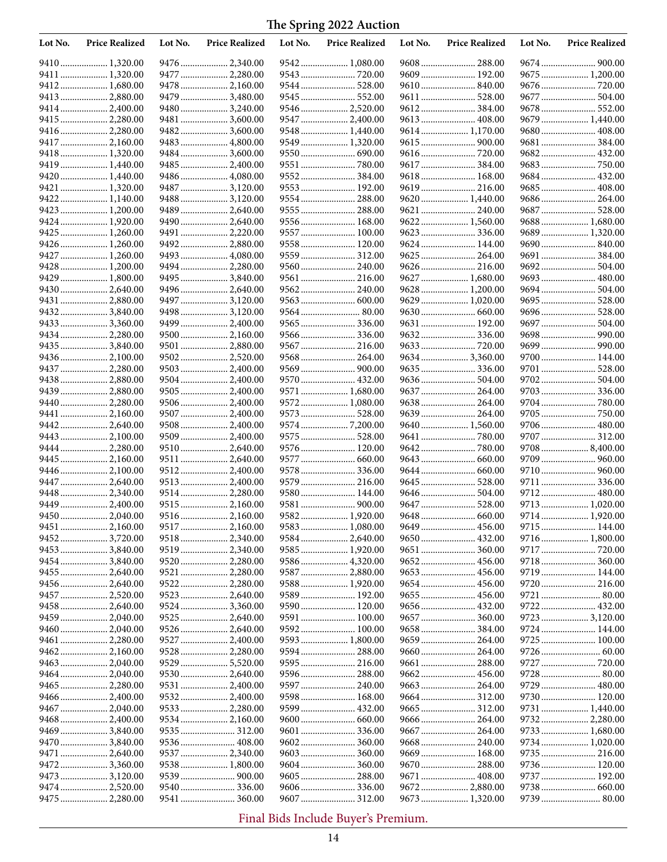| Lot No. | <b>Price Realized</b> | Lot No. | <b>Price Realized</b> | Lot No. | <b>Price Realized</b> | Lot No. | <b>Price Realized</b> | Lot No. | <b>Price Realized</b> |
|---------|-----------------------|---------|-----------------------|---------|-----------------------|---------|-----------------------|---------|-----------------------|
|         | 9410 1,320.00         |         | 9476  2,340.00        |         | 9542  1,080.00        |         |                       |         |                       |
|         | 9411  1,320.00        |         | 9477  2,280.00        |         | 9543  720.00          |         | 9609 192.00           |         | 9675  1,200.00        |
|         | 9412 1,680.00         |         | 9478  2,160.00        |         | 9544  528.00          |         |                       |         |                       |
|         | 9413  2,880.00        |         | 9479  3,480.00        |         | 9545  552.00          |         | 9611  528.00          |         | 9677  504.00          |
|         |                       |         | 9480  3,240.00        |         | 9546  2,520.00        |         |                       |         |                       |
|         | 9415  2,280.00        |         | 9481  3,600.00        |         | 9547  2,400.00        |         | 9613  408.00          |         | 9679  1,440.00        |
|         | 9416 2,280.00         |         | 9482 3,600.00         |         | 9548  1,440.00        |         | 9614 1,170.00         |         | 9680 408.00           |
|         | 9417  2,160.00        |         | 9483  4,800.00        |         | 9549  1,320.00        |         | 9615  900.00          |         | 9681  384.00          |
|         | 9418 1,320.00         |         | 9484  3,600.00        |         |                       |         | 9616  720.00          |         | 9682 432.00           |
|         | 9419  1,440.00        |         | 9485  2,400.00        |         |                       |         |                       |         |                       |
|         | 9420 1,440.00         |         | 9486  4,080.00        |         | 9552  384.00          |         | 9618  168.00          |         | 9684 432.00           |
|         | 9421  1,320.00        |         | 9487  3,120.00        |         | 9553  192.00          |         | 9619 216.00           |         | 9685 408.00           |
|         | 9422 1,140.00         |         | 9488  3,120.00        |         | 9554  288.00          |         | 9620  1,440.00        |         | 9686 264.00           |
|         | 9423  1,200.00        |         | 9489  2,640.00        |         | 9555  288.00          |         | 9621  240.00          |         |                       |
|         | 9424  1,920.00        |         | 9490  2,640.00        |         | 9556  168.00          |         | 9622  1,560.00        |         | 9688  1,680.00        |
|         | 9425  1,260.00        |         | 9491  2,220.00        |         | 9557  100.00          |         | 9623  336.00          |         | 9689 1,320.00         |
|         | 9426  1,260.00        |         | 9492  2,880.00        |         | 9558  120.00          |         | 9624  144.00          |         | 9690 840.00           |
|         | 9427  1,260.00        |         | 9493  4,080.00        |         | 9559  312.00          |         | 9625  264.00          |         | 9691  384.00          |
|         | 9428  1,200.00        |         | 9494  2,280.00        |         | 9560  240.00          |         |                       |         |                       |
|         | 9429  1,800.00        |         | 9495  3,840.00        |         | 9561  216.00          |         | 9627  1,680.00        |         | 9693 480.00           |
|         | 9430 2,640.00         |         | 9496  2,640.00        |         | 9562  240.00          |         | 9628  1,200.00        |         | 9694 504.00           |
|         | 9431  2,880.00        |         | 9497  3,120.00        |         |                       |         | 9629  1,020.00        |         | 9695 528.00           |
|         | 94323,840.00          |         | 9498  3,120.00        |         | 9564  80.00           |         |                       |         | 9696 528.00           |
|         | 9433  3,360.00        |         | 9499  2,400.00        |         | 9565  336.00          |         | 9631  192.00          |         | 9697  504.00          |
|         | 9434  2,280.00        |         | 9500  2,160.00        |         |                       |         |                       |         |                       |
|         | 9435  3,840.00        |         | 9501  2,880.00        |         |                       |         |                       |         |                       |
|         | 9436 2,100.00         |         | 9502 2,520.00         |         | 9568  264.00          |         | 9634 3,360.00         |         | 9700 144.00           |
|         | 9437  2,280.00        |         | 9503  2,400.00        |         | 9569  900.00          |         |                       |         | 9701  528.00          |
|         | 9438  2,880.00        |         | 9504  2,400.00        |         | 9570  432.00          |         |                       |         |                       |
|         | 9439  2,880.00        |         | 9505  2,400.00        |         | 9571  1,680.00        |         |                       |         |                       |
|         | 9440  2,280.00        |         | 9506  2,400.00        |         | 9572 1,080.00         |         | 9638 264.00           |         |                       |
|         | 9441  2,160.00        |         | 9507  2,400.00        |         | 9573  528.00          |         | 9639  264.00          |         |                       |
| 9442.   | 2,640.00              |         | 9508  2,400.00        |         |                       |         | 9640  1,560.00        |         | 9706  480.00          |
|         | 9443  2,100.00        |         | 9509  2,400.00        |         | 9575  528.00          |         |                       |         | 9707  312.00          |
|         | 9444  2,280.00        |         | 9510  2,640.00        |         | 9576  120.00          |         |                       |         |                       |
|         | 9445  2,160.00        |         | 9511  2,640.00        |         | 9577  660.00          |         |                       |         |                       |
|         | 9446  2,100.00        |         | 9512  2,400.00        |         | 9578  336.00          |         |                       |         | 9710 960.00           |
|         | 9447  2,640.00        |         | 9513  2,400.00        |         | 9579  216.00          |         |                       |         | 9711  336.00          |
|         | 9448  2,340.00        |         | 9514  2,280.00        |         | 9580  144.00          |         |                       |         | 9712 480.00           |
|         | 9449  2,400.00        |         | 9515  2,160.00        |         | 9581  900.00          |         |                       |         | 9713 1,020.00         |
|         | 9450 2,040.00         |         | 9516  2,160.00        |         | 9582  1,920.00        |         |                       |         | 9714 1,920.00         |
|         | 9451  2,160.00        |         | 9517  2,160.00        |         | 9583  1,080.00        |         |                       |         | 9715 144.00           |
|         | 9452 3,720.00         |         | 9518  2,340.00        |         | 9584  2,640.00        |         |                       |         | 9716 1,800.00         |
|         | 9453  3,840.00        |         | 9519  2,340.00        |         | 9585  1,920.00        |         | 9651  360.00          |         | 9717  720.00          |
|         | 9454  3,840.00        |         | 9520  2,280.00        |         | 9586  4,320.00        |         | 9652 456.00           |         | 9718 360.00           |
|         |                       |         | 9521  2,280.00        |         | 9587  2,880.00        |         |                       |         | 9719  144.00          |
|         | 9456  2,640.00        |         | 9522  2,280.00        |         | 9588 1,920.00         |         |                       |         |                       |
|         | 9457  2,520.00        |         | 9523  2,640.00        |         | 9589  192.00          |         | 9655  456.00          |         | 9721  80.00           |
|         | 9458  2,640.00        |         | 9524  3,360.00        |         | 9590  120.00          |         | 9656  432.00          |         | 9722 432.00           |
|         | 9459  2,040.00        |         | 9525  2,640.00        |         | 9591  100.00          |         |                       |         | 9723  3,120.00        |
|         | 9460  2,040.00        |         | 9526  2,640.00        |         | 9592 100.00           |         | 9658384.00            |         | 9724  144.00          |
|         | 9461  2,280.00        |         | 9527  2,400.00        |         | 9593  1,800.00        |         | 9659  264.00          |         | 9725  100.00          |
|         | 94622,160.00          |         | 9528  2,280.00        |         | 9594  288.00          |         | 9660  264.00          |         |                       |
|         |                       |         | 9529  5,520.00        |         | 9595  216.00          |         |                       |         |                       |
|         | 9464  2,040.00        |         | 9530  2,640.00        |         | 9596  288.00          |         |                       |         |                       |
|         | 9465  2,280.00        |         | 9531  2,400.00        |         |                       |         |                       |         |                       |
|         | 9466  2,400.00        |         | 9532  2,400.00        |         | 9598  168.00          |         | 9664  312.00          |         | 9730 120.00           |
|         | 9467  2,040.00        |         | 9533  2,280.00        |         | 9599  432.00          |         |                       |         | 9731  1,440.00        |
|         | 9468 2,400.00         |         | 9534  2,160.00        |         |                       |         | 9666  264.00          |         | 9732 2,280.00         |
|         | 9469  3,840.00        |         |                       |         |                       |         |                       |         | 9733  1,680.00        |
|         | 9470  3,840.00        |         | 9536  408.00          |         |                       |         | 9668 240.00           |         | 9734  1,020.00        |
|         | 9471  2,640.00        |         | 9537  2,340.00        |         |                       |         | 9669  168.00          |         | 9735 216.00           |
|         | 9472 3,360.00         |         | 9538  1,800.00        |         | 9604  360.00          |         | 9670  288.00          |         | 9736 120.00           |
|         | 9473  3,120.00        |         |                       |         | 9605  288.00          |         | 9671  408.00          |         | 9737  192.00          |
|         | 9474  2,520.00        |         | 9540  336.00          |         | 9606  336.00          |         | 9672  2,880.00        |         |                       |
|         | 9475  2,280.00        |         | 9541  360.00          |         | 9607  312.00          |         | 9673  1,320.00        |         |                       |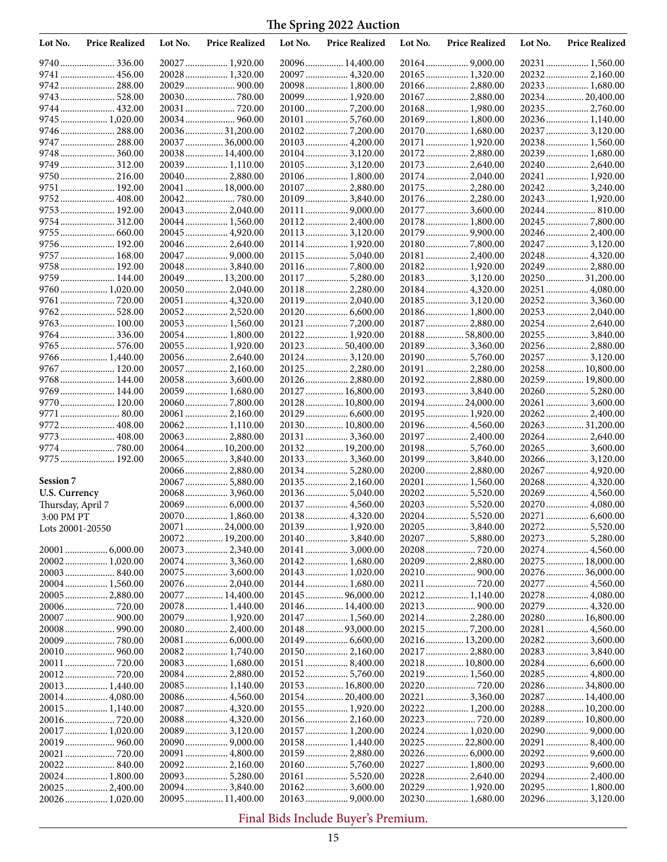| Lot No.           | <b>Price Realized</b>       | Lot No. | <b>Price Realized</b>             | Lot No. | <b>Price Realized</b>             | Lot No. | <b>Price Realized</b>               | Lot No. | <b>Price Realized</b>               |
|-------------------|-----------------------------|---------|-----------------------------------|---------|-----------------------------------|---------|-------------------------------------|---------|-------------------------------------|
|                   | 9740 336.00                 |         | 20027 1,920.00                    |         | 20096 14,400.00                   |         |                                     |         | 20231  1,560.00                     |
|                   | 9741  456.00                |         | 20028 1,320.00                    |         |                                   |         |                                     |         | 20232 2,160.00                      |
|                   | 9742 288.00                 |         | 20029  900.00                     |         | 20098 1,800.00                    |         | 20166  2,880.00                     |         | 20233  1,680.00                     |
|                   | 9743 528.00                 |         |                                   |         | 20099  1,920.00                   |         | 20167  2,880.00                     |         | 2023420,400.00                      |
|                   | 9744 432.00                 |         | 20031  720.00                     |         |                                   |         | 20168 1,980.00                      |         |                                     |
|                   | 9745  1,020.00              |         | 20034 960.00                      |         |                                   |         | 20169 1,800.00                      |         | 20236 1,140.00                      |
|                   | 9746  288.00                |         | 20036 31,200.00                   |         |                                   |         | 20170  1,680.00                     |         | 20237  3,120.00                     |
|                   | 9747  288.00                |         | 20037  36,000.00                  |         | 20103  4,200.00                   |         | 20171  1,920.00                     |         | 20238 1,560.00                      |
|                   | 9749  312.00                |         | 20038 14,400.00<br>20039 1,110.00 |         | 20104 3,120.00<br>201053,120.00   |         | 20172 2,880.00<br>20173  2,640.00   |         | 20239  1,680.00<br>20240 2,640.00   |
|                   |                             |         | 20040 2,880.00                    |         | 20106 1,800.00                    |         | 20174 2,040.00                      |         | 20241  1,920.00                     |
| 9751              | 192.00                      |         | 20041  18,000.00                  |         | 20107  2,880.00                   |         |                                     |         | 202423,240.00                       |
| 9752              |                             |         |                                   |         | 20109 3,840.00                    |         | 20176  2,280.00                     |         | 20243  1,920.00                     |
|                   | 9753 192.00                 |         | 20043 2,040.00                    |         |                                   |         | 20177  3,600.00                     |         | 20244  810.00                       |
|                   | 9754 312.00                 |         | 20044 1,560.00                    |         | 201122,400.00                     |         | 20178 1,800.00                      |         | 20245  7,800.00                     |
|                   | 9755  660.00                |         | 20045  4,920.00                   |         | 20113 3,120.00                    |         | 20179  9,900.00                     |         | 20246  2,400.00                     |
|                   | 9756 192.00                 |         | 20046 2,640.00                    |         | 20114 1,920.00                    |         | 201807,800.00                       |         | 20247  3,120.00                     |
|                   | 9757  168.00                |         | 20047  9,000.00                   |         |                                   |         | 20181  2,400.00                     |         | 20248  4,320.00                     |
|                   | 9758 192.00                 |         | 20048 3,840.00                    |         | 201167,800.00                     |         |                                     |         | 20249  2,880.00                     |
|                   | 9759 144.00                 |         | 20049  13,200.00                  |         |                                   |         | 20183 3,120.00                      |         |                                     |
|                   | 9760  1,020.00              |         | 20050 2,040.00                    |         | 20118 2,280.00                    |         | 20184 4,320.00                      |         | 20251  4,080.00                     |
|                   | 9761  720.00                |         | 20051  4,320.00                   |         |                                   |         | 20185 3,120.00                      |         | 20252 3,360.00                      |
| 9762              |                             |         | 20052 2,520.00                    |         |                                   |         | 20186 1,800.00                      |         | 20253  2,040.00                     |
|                   |                             |         | 20053 1,560.00                    |         |                                   |         | 20187  2,880.00                     |         | 20254 2,640.00                      |
|                   | 9764336.00                  |         | 20054 1,800.00                    |         | 20122 1,920.00                    |         | 2018858,800.00                      |         | 20255  3,840.00                     |
|                   | 9765  576.00                |         | 20055 1,920.00                    |         | 20123 50,400.00                   |         | 201893,360.00                       |         | 20256 2,880.00                      |
|                   | 9766  1,440.00              |         | 20056 2,640.00                    |         |                                   |         |                                     |         |                                     |
|                   | 9767  120.00<br>9768 144.00 |         | 20057  2,160.00<br>20058 3,600.00 |         | 20125 2,280.00<br>20126 2,880.00  |         | 20191  2,280.00<br>20192 2,880.00   |         | 20258 10,800.00<br>20259  19,800.00 |
| 9769              |                             |         | 20059 1,680.00                    |         | 20127  16,800.00                  |         | 20193  3,840.00                     |         |                                     |
|                   | 9770 120.00                 |         | 200607,800.00                     |         | 20128 10,800.00                   |         | 2019424,000.00                      |         | 20261  3,600.00                     |
| 9771              |                             |         | 20061  2,160.00                   |         | 20129  6,600.00                   |         | 20195  1,920.00                     |         |                                     |
|                   | 9772 408.00                 |         | 20062 1,110.00                    |         | 20130 10,800.00                   |         | 20196 4,560.00                      |         | 20263  31,200.00                    |
|                   | 9773  408.00                |         | 20063 2,880.00                    |         | 20131  3,360.00                   |         | 20197  2,400.00                     |         | 20264 2,640.00                      |
|                   |                             |         | 20064 10,200.00                   |         | 20132 19,200.00                   |         | 20198 5,760.00                      |         |                                     |
|                   | 9775  192.00                |         | 20065 3,840.00                    |         | 20133  3,360.00                   |         |                                     |         |                                     |
|                   |                             |         | 20066 2,880.00                    |         |                                   |         |                                     |         | 20267  4,920.00                     |
| <b>Session 7</b>  |                             |         | 20067  5,880.00                   |         | 20135  2,160.00                   |         | 20201  1,560.00                     |         | 20268 4,320.00                      |
| U.S. Currency     |                             |         | 20068 3,960.00                    |         | 20136 5,040.00                    |         | 20202 5,520.00                      |         | 20269  4,560.00                     |
| Thursday, April 7 |                             |         | 20069  6,000.00                   |         | 20137  4,560.00                   |         |                                     |         | 20270  4,080.00                     |
| 3:00 PM PT        |                             |         | 20070 1,860.00                    |         |                                   |         |                                     |         |                                     |
| Lots 20001-20550  |                             |         | 20071  24,000.00                  |         | 20139  1,920.00                   |         | 20205 3,840.00                      |         | 20272 5,520.00                      |
|                   |                             |         | 20072 19,200.00                   |         | 201403,840.00                     |         |                                     |         | 20273 5,280.00                      |
|                   |                             |         | 20073 2,340.00<br>200743,360.00   |         | 20141  3,000.00<br>20142 1,680.00 |         | 20209  2,880.00                     |         | 20274 4,560.00<br>20275  18,000.00  |
|                   | 20003  840.00               |         | 20075 3,600.00                    |         | 20143  1,020.00                   |         |                                     |         | 20276  36,000.00                    |
|                   |                             |         | 20076 2,040.00                    |         | 20144 1,680.00                    |         |                                     |         | 20277  4,560.00                     |
|                   | 20005  2,880.00             |         | 20077  14,400.00                  |         | 20145  96,000.00                  |         | 20212 1,140.00                      |         | 20278 4,080.00                      |
|                   |                             |         | 20078 1,440.00                    |         | 20146 14,400.00                   |         |                                     |         | 20279  4,320.00                     |
|                   | 20007  900.00               |         | 20079 1,920.00                    |         | 20147  1,560.00                   |         | 20214 2,280.00                      |         | 20280 16,800.00                     |
|                   |                             |         | 20080 2,400.00                    |         | 20148  93,000.00                  |         |                                     |         | 20281  4,560.00                     |
|                   |                             |         | 20081  6,000.00                   |         |                                   |         | 20216  13,200.00                    |         | 20282 3,600.00                      |
|                   |                             |         | 20082 1,740.00                    |         | 20150 2,160.00                    |         |                                     |         | 20283 3,840.00                      |
|                   | 20011  720.00               |         | 20083 1,680.00                    |         | 20151 8,400.00                    |         | 20218 10,800.00                     |         |                                     |
|                   |                             |         | 20084 2,880.00                    |         |                                   |         | 20219 1,560.00                      |         |                                     |
|                   | 20013 1,440.00              |         | 20085 1,140.00                    |         | 20153 16,800.00                   |         |                                     |         | 2028634,800.00                      |
|                   | 20014 4,080.00              |         | 20086 4,560.00                    |         | 20154 20,400.00                   |         | 20221  3,360.00                     |         | 20287  14,400.00                    |
|                   | 20015 1,140.00              |         | 20087 4,320.00                    |         | 20155  1,920.00                   |         | 20222 1,200.00                      |         | 20288  10,200.00                    |
|                   |                             |         | 20088 4,320.00                    |         | 20156 2,160.00                    |         | 20223  720.00                       |         | 20289  10,800.00                    |
|                   | 20017 1,020.00              |         | 20089 3,120.00<br>20090 9,000.00  |         | 20157  1,200.00                   |         | 20224  1,020.00<br>20225  22,800.00 |         | 20291  8,400.00                     |
|                   |                             |         | 20091  4,800.00                   |         | 20158 1,440.00<br>20159  2,880.00 |         |                                     |         | 20292 9,600.00                      |
|                   |                             |         | 20092 2,160.00                    |         |                                   |         | 20227  1,800.00                     |         | 20293 9,600.00                      |
|                   | 20024 1,800.00              |         | 20093 5,280.00                    |         | 20161  5,520.00                   |         | 20228 2,640.00                      |         | 20294 2,400.00                      |
|                   | 20025  2,400.00             |         | 20094 3,840.00                    |         |                                   |         | 20229  1,920.00                     |         | 20295 1,800.00                      |
|                   | 20026 1,020.00              |         | 20095 11,400.00                   |         | 20163  9,000.00                   |         | 20230 1,680.00                      |         | 20296 3,120.00                      |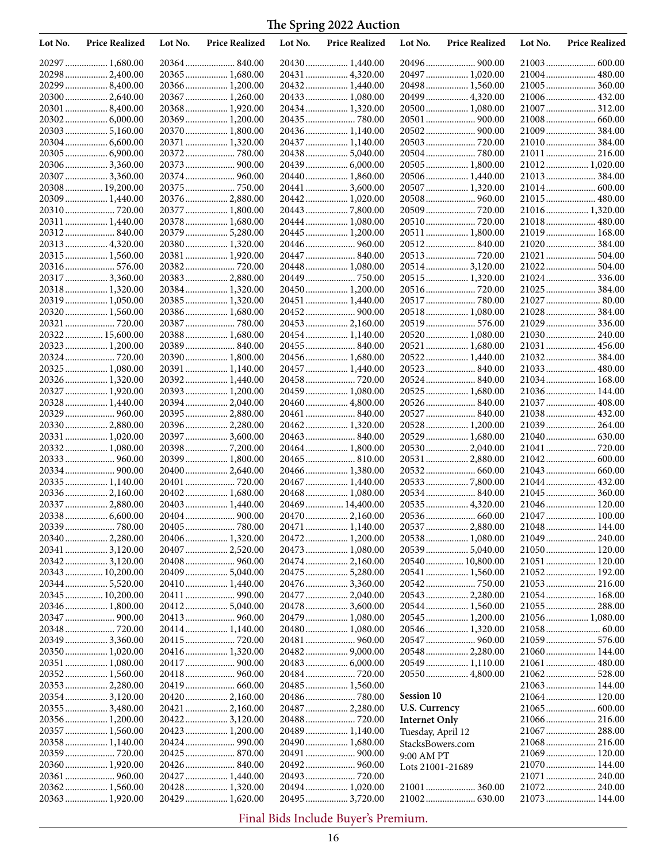| Lot No. | <b>Price Realized</b>            | Lot No. | <b>Price Realized</b>            | Lot No. | <b>Price Realized</b>             | Lot No.                               | <b>Price Realized</b> | Lot No. | <b>Price Realized</b>           |
|---------|----------------------------------|---------|----------------------------------|---------|-----------------------------------|---------------------------------------|-----------------------|---------|---------------------------------|
|         | 20297  1,680.00                  |         | 20364 840.00                     |         |                                   |                                       |                       |         |                                 |
|         | 20298 2,400.00                   |         | 20365 1,680.00                   |         | 20431  4,320.00                   |                                       | 20497  1,020.00       |         | 21004 480.00                    |
|         | 20299  8,400.00                  |         | 20366 1,200.00                   |         | 20432 1,440.00                    |                                       | 20498  1,560.00       |         | 21005 360.00                    |
|         | 20300 2,640.00                   |         | 20367 1,260.00                   |         | 20433  1,080.00                   |                                       | 20499  4,320.00       |         | 21006 432.00                    |
|         | 20301  8,400.00                  |         | 20368 1,920.00                   |         | 20434 1,320.00                    |                                       | 20500  1,080.00       |         | 21007  312.00                   |
|         |                                  |         | 20369 1,200.00                   |         | 20435  780.00                     |                                       |                       |         |                                 |
|         |                                  |         | 20370 1,800.00                   |         | 20436 1,140.00                    |                                       |                       |         |                                 |
|         | 20304  6,600.00                  |         | 20371  1,320.00                  |         | 20437  1,140.00                   |                                       |                       |         | 21010 384.00                    |
|         | 20305  6,900.00                  |         |                                  |         | 204385,040.00                     |                                       | 20505 1,800.00        |         | 21011  216.00<br>21012 1,020.00 |
|         | 203063,360.00<br>20307  3,360.00 |         |                                  |         | 20440  1,860.00                   |                                       | 20506 1,440.00        |         | 21013 384.00                    |
|         | 20308  19,200.00                 |         |                                  |         | 20441  3,600.00                   |                                       | 20507  1,320.00       |         |                                 |
|         | 20309 1,440.00                   |         | 20376 2,880.00                   |         | 20442 1,020.00                    |                                       |                       |         | 21015 480.00                    |
|         |                                  |         | 20377  1,800.00                  |         |                                   |                                       |                       |         | 21016 1,320.00                  |
|         | 20311  1,440.00                  |         | 20378 1,680.00                   |         | 20444  1,080.00                   |                                       |                       |         |                                 |
|         | 20312 840.00                     |         | 20379 5,280.00                   |         | 20445  1,200.00                   |                                       | 20511  1,800.00       |         | 21019 168.00                    |
|         | 20313 4,320.00                   |         | 20380 1,320.00                   |         | 20446  960.00                     |                                       | 20512 840.00          |         | 21020  384.00                   |
|         | 20315 1,560.00                   |         | 20381  1,920.00                  |         | 20447  840.00                     |                                       |                       |         | 21021  504.00                   |
|         | 20316 576.00                     |         |                                  |         | 20448  1,080.00                   |                                       | 20514 3,120.00        |         | 21022 504.00                    |
|         | 20317  3,360.00                  |         | 20383 2,880.00                   |         | 20449  750.00                     |                                       | 20515 1,320.00        |         | 21024 336.00                    |
|         | 20318 1,320.00                   |         | 20384 1,320.00                   |         | 20450 1,200.00                    |                                       |                       |         |                                 |
|         | 20319  1,050.00                  |         | 20385 1,320.00<br>20386 1,680.00 |         | 20451  1,440.00                   |                                       | 20518 1,080.00        |         | 21027  80.00<br>21028  384.00   |
|         | 20320  1,560.00                  |         | 20387  780.00                    |         | 20453  2,160.00                   |                                       | 20519  576.00         |         | 21029  336.00                   |
|         | 20322 15,600.00                  |         | 20388 1,680.00                   |         | 20454 1,140.00                    |                                       | 20520 1,080.00        |         | 21030 240.00                    |
|         | 20323  1,200.00                  |         | 20389 840.00                     |         | 20455 840.00                      |                                       | 20521  1,680.00       |         | 21031  456.00                   |
|         |                                  |         | 20390 1,800.00                   |         | 20456 1,680.00                    |                                       | 20522 1,440.00        |         |                                 |
|         | 20325 1,080.00                   |         | 20391 1,140.00                   |         | 20457  1,440.00                   |                                       | 20523 840.00          |         | 21033 480.00                    |
|         | 20326 1,320.00                   |         | 20392 1,440.00                   |         |                                   |                                       | 20524 840.00          |         | 21034 168.00                    |
|         | 20327  1,920.00                  |         | 20393 1,200.00                   |         | 20459  1,080.00                   |                                       | 20525  1,680.00       |         | 21036 144.00                    |
|         | 20328 1,440.00                   |         | 20394 2,040.00                   |         | 20460 4,800.00                    |                                       |                       |         | 21037  408.00                   |
|         | 20329  960.00                    |         | 20395 2,880.00                   |         | 20461  840.00                     |                                       | 20527  840.00         |         | 21038 432.00                    |
|         | 20330 2,880.00                   |         | 20396 2,280.00                   |         | 20462 1,320.00                    |                                       | 20528 1,200.00        |         |                                 |
|         | 20331  1,020.00                  |         | 20397  3,600.00                  |         | 20463  840.00                     |                                       | 20529  1,680.00       |         | 21041  720.00                   |
|         | 20332 1,080.00                   |         | 203987,200.00<br>20399 1,800.00  |         | 20464  1,800.00<br>20465  810.00  |                                       | 20531  2,880.00       |         |                                 |
|         |                                  |         | 20400 2,640.00                   |         | 20466  1,380.00                   |                                       |                       |         |                                 |
|         | 20335 1,140.00                   |         |                                  |         | 20467  1,440.00                   |                                       |                       |         | 21044 432.00                    |
|         | 20336 2,160.00                   |         | 20402 1,680.00                   |         | 20468 1,080.00                    |                                       | 20534 840.00          |         | 21045  360.00                   |
|         | 20337  2,880.00                  |         | 20403 1,440.00                   |         | 20469  14,400.00                  |                                       | 20535 4,320.00        |         | 21046 120.00                    |
|         |                                  |         |                                  |         | 20470  2,160.00                   |                                       |                       |         |                                 |
|         |                                  |         |                                  |         | 20471  1,140.00                   |                                       | 20537  2,880.00       |         | 21048 144.00                    |
|         |                                  |         |                                  |         |                                   |                                       |                       |         |                                 |
|         | 20341  3,120.00                  |         | 20407  2,520.00                  |         | 20473  1,080.00                   |                                       |                       |         |                                 |
|         | 203423,120.00                    |         |                                  |         |                                   |                                       | 20540  10,800.00      |         |                                 |
|         | 20343  10,200.00                 |         |                                  |         |                                   |                                       | 20541  1,560.00       |         |                                 |
|         | 20345  10,200.00                 |         | 20410 1,440.00                   |         | 20476 3,360.00<br>20477  2,040.00 |                                       | 20543  2,280.00       |         |                                 |
|         | 20346 1,800.00                   |         | 20412 5,040.00                   |         | 20478  3,600.00                   |                                       | 20544  1,560.00       |         | 21055  288.00                   |
|         |                                  |         |                                  |         | 20479  1,080.00                   |                                       | 20545  1,200.00       |         | 21056 1,080.00                  |
|         |                                  |         | 20414 1,140.00                   |         | 20480 1,080.00                    |                                       |                       |         |                                 |
|         | 20349  3,360.00                  |         |                                  |         |                                   |                                       |                       |         | 21059 576.00                    |
|         | 20350 1,020.00                   |         | 20416 1,320.00                   |         |                                   |                                       | 20548 2,280.00        |         | 21060 144.00                    |
|         | 20351  1,080.00                  |         |                                  |         |                                   |                                       | 20549  1,110.00       |         |                                 |
|         | 20352 1,560.00                   |         | 20418 960.00                     |         |                                   |                                       | 20550  4,800.00       |         | 21062 528.00                    |
|         | 20353 2,280.00                   |         |                                  |         | 20485  1,560.00                   |                                       |                       |         | 21063  144.00                   |
|         | 203543,120.00                    |         | 20420 2,160.00                   |         |                                   | <b>Session 10</b>                     |                       |         | 21064 120.00                    |
|         | 20355 3,480.00                   |         | 20421  2,160.00                  |         | 20487  2,280.00                   | U.S. Currency                         |                       |         | 21066 216.00                    |
|         | 20356 1,200.00<br>20357 1,560.00 |         | 204223,120.00                    |         | 20489  1,140.00                   | <b>Internet Only</b>                  |                       |         | 21067  288.00                   |
|         | 20358 1,140.00                   |         |                                  |         | 20490 1,680.00                    | Tuesday, April 12<br>StacksBowers.com |                       |         | 21068 216.00                    |
|         |                                  |         |                                  |         |                                   | 9:00 AM PT                            |                       |         |                                 |
|         | 20360 1,920.00                   |         | 20426 840.00                     |         | 20492 960.00                      | Lots 21001-21689                      |                       |         | 21070  144.00                   |
|         | 20361  960.00                    |         | 20427  1,440.00                  |         | 20493  720.00                     |                                       |                       |         | 21071  240.00                   |
|         | 20362 1,560.00                   |         |                                  |         | 20494 1,020.00                    |                                       |                       |         | 21072 240.00                    |
|         | 20363 1,920.00                   |         | 20429 1,620.00                   |         | 20495  3,720.00                   |                                       |                       |         | 21073  144.00                   |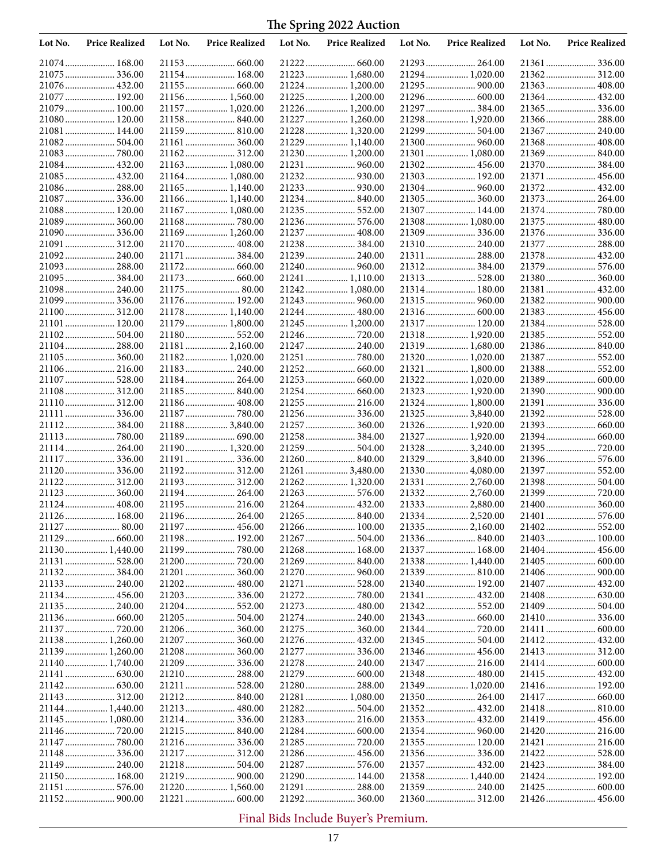| Lot No. | <b>Price Realized</b>          | Lot No. | <b>Price Realized</b>           | Lot No. | <b>Price Realized</b>         | Lot No. | <b>Price Realized</b>           | Lot No. | <b>Price Realized</b>         |
|---------|--------------------------------|---------|---------------------------------|---------|-------------------------------|---------|---------------------------------|---------|-------------------------------|
|         | 21074 168.00                   |         |                                 |         | 21222 660.00                  |         |                                 |         | 21361  336.00                 |
|         | 21075  336.00                  |         | 21154 168.00                    |         | 21223  1,680.00               |         | 21294 1,020.00                  |         |                               |
|         | 21076 432.00                   |         |                                 |         | 21224  1,200.00               |         |                                 |         | 21363 408.00                  |
|         | 21077  192.00                  |         | 21156 1,560.00                  |         | 21225  1,200.00               |         | 21296 600.00                    |         | 21364 432.00                  |
|         | 21079  100.00                  |         | 21157  1,020.00                 |         | 21226  1,200.00               |         | 21297  384.00                   |         | 21365  336.00                 |
|         | 21080 120.00                   |         | 21158 840.00                    |         | 21227  1,260.00               |         | 21298 1,920.00                  |         | 21366 288.00                  |
|         | 21081  144.00                  |         | 21159 810.00                    |         | 21228  1,320.00               |         | 21299  504.00                   |         | 21367  240.00                 |
|         | 21082 504.00                   |         |                                 |         | 21229  1,140.00               |         | 21300  960.00                   |         | 21368  408.00                 |
|         | 21083  780.00                  |         | 21162 312.00                    |         | 21230 1,200.00                |         | 21301  1,080.00                 |         | 21369 840.00                  |
|         | 21084 432.00                   |         | 21163 1,080.00                  |         |                               |         |                                 |         |                               |
|         | 21085 432.00                   |         | 21164 1,080.00                  |         |                               |         | 21303 192.00                    |         | 21371  456.00                 |
|         | 21086 288.00                   |         | 21165 1,140.00                  |         |                               |         |                                 |         | 21372 432.00                  |
|         | 21087  336.00                  |         | 21166 1,140.00                  |         | 21234 840.00                  |         |                                 |         | 21373 264.00                  |
|         | 21088 120.00                   |         | 21167 1,080.00                  |         |                               |         | 21307  144.00                   |         |                               |
|         | 21089 360.00                   |         |                                 |         |                               |         | 21308 1,080.00                  |         | 21375  480.00                 |
|         | 21090 336.00                   |         | 21169 1,260.00                  |         | 21237  408.00                 |         |                                 |         | 21376 336.00                  |
|         | 21091  312.00                  |         | 21170 408.00                    |         | 21238 384.00                  |         |                                 |         | 21377  288.00                 |
|         | 21092 240.00                   |         | 21171  384.00                   |         |                               |         | 21311  288.00                   |         | 21378  432.00                 |
|         | 21093  288.00<br>21095  384.00 |         |                                 |         | 21241  1,110.00               |         | 21313 528.00                    |         | 21379  576.00<br>21380 360.00 |
|         | 21098 240.00                   |         | 21175 80.00                     |         | 21242 1,080.00                |         | 21314 180.00                    |         | 21381  432.00                 |
|         | 21099 336.00                   |         | 21176 192.00                    |         | 21243  960.00                 |         | 21315  960.00                   |         |                               |
|         |                                |         | 21178 1,140.00                  |         | 21244 480.00                  |         |                                 |         | 21383 456.00                  |
|         | 21101  120.00                  |         | 21179 1,800.00                  |         | 21245  1,200.00               |         | 21317 120.00                    |         | 21384 528.00                  |
|         | 21102 504.00                   |         |                                 |         |                               |         | 21318 1,920.00                  |         |                               |
|         | 21104 288.00                   |         | 21181 2,160.00                  |         | 21247  240.00                 |         | 21319  1,680.00                 |         | 21386 840.00                  |
|         | 21105 360.00                   |         | 21182 1,020.00                  |         | 21251  780.00                 |         | 21320  1,020.00                 |         | 21387  552.00                 |
|         | 21106 216.00                   |         | 21183 240.00                    |         |                               |         | 21321  1,800.00                 |         | 21388 552.00                  |
|         | 21107  528.00                  |         | 21184 264.00                    |         | 21253 660.00                  |         | 21322 1,020.00                  |         |                               |
|         | 21108 312.00                   |         | 21185 840.00                    |         |                               |         | 21323  1,920.00                 |         |                               |
|         | 21110 312.00                   |         | 21186 408.00                    |         | 21255  216.00                 |         | 21324  1,800.00                 |         | 21391  336.00                 |
|         | 21111  336.00                  |         |                                 |         | 21256 336.00                  |         | 21325  3,840.00                 |         | 21392 528.00                  |
|         | 21112 384.00                   |         | 21188 3,840.00                  |         | 21257  360.00                 |         | 21326 1,920.00                  |         |                               |
|         | 21113  780.00                  |         | 21189 690.00                    |         | 21258 384.00                  |         | 21327  1,920.00                 |         |                               |
|         | 21114 264.00                   |         | 21190 1,320.00                  |         | 21259  504.00                 |         | 21328  3,240.00                 |         |                               |
|         | 21117  336.00                  |         | 21191 336.00                    |         |                               |         | 21329  3,840.00                 |         |                               |
|         | 21120  336.00                  |         | 21192 312.00                    |         | 21261  3,480.00               |         | 21330 4,080.00                  |         | 21397  552.00                 |
|         | 21122 312.00                   |         | 21193 312.00                    |         | 21262 1,320.00                |         | 21331  2,760.00                 |         | 21398 504.00                  |
|         | 21123 360.00                   |         | 21194 264.00                    |         |                               |         | 21332 2,760.00                  |         |                               |
|         | 21124 408.00                   |         | 21195 216.00                    |         | 21264 432.00                  |         | 21333  2,880.00                 |         |                               |
|         | 21126 168.00                   |         | 21196 264.00                    |         |                               |         | 21334  2,520.00                 |         |                               |
|         | 21127  80.00                   |         |                                 |         | 21266 100.00                  |         | 21335 2,160.00                  |         | 21402 552.00                  |
|         |                                |         | 21198 192.00                    |         | 21267  504.00<br>21268 168.00 |         |                                 |         | 21403 100.00                  |
|         | 21130 1,440.00                 |         |                                 |         |                               |         | 21337 168.00<br>21338  1,440.00 |         |                               |
|         | 21131  528.00                  |         |                                 |         | 21270  960.00                 |         |                                 |         |                               |
|         |                                |         |                                 |         |                               |         | 21340 192.00                    |         |                               |
|         | 21134 456.00                   |         | 21203 336.00                    |         |                               |         | 21341  432.00                   |         |                               |
|         | 21135 240.00                   |         |                                 |         | 21273  480.00                 |         | 21342 552.00                    |         | 21409  504.00                 |
|         |                                |         |                                 |         | 21274  240.00                 |         |                                 |         |                               |
|         |                                |         |                                 |         |                               |         | 21344  720.00                   |         |                               |
|         | 21138 1,260.00                 |         |                                 |         |                               |         |                                 |         | 21412 432.00                  |
|         | 21139 1,260.00                 |         |                                 |         | 21277  336.00                 |         | 21346  456.00                   |         | 21413 312.00                  |
|         | 21140 1,740.00                 |         |                                 |         |                               |         |                                 |         |                               |
|         |                                |         |                                 |         | 21279  600.00                 |         | 21348  480.00                   |         | 21415  432.00                 |
|         |                                |         |                                 |         | 21280 288.00                  |         | 21349  1,020.00                 |         | 21416 192.00                  |
|         |                                |         |                                 |         | 21281  1,080.00               |         |                                 |         |                               |
|         | 21144  1,440.00                |         | 21213 480.00                    |         |                               |         | 21352 432.00                    |         | 21418 810.00                  |
|         | 21145  1,080.00                |         |                                 |         |                               |         | 21353 432.00                    |         | 21419  456.00                 |
|         |                                |         |                                 |         |                               |         |                                 |         |                               |
|         |                                |         | 21216 336.00                    |         |                               |         | 21355 120.00                    |         |                               |
|         |                                |         |                                 |         |                               |         |                                 |         | 21422 528.00                  |
|         | 21149  240.00                  |         | 21218 504.00                    |         |                               |         | 21357  432.00                   |         | 21423  384.00                 |
|         | 21150 168.00                   |         |                                 |         | 21290 144.00                  |         | 21358 1,440.00                  |         | 21424 192.00                  |
|         | 21151  576.00                  |         | 21220 1,560.00<br>21221  600.00 |         | 21291  288.00                 |         | 21359 240.00                    |         |                               |
|         |                                |         |                                 |         |                               |         |                                 |         |                               |